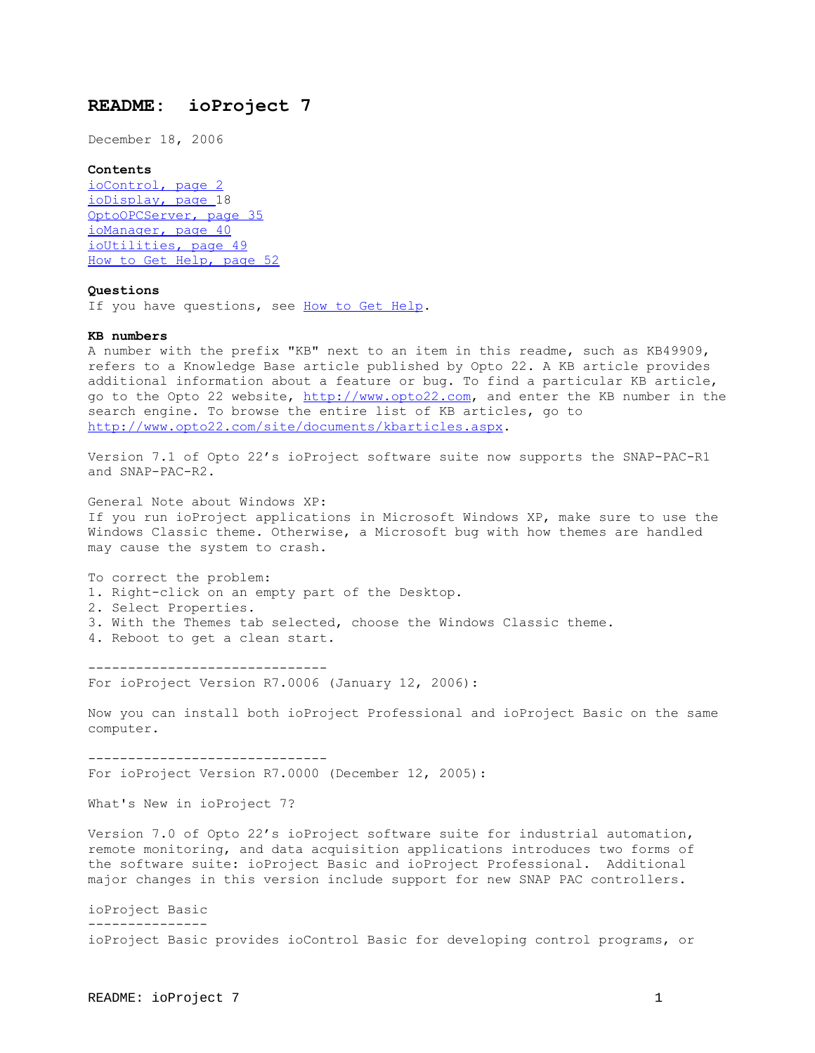# **README: ioProject 7**

December 18, 2006

## **Contents**

[ioControl, page 2](#page-1-0)  [ioDisplay, page 18](#page-17-0) [OptoOPCServer, page 35](#page-34-0)  [ioManager, page 40](#page-39-0)  [ioUtilities, page 49](#page-48-0)  [How to Get Help, page 52](#page-51-0) 

## **Questions**

If you have questions, see [How to Get Help](#page-51-0).

#### **KB numbers**

A number with the prefix "KB" next to an item in this readme, such as KB49909, refers to a Knowledge Base article published by Opto 22. A KB article provides additional information about a feature or bug. To find a particular KB article, go to the Opto 22 website, [http://www.opto22.com](http://www.opto22.com/), and enter the KB number in the search engine. To browse the entire list of KB articles, go to <http://www.opto22.com/site/documents/kbarticles.aspx>.

Version 7.1 of Opto 22's ioProject software suite now supports the SNAP-PAC-R1 and SNAP-PAC-R2.

General Note about Windows XP: If you run ioProject applications in Microsoft Windows XP, make sure to use the Windows Classic theme. Otherwise, a Microsoft bug with how themes are handled may cause the system to crash.

To correct the problem: 1. Right-click on an empty part of the Desktop. 2. Select Properties. 3. With the Themes tab selected, choose the Windows Classic theme. 4. Reboot to get a clean start.

------------------------------

For ioProject Version R7.0006 (January 12, 2006):

Now you can install both ioProject Professional and ioProject Basic on the same computer.

------------------------------ For ioProject Version R7.0000 (December 12, 2005):

What's New in ioProject 7?

Version 7.0 of Opto 22's ioProject software suite for industrial automation, remote monitoring, and data acquisition applications introduces two forms of the software suite: ioProject Basic and ioProject Professional. Additional major changes in this version include support for new SNAP PAC controllers.

ioProject Basic -------------- ioProject Basic provides ioControl Basic for developing control programs, or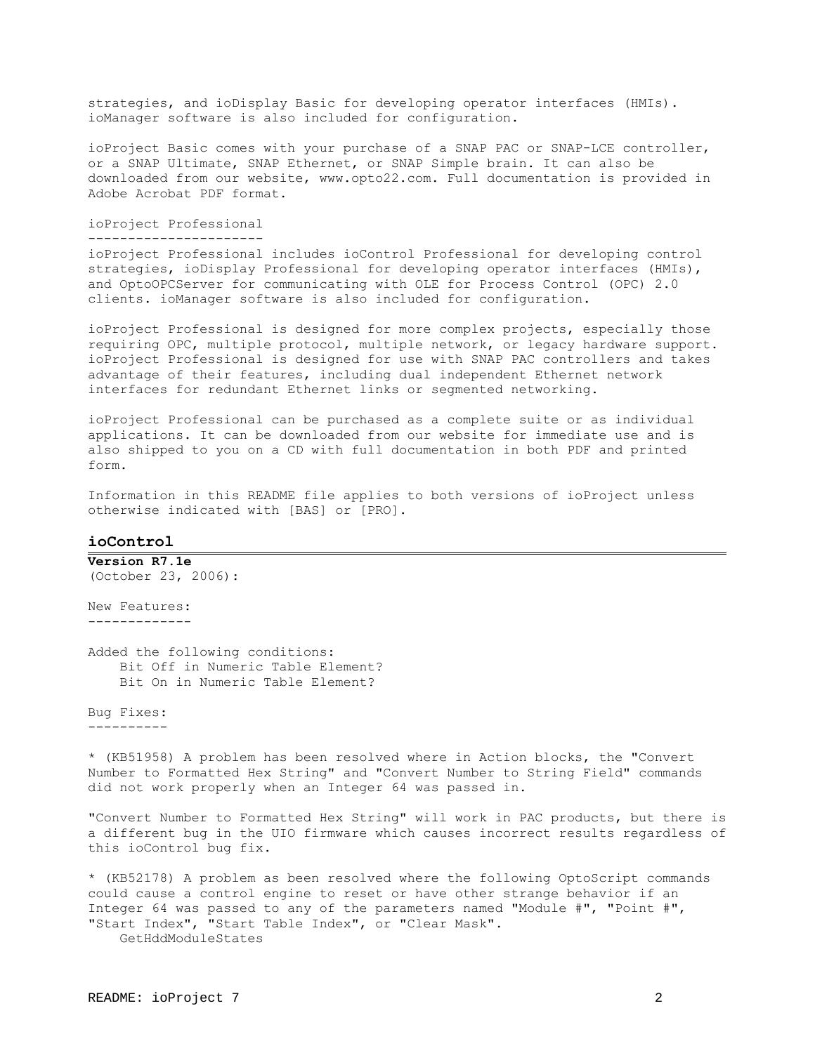strategies, and ioDisplay Basic for developing operator interfaces (HMIs). ioManager software is also included for configuration.

ioProject Basic comes with your purchase of a SNAP PAC or SNAP-LCE controller, or a SNAP Ultimate, SNAP Ethernet, or SNAP Simple brain. It can also be downloaded from our website, www.opto22.com. Full documentation is provided in Adobe Acrobat PDF format.

ioProject Professional

----------------------

ioProject Professional includes ioControl Professional for developing control strategies, ioDisplay Professional for developing operator interfaces (HMIs), and OptoOPCServer for communicating with OLE for Process Control (OPC) 2.0 clients. ioManager software is also included for configuration.

ioProject Professional is designed for more complex projects, especially those requiring OPC, multiple protocol, multiple network, or legacy hardware support. ioProject Professional is designed for use with SNAP PAC controllers and takes advantage of their features, including dual independent Ethernet network interfaces for redundant Ethernet links or segmented networking.

ioProject Professional can be purchased as a complete suite or as individual applications. It can be downloaded from our website for immediate use and is also shipped to you on a CD with full documentation in both PDF and printed form.

Information in this README file applies to both versions of ioProject unless otherwise indicated with [BAS] or [PRO].

# <span id="page-1-0"></span>**ioControl**

**Version R7.1e**  (October 23, 2006):

New Features: -------------

Added the following conditions: Bit Off in Numeric Table Element? Bit On in Numeric Table Element?

Bug Fixes: ----------

\* (KB51958) A problem has been resolved where in Action blocks, the "Convert Number to Formatted Hex String" and "Convert Number to String Field" commands did not work properly when an Integer 64 was passed in.

"Convert Number to Formatted Hex String" will work in PAC products, but there is a different bug in the UIO firmware which causes incorrect results regardless of this ioControl bug fix.

\* (KB52178) A problem as been resolved where the following OptoScript commands could cause a control engine to reset or have other strange behavior if an Integer 64 was passed to any of the parameters named "Module #", "Point #", "Start Index", "Start Table Index", or "Clear Mask". GetHddModuleStates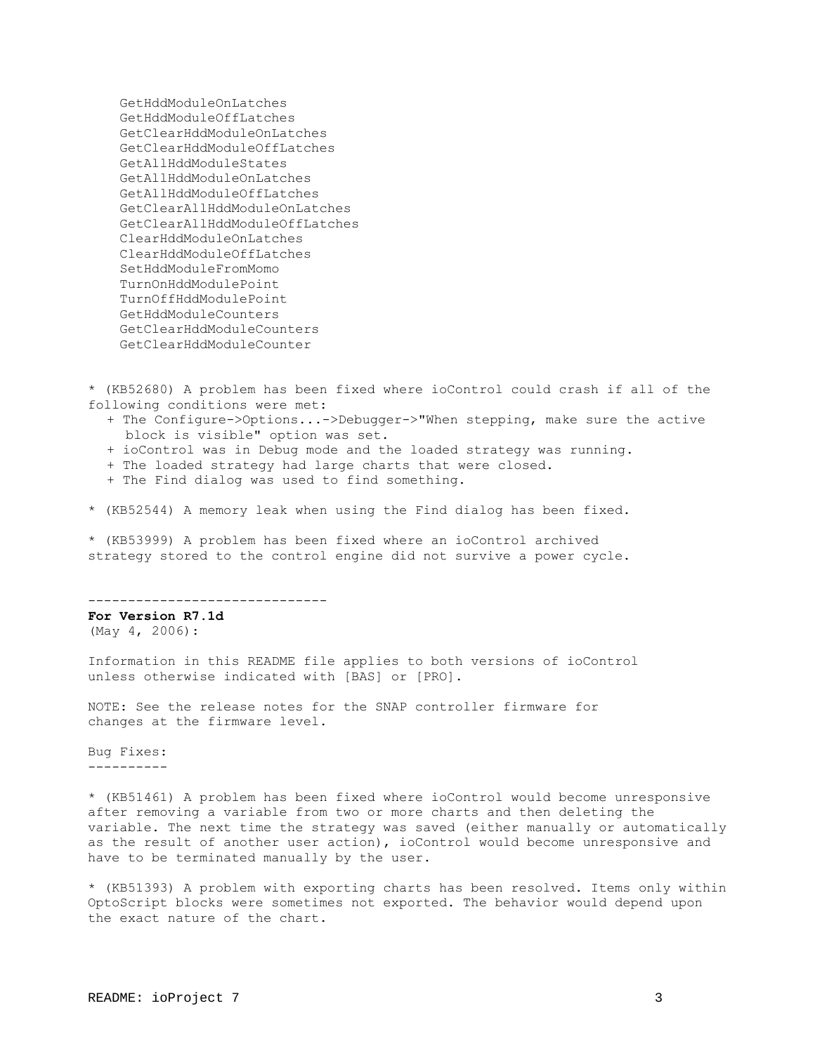GetHddModuleOnLatches GetHddModuleOffLatches GetClearHddModuleOnLatches GetClearHddModuleOffLatches GetAllHddModuleStates GetAllHddModuleOnLatches GetAllHddModuleOffLatches GetClearAllHddModuleOnLatches GetClearAllHddModuleOffLatches ClearHddModuleOnLatches ClearHddModuleOffLatches SetHddModuleFromMomo TurnOnHddModulePoint TurnOffHddModulePoint GetHddModuleCounters GetClearHddModuleCounters GetClearHddModuleCounter

\* (KB52680) A problem has been fixed where ioControl could crash if all of the following conditions were met:

- + The Configure->Options...->Debugger->"When stepping, make sure the active block is visible" option was set.
- + ioControl was in Debug mode and the loaded strategy was running.
- + The loaded strategy had large charts that were closed.
- + The Find dialog was used to find something.

\* (KB52544) A memory leak when using the Find dialog has been fixed.

\* (KB53999) A problem has been fixed where an ioControl archived strategy stored to the control engine did not survive a power cycle.

------------------------------

**For Version R7.1d**  (May 4, 2006):

Information in this README file applies to both versions of ioControl unless otherwise indicated with [BAS] or [PRO].

NOTE: See the release notes for the SNAP controller firmware for changes at the firmware level.

Bug Fixes: ----------

\* (KB51461) A problem has been fixed where ioControl would become unresponsive after removing a variable from two or more charts and then deleting the variable. The next time the strategy was saved (either manually or automatically as the result of another user action), ioControl would become unresponsive and have to be terminated manually by the user.

\* (KB51393) A problem with exporting charts has been resolved. Items only within OptoScript blocks were sometimes not exported. The behavior would depend upon the exact nature of the chart.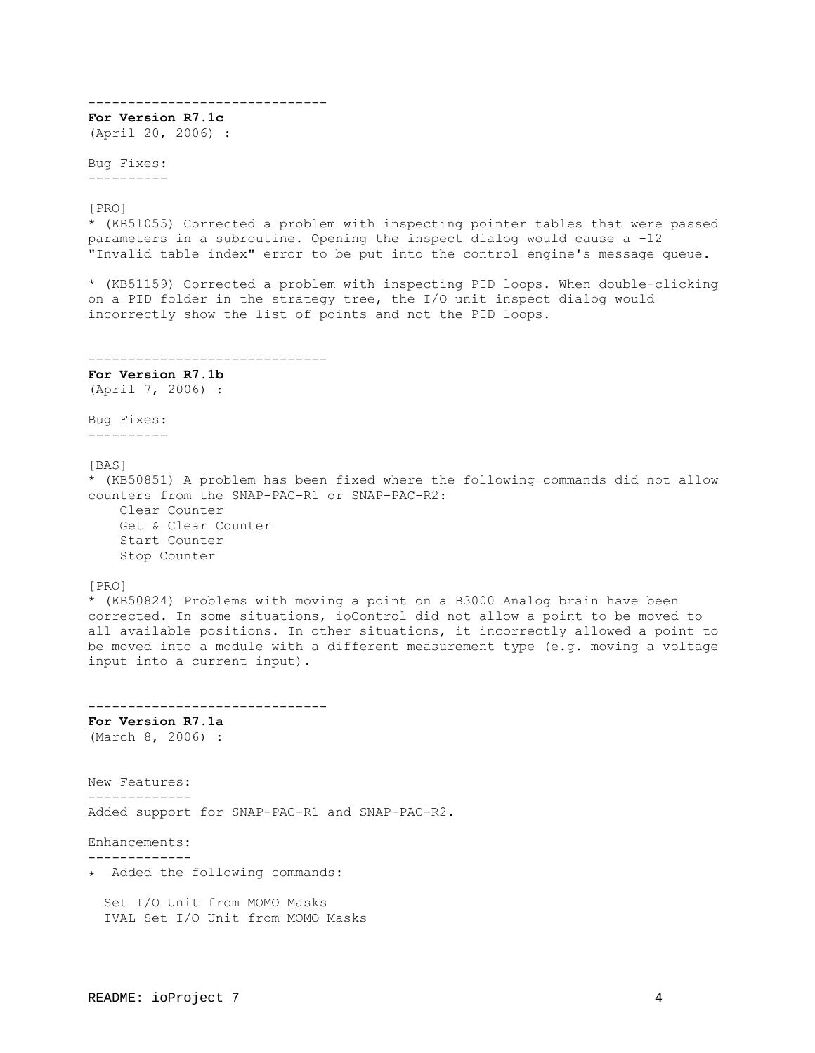------------------------------ **For Version R7.1c**  (April 20, 2006) : Bug Fixes: ---------- [PRO] \* (KB51055) Corrected a problem with inspecting pointer tables that were passed parameters in a subroutine. Opening the inspect dialog would cause a -12 "Invalid table index" error to be put into the control engine's message queue. \* (KB51159) Corrected a problem with inspecting PID loops. When double-clicking on a PID folder in the strategy tree, the I/O unit inspect dialog would incorrectly show the list of points and not the PID loops. ------------------------------ **For Version R7.1b**  (April 7, 2006) : Bug Fixes: ---------- [BAS] \* (KB50851) A problem has been fixed where the following commands did not allow counters from the SNAP-PAC-R1 or SNAP-PAC-R2: Clear Counter Get & Clear Counter Start Counter Stop Counter [PRO] \* (KB50824) Problems with moving a point on a B3000 Analog brain have been corrected. In some situations, ioControl did not allow a point to be moved to all available positions. In other situations, it incorrectly allowed a point to be moved into a module with a different measurement type (e.g. moving a voltage input into a current input). ------------------------------ **For Version R7.1a**  (March 8, 2006) : New Features: ------------- Added support for SNAP-PAC-R1 and SNAP-PAC-R2. Enhancements: ------------- ٭ Added the following commands: Set I/O Unit from MOMO Masks IVAL Set I/O Unit from MOMO Masks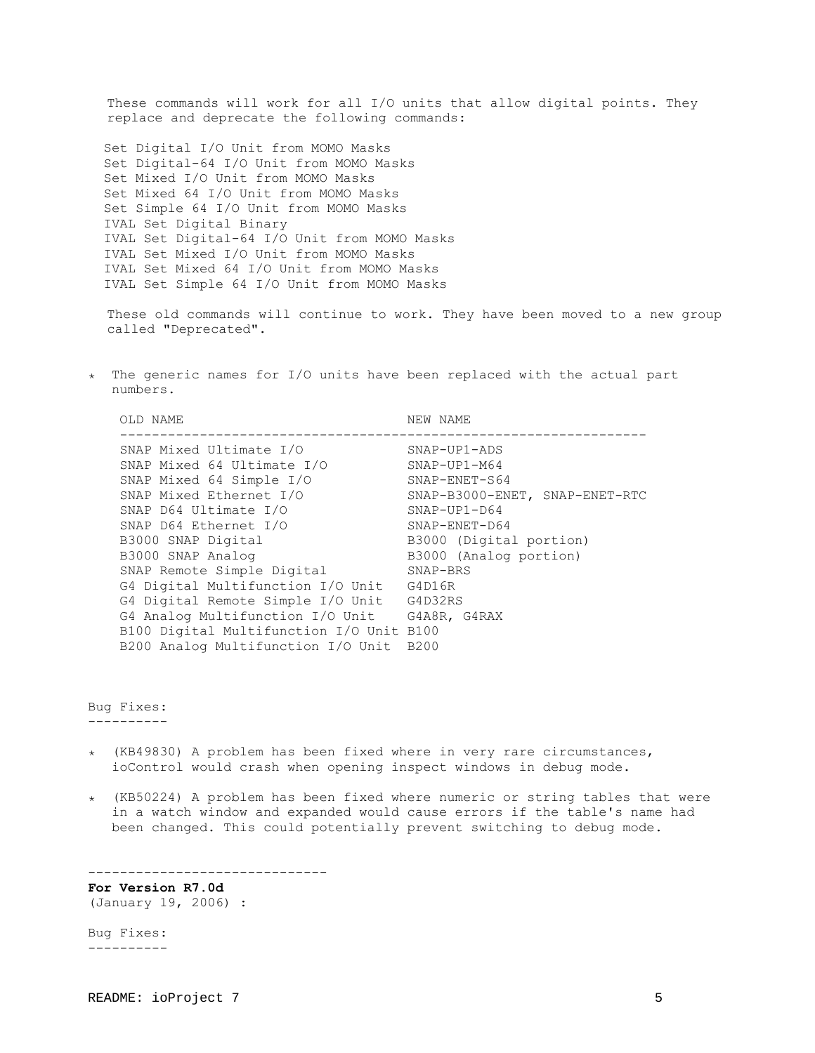These commands will work for all I/O units that allow digital points. They replace and deprecate the following commands:

 Set Digital I/O Unit from MOMO Masks Set Digital-64 I/O Unit from MOMO Masks Set Mixed I/O Unit from MOMO Masks Set Mixed 64 I/O Unit from MOMO Masks Set Simple 64 I/O Unit from MOMO Masks IVAL Set Digital Binary IVAL Set Digital-64 I/O Unit from MOMO Masks IVAL Set Mixed I/O Unit from MOMO Masks IVAL Set Mixed 64 I/O Unit from MOMO Masks IVAL Set Simple 64 I/O Unit from MOMO Masks

These old commands will continue to work. They have been moved to a new group called "Deprecated".

٭ The generic names for I/O units have been replaced with the actual part numbers.

| OLD NAME                                 | NEW NAME                       |
|------------------------------------------|--------------------------------|
| SNAP Mixed Ultimate I/O                  | $SNAP-UP1-ADS$                 |
| SNAP Mixed 64 Ultimate I/O               | $SNAP-UP1-M64$                 |
| SNAP Mixed 64 Simple I/O                 | $SNAP-ENET-S64$                |
| SNAP Mixed Ethernet I/O                  | SNAP-B3000-ENET, SNAP-ENET-RTC |
| SNAP D64 Ultimate I/O                    | $SNAP-UP1-D64$                 |
| SNAP D64 Ethernet I/O                    | $SNAP-ENET-D64$                |
| B3000 SNAP Digital                       | B3000 (Digital portion)        |
| B3000 SNAP Analog                        | B3000 (Analog portion)         |
| SNAP Remote Simple Digital               | SNAP-BRS                       |
| G4 Digital Multifunction I/O Unit        | G4D16R                         |
| G4 Digital Remote Simple I/O Unit        | G4D32RS                        |
| G4 Analog Multifunction I/O Unit         | G4A8R, G4RAX                   |
| B100 Digital Multifunction I/O Unit B100 |                                |
| B200 Analog Multifunction I/O Unit       | B200                           |

Bug Fixes: ----------

- ٭) KB49830) A problem has been fixed where in very rare circumstances, ioControl would crash when opening inspect windows in debug mode.
- $\star$  (KB50224) A problem has been fixed where numeric or string tables that were in a watch window and expanded would cause errors if the table's name had been changed. This could potentially prevent switching to debug mode.

------------------------------ **For Version R7.0d** 

(January 19, 2006) :

Bug Fixes: ----------

README: ioProject 7 5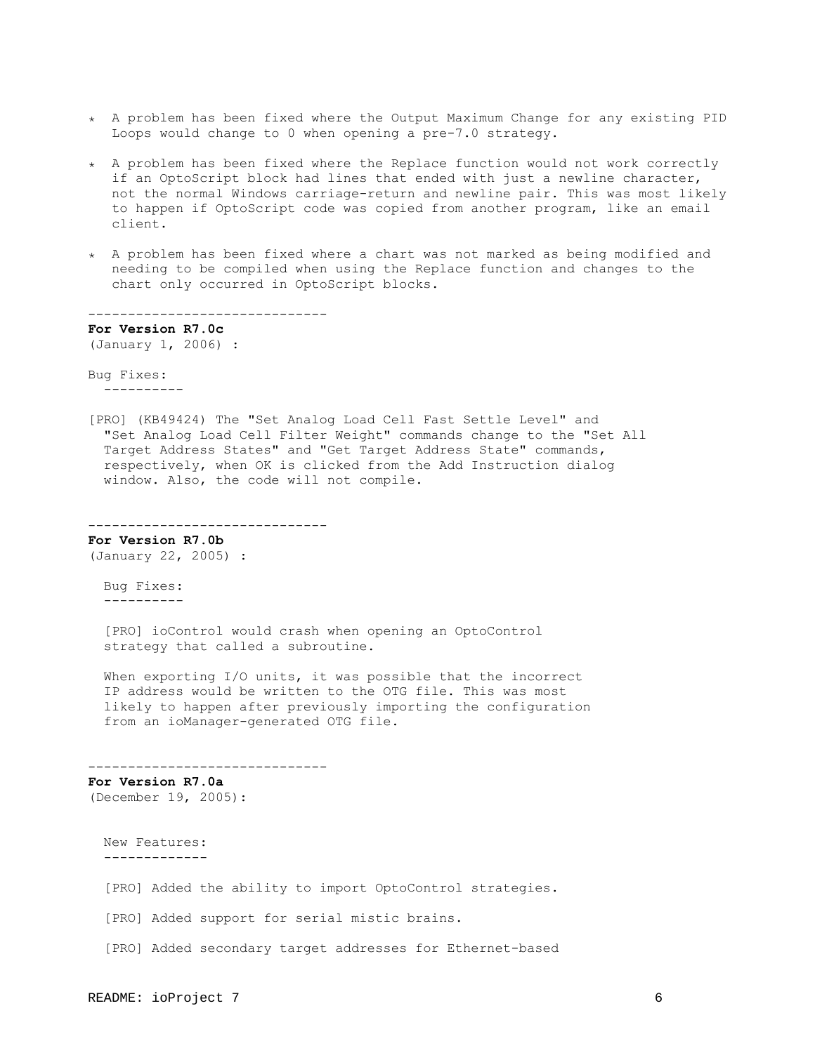- ٭ A problem has been fixed where the Output Maximum Change for any existing PID Loops would change to 0 when opening a pre-7.0 strategy.
- ٭ A problem has been fixed where the Replace function would not work correctly if an OptoScript block had lines that ended with just a newline character, not the normal Windows carriage-return and newline pair. This was most likely to happen if OptoScript code was copied from another program, like an email client.
- ٭ A problem has been fixed where a chart was not marked as being modified and needing to be compiled when using the Replace function and changes to the chart only occurred in OptoScript blocks.

------------------------------ **For Version R7.0c**  (January 1, 2006) :

Bug Fixes: ----------

[PRO] (KB49424) The "Set Analog Load Cell Fast Settle Level" and "Set Analog Load Cell Filter Weight" commands change to the "Set All Target Address States" and "Get Target Address State" commands, respectively, when OK is clicked from the Add Instruction dialog window. Also, the code will not compile.

------------------------------ **For Version R7.0b** 

(January 22, 2005) :

 Bug Fixes: ----------

 [PRO] ioControl would crash when opening an OptoControl strategy that called a subroutine.

When exporting I/O units, it was possible that the incorrect IP address would be written to the OTG file. This was most likely to happen after previously importing the configuration from an ioManager-generated OTG file.

------------------------------

**For Version R7.0a**  (December 19, 2005):

 New Features: -------------

[PRO] Added the ability to import OptoControl strategies.

[PRO] Added support for serial mistic brains.

[PRO] Added secondary target addresses for Ethernet-based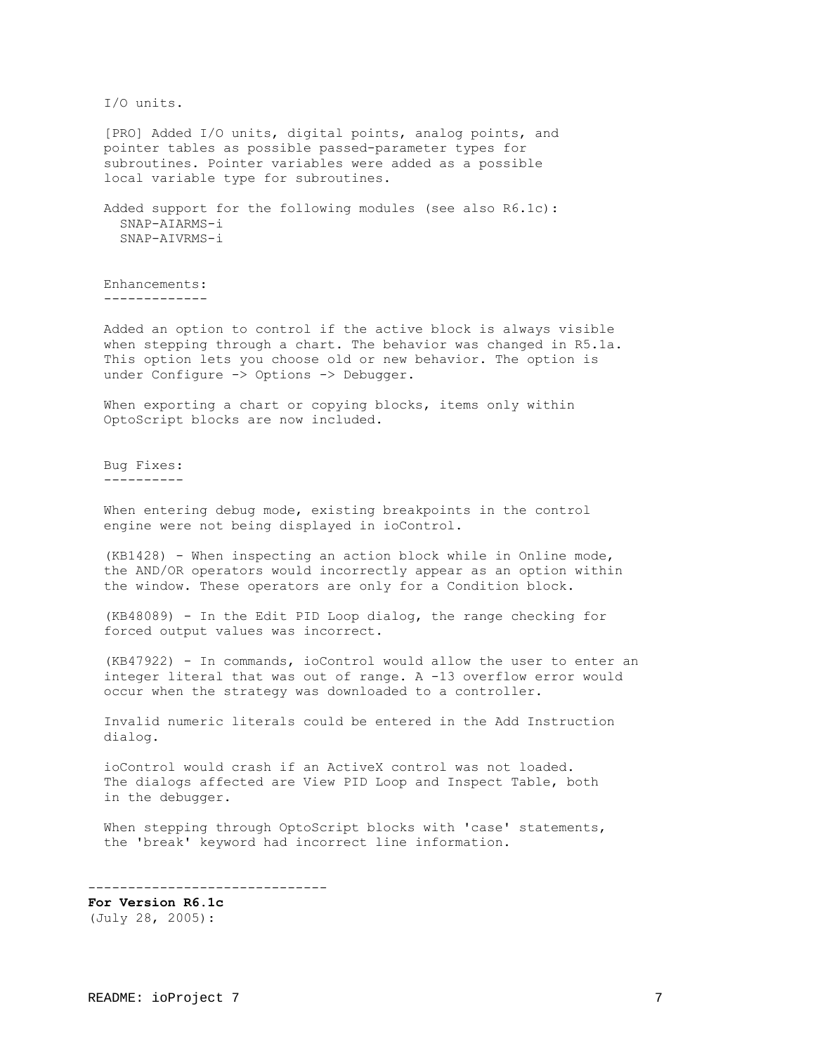I/O units.

 [PRO] Added I/O units, digital points, analog points, and pointer tables as possible passed-parameter types for subroutines. Pointer variables were added as a possible local variable type for subroutines.

 Added support for the following modules (see also R6.1c): SNAP-AIARMS-i SNAP-AIVRMS-i

 Enhancements: -------------

 Added an option to control if the active block is always visible when stepping through a chart. The behavior was changed in R5.1a. This option lets you choose old or new behavior. The option is under Configure -> Options -> Debugger.

When exporting a chart or copying blocks, items only within OptoScript blocks are now included.

 Bug Fixes: ----------

 When entering debug mode, existing breakpoints in the control engine were not being displayed in ioControl.

 (KB1428) - When inspecting an action block while in Online mode, the AND/OR operators would incorrectly appear as an option within the window. These operators are only for a Condition block.

 (KB48089) - In the Edit PID Loop dialog, the range checking for forced output values was incorrect.

 (KB47922) - In commands, ioControl would allow the user to enter an integer literal that was out of range. A -13 overflow error would occur when the strategy was downloaded to a controller.

 Invalid numeric literals could be entered in the Add Instruction dialog.

 ioControl would crash if an ActiveX control was not loaded. The dialogs affected are View PID Loop and Inspect Table, both in the debugger.

 When stepping through OptoScript blocks with 'case' statements, the 'break' keyword had incorrect line information.

------------------------------

**For Version R6.1c**  (July 28, 2005):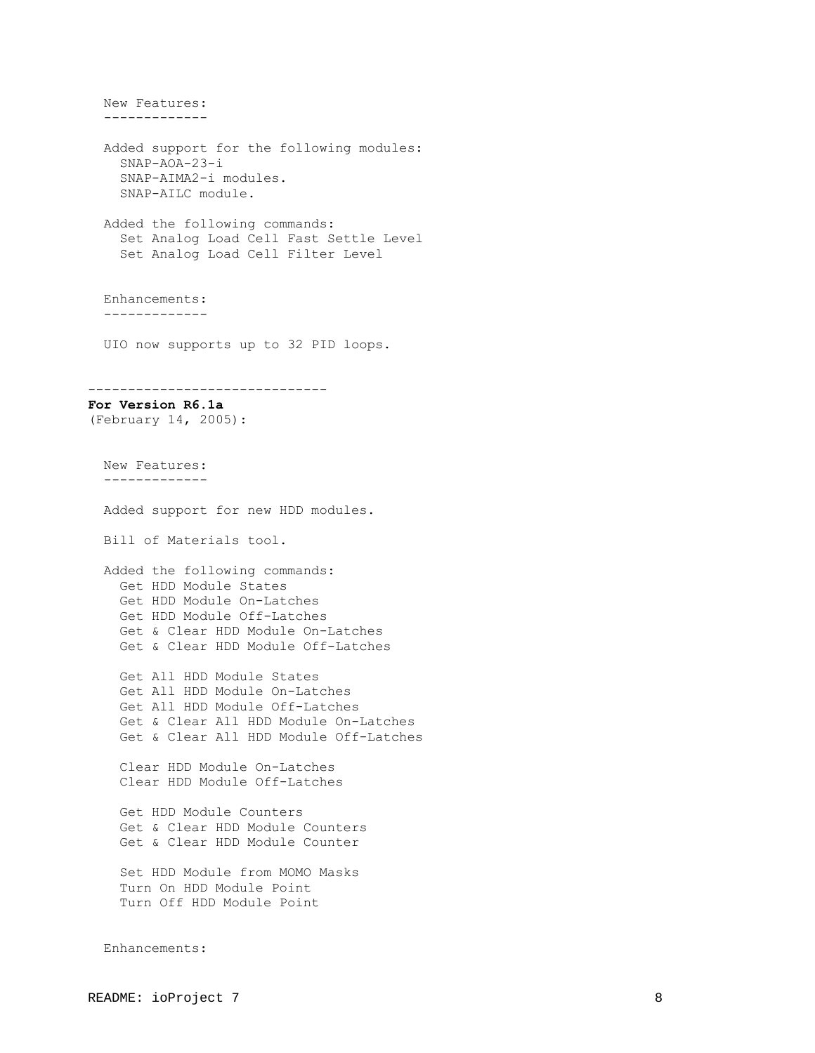New Features: ------------- Added support for the following modules: SNAP-AOA-23-i SNAP-AIMA2-i modules. SNAP-AILC module. Added the following commands: Set Analog Load Cell Fast Settle Level Set Analog Load Cell Filter Level Enhancements: ------------- UIO now supports up to 32 PID loops. ------------------------------ **For Version R6.1a**  (February 14, 2005): New Features: ------------- Added support for new HDD modules. Bill of Materials tool. Added the following commands: Get HDD Module States Get HDD Module On-Latches Get HDD Module Off-Latches Get & Clear HDD Module On-Latches Get & Clear HDD Module Off-Latches Get All HDD Module States Get All HDD Module On-Latches Get All HDD Module Off-Latches Get & Clear All HDD Module On-Latches Get & Clear All HDD Module Off-Latches Clear HDD Module On-Latches Clear HDD Module Off-Latches Get HDD Module Counters Get & Clear HDD Module Counters Get & Clear HDD Module Counter Set HDD Module from MOMO Masks Turn On HDD Module Point Turn Off HDD Module Point Enhancements: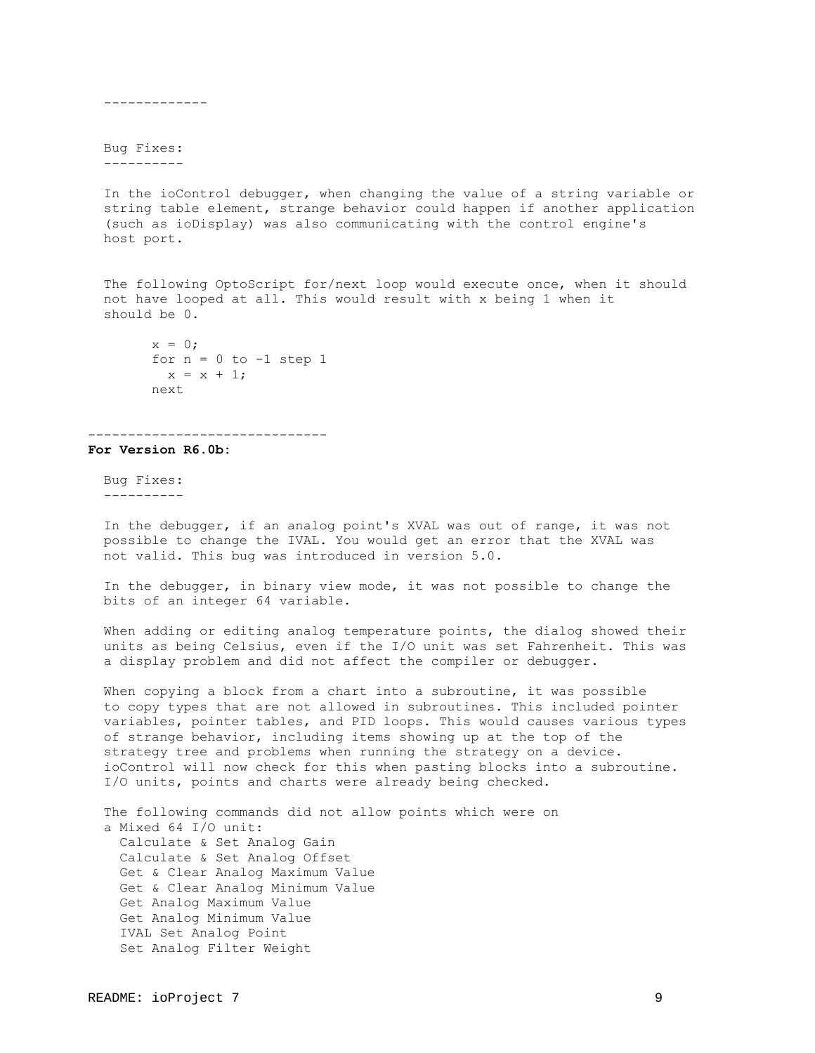Bug Fixes:

-------------

----------

 In the ioControl debugger, when changing the value of a string variable or string table element, strange behavior could happen if another application (such as ioDisplay) was also communicating with the control engine's host port.

 The following OptoScript for/next loop would execute once, when it should not have looped at all. This would result with x being 1 when it should be 0.

```
x = 0;for n = 0 to -1 step 1
 x = x + 1; next
```
#### ------------------------------

**For Version R6.0b:**

 Bug Fixes: ----------

 In the debugger, if an analog point's XVAL was out of range, it was not possible to change the IVAL. You would get an error that the XVAL was not valid. This bug was introduced in version 5.0.

 In the debugger, in binary view mode, it was not possible to change the bits of an integer 64 variable.

 When adding or editing analog temperature points, the dialog showed their units as being Celsius, even if the I/O unit was set Fahrenheit. This was a display problem and did not affect the compiler or debugger.

When copying a block from a chart into a subroutine, it was possible to copy types that are not allowed in subroutines. This included pointer variables, pointer tables, and PID loops. This would causes various types of strange behavior, including items showing up at the top of the strategy tree and problems when running the strategy on a device. ioControl will now check for this when pasting blocks into a subroutine. I/O units, points and charts were already being checked.

 The following commands did not allow points which were on a Mixed 64 I/O unit: Calculate & Set Analog Gain Calculate & Set Analog Offset Get & Clear Analog Maximum Value Get & Clear Analog Minimum Value Get Analog Maximum Value Get Analog Minimum Value IVAL Set Analog Point Set Analog Filter Weight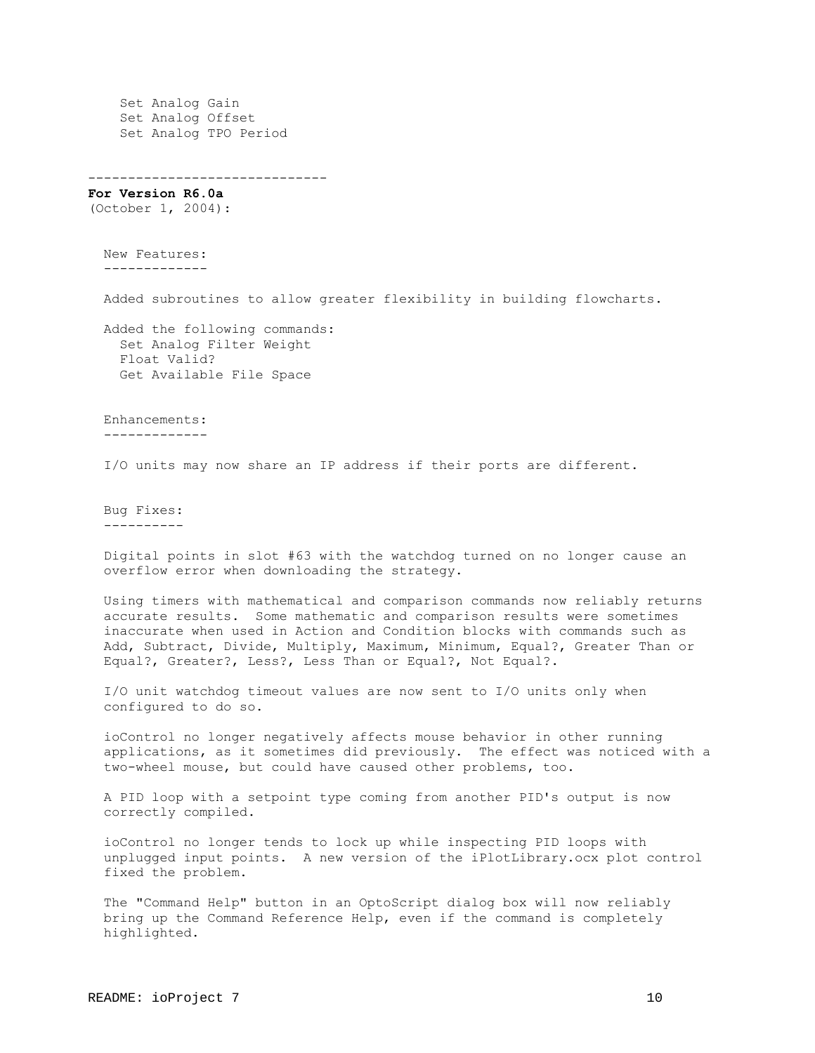Set Analog Gain Set Analog Offset Set Analog TPO Period

------------------------------

**For Version R6.0a**  (October 1, 2004):

 New Features: -------------

Added subroutines to allow greater flexibility in building flowcharts.

 Added the following commands: Set Analog Filter Weight Float Valid? Get Available File Space

 Enhancements: -------------

I/O units may now share an IP address if their ports are different.

 Bug Fixes: ----------

 Digital points in slot #63 with the watchdog turned on no longer cause an overflow error when downloading the strategy.

 Using timers with mathematical and comparison commands now reliably returns accurate results. Some mathematic and comparison results were sometimes inaccurate when used in Action and Condition blocks with commands such as Add, Subtract, Divide, Multiply, Maximum, Minimum, Equal?, Greater Than or Equal?, Greater?, Less?, Less Than or Equal?, Not Equal?.

 I/O unit watchdog timeout values are now sent to I/O units only when configured to do so.

 ioControl no longer negatively affects mouse behavior in other running applications, as it sometimes did previously. The effect was noticed with a two-wheel mouse, but could have caused other problems, too.

 A PID loop with a setpoint type coming from another PID's output is now correctly compiled.

 ioControl no longer tends to lock up while inspecting PID loops with unplugged input points. A new version of the iPlotLibrary.ocx plot control fixed the problem.

 The "Command Help" button in an OptoScript dialog box will now reliably bring up the Command Reference Help, even if the command is completely highlighted.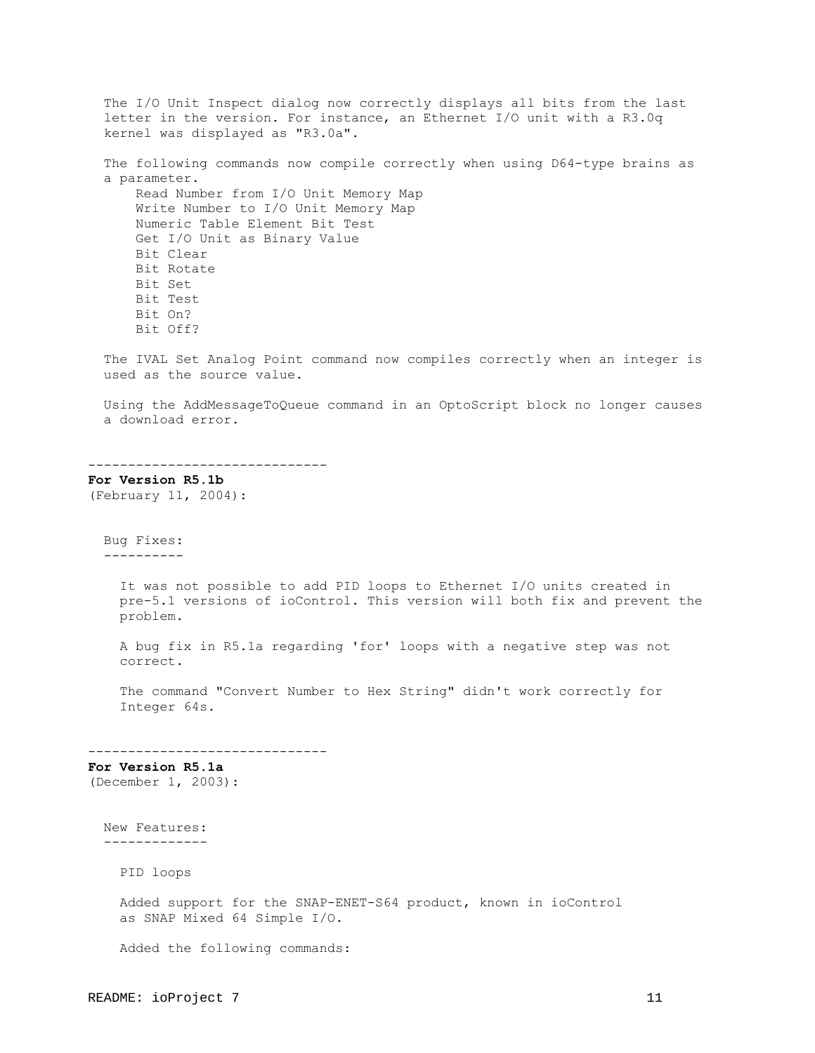The I/O Unit Inspect dialog now correctly displays all bits from the last letter in the version. For instance, an Ethernet I/O unit with a R3.0q kernel was displayed as "R3.0a". The following commands now compile correctly when using D64-type brains as a parameter. Read Number from I/O Unit Memory Map Write Number to I/O Unit Memory Map Numeric Table Element Bit Test Get I/O Unit as Binary Value Bit Clear Bit Rotate Bit Set Bit Test Bit On? Bit Off? The IVAL Set Analog Point command now compiles correctly when an integer is used as the source value. Using the AddMessageToQueue command in an OptoScript block no longer causes a download error. ------------------------------ **For Version R5.1b**  (February 11, 2004): Bug Fixes: ---------- It was not possible to add PID loops to Ethernet I/O units created in pre-5.1 versions of ioControl. This version will both fix and prevent the problem. A bug fix in R5.1a regarding 'for' loops with a negative step was not correct. The command "Convert Number to Hex String" didn't work correctly for Integer 64s. ------------------------------ **For Version R5.1a**  (December 1, 2003): New Features: ------------- PID loops Added support for the SNAP-ENET-S64 product, known in ioControl as SNAP Mixed 64 Simple I/O. Added the following commands: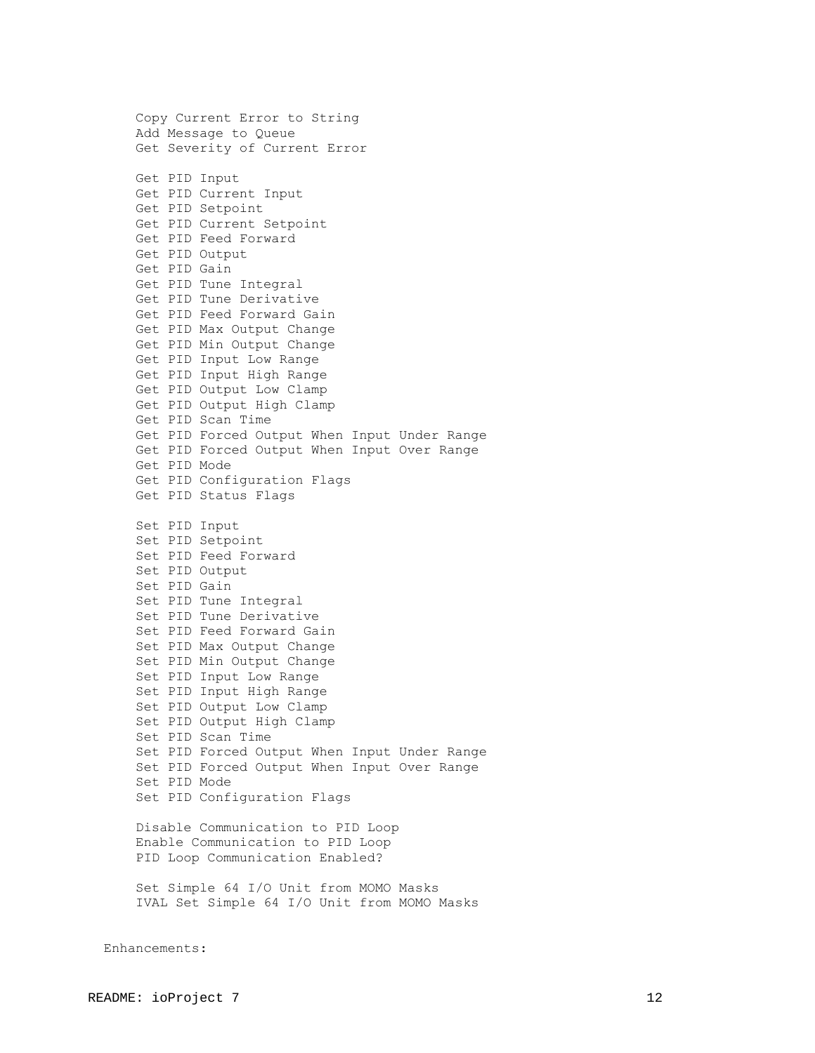Copy Current Error to String Add Message to Queue Get Severity of Current Error Get PID Input Get PID Current Input Get PID Setpoint Get PID Current Setpoint Get PID Feed Forward Get PID Output Get PID Gain Get PID Tune Integral Get PID Tune Derivative Get PID Feed Forward Gain Get PID Max Output Change Get PID Min Output Change Get PID Input Low Range Get PID Input High Range Get PID Output Low Clamp Get PID Output High Clamp Get PID Scan Time Get PID Forced Output When Input Under Range Get PID Forced Output When Input Over Range Get PID Mode Get PID Configuration Flags Get PID Status Flags Set PID Input Set PID Setpoint Set PID Feed Forward Set PID Output Set PID Gain Set PID Tune Integral Set PID Tune Derivative Set PID Feed Forward Gain Set PID Max Output Change Set PID Min Output Change Set PID Input Low Range Set PID Input High Range Set PID Output Low Clamp Set PID Output High Clamp Set PID Scan Time Set PID Forced Output When Input Under Range Set PID Forced Output When Input Over Range Set PID Mode Set PID Configuration Flags Disable Communication to PID Loop Enable Communication to PID Loop PID Loop Communication Enabled? Set Simple 64 I/O Unit from MOMO Masks IVAL Set Simple 64 I/O Unit from MOMO Masks

Enhancements: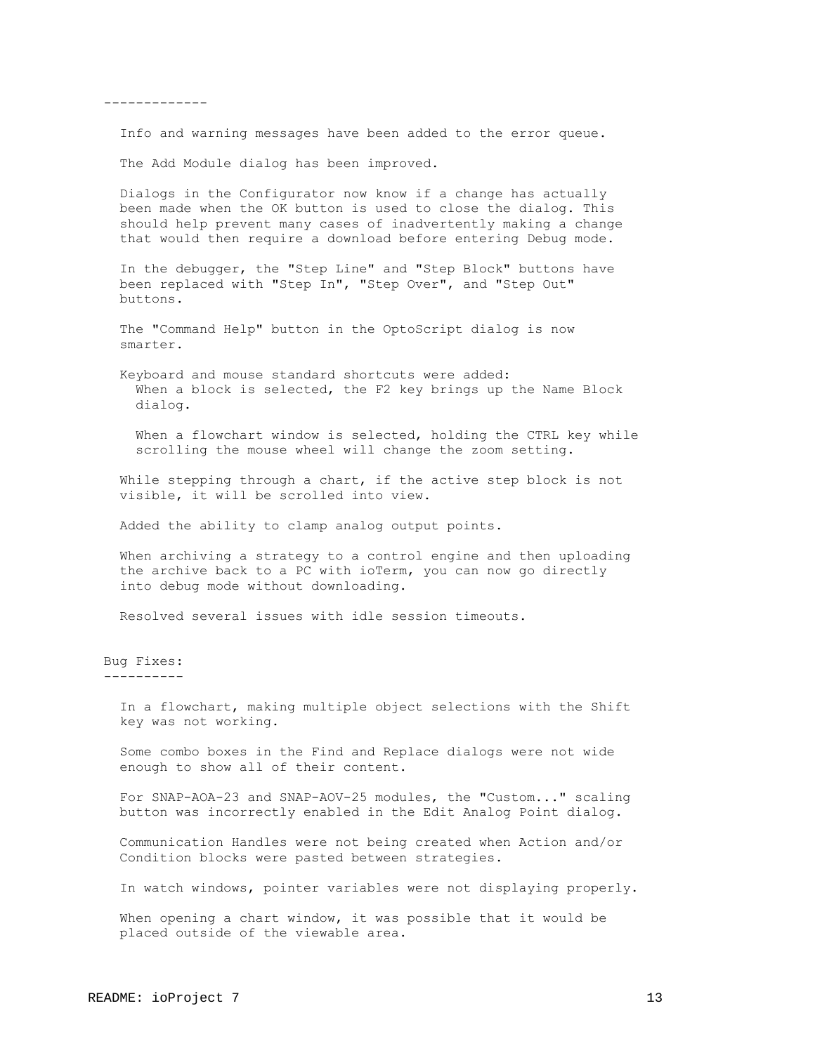-------------

Info and warning messages have been added to the error queue.

The Add Module dialog has been improved.

 Dialogs in the Configurator now know if a change has actually been made when the OK button is used to close the dialog. This should help prevent many cases of inadvertently making a change that would then require a download before entering Debug mode.

 In the debugger, the "Step Line" and "Step Block" buttons have been replaced with "Step In", "Step Over", and "Step Out" buttons.

 The "Command Help" button in the OptoScript dialog is now smarter.

 Keyboard and mouse standard shortcuts were added: When a block is selected, the F2 key brings up the Name Block dialog.

 When a flowchart window is selected, holding the CTRL key while scrolling the mouse wheel will change the zoom setting.

While stepping through a chart, if the active step block is not visible, it will be scrolled into view.

Added the ability to clamp analog output points.

 When archiving a strategy to a control engine and then uploading the archive back to a PC with ioTerm, you can now go directly into debug mode without downloading.

Resolved several issues with idle session timeouts.

#### Bug Fixes: ----------

 In a flowchart, making multiple object selections with the Shift key was not working.

 Some combo boxes in the Find and Replace dialogs were not wide enough to show all of their content.

 For SNAP-AOA-23 and SNAP-AOV-25 modules, the "Custom..." scaling button was incorrectly enabled in the Edit Analog Point dialog.

 Communication Handles were not being created when Action and/or Condition blocks were pasted between strategies.

In watch windows, pointer variables were not displaying properly.

 When opening a chart window, it was possible that it would be placed outside of the viewable area.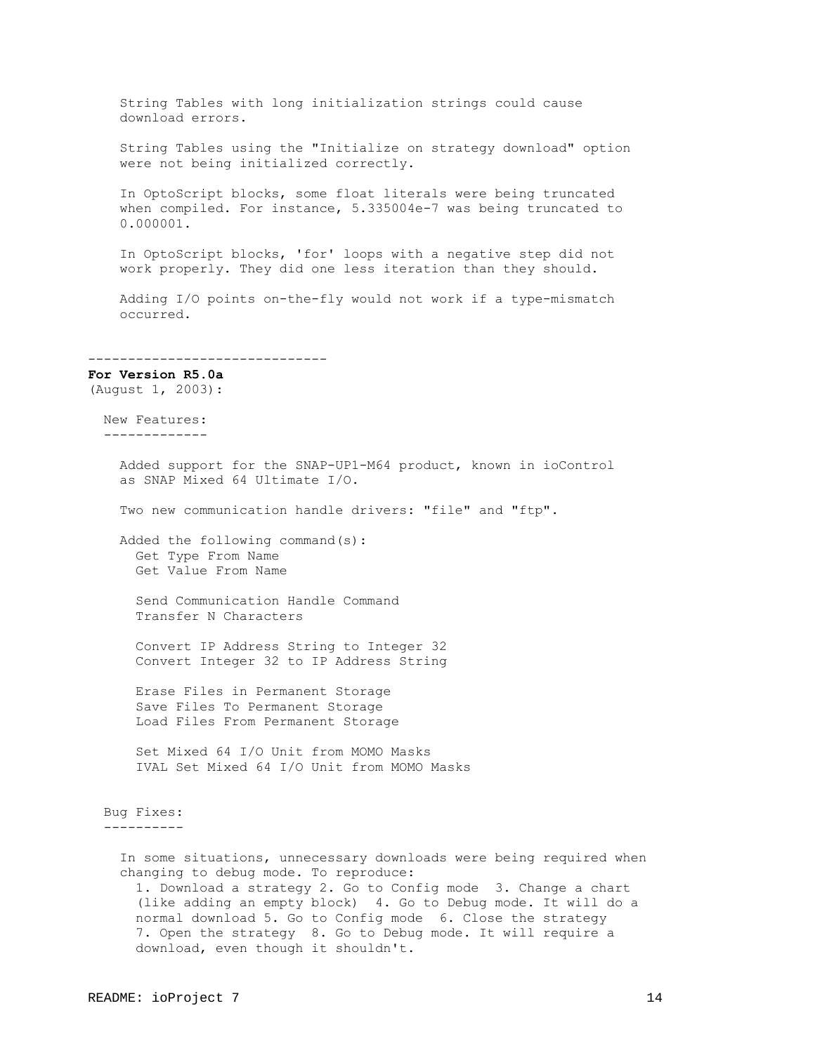String Tables with long initialization strings could cause download errors. String Tables using the "Initialize on strategy download" option were not being initialized correctly. In OptoScript blocks, some float literals were being truncated when compiled. For instance, 5.335004e-7 was being truncated to 0.000001. In OptoScript blocks, 'for' loops with a negative step did not work properly. They did one less iteration than they should. Adding I/O points on-the-fly would not work if a type-mismatch occurred. ------------------------------ **For Version R5.0a** (August 1, 2003): New Features: ------------- Added support for the SNAP-UP1-M64 product, known in ioControl as SNAP Mixed 64 Ultimate I/O. Two new communication handle drivers: "file" and "ftp". Added the following command(s): Get Type From Name Get Value From Name Send Communication Handle Command Transfer N Characters Convert IP Address String to Integer 32 Convert Integer 32 to IP Address String Erase Files in Permanent Storage Save Files To Permanent Storage Load Files From Permanent Storage Set Mixed 64 I/O Unit from MOMO Masks IVAL Set Mixed 64 I/O Unit from MOMO Masks Bug Fixes: ---------- In some situations, unnecessary downloads were being required when changing to debug mode. To reproduce: 1. Download a strategy 2. Go to Config mode 3. Change a chart (like adding an empty block) 4. Go to Debug mode. It will do a normal download 5. Go to Config mode 6. Close the strategy 7. Open the strategy 8. Go to Debug mode. It will require a download, even though it shouldn't.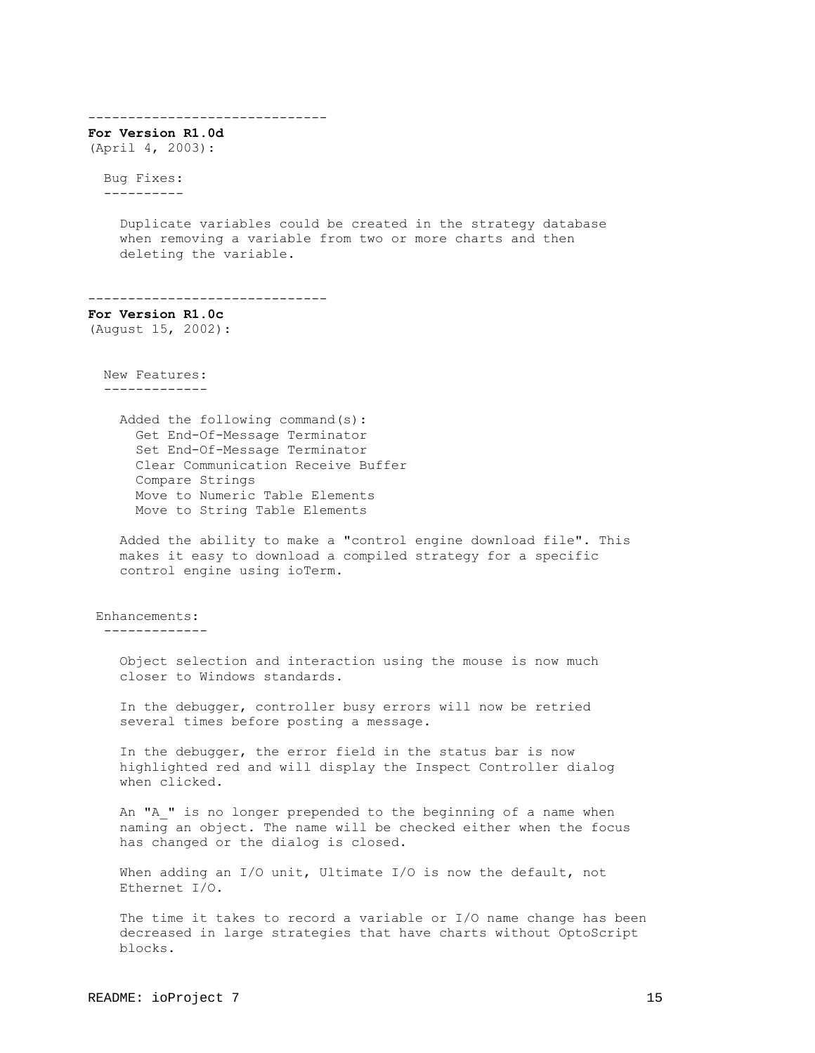------------------------------ **For Version R1.0d** (April 4, 2003): Bug Fixes: ---------- Duplicate variables could be created in the strategy database when removing a variable from two or more charts and then deleting the variable. ------------------------------ **For Version R1.0c** (August 15, 2002): New Features: ------------- Added the following command(s): Get End-Of-Message Terminator Set End-Of-Message Terminator Clear Communication Receive Buffer Compare Strings Move to Numeric Table Elements Move to String Table Elements Added the ability to make a "control engine download file". This makes it easy to download a compiled strategy for a specific control engine using ioTerm. Enhancements: ------------- Object selection and interaction using the mouse is now much closer to Windows standards. In the debugger, controller busy errors will now be retried several times before posting a message. In the debugger, the error field in the status bar is now highlighted red and will display the Inspect Controller dialog when clicked. An "A " is no longer prepended to the beginning of a name when naming an object. The name will be checked either when the focus has changed or the dialog is closed. When adding an I/O unit, Ultimate I/O is now the default, not Ethernet I/O. The time it takes to record a variable or I/O name change has been decreased in large strategies that have charts without OptoScript blocks.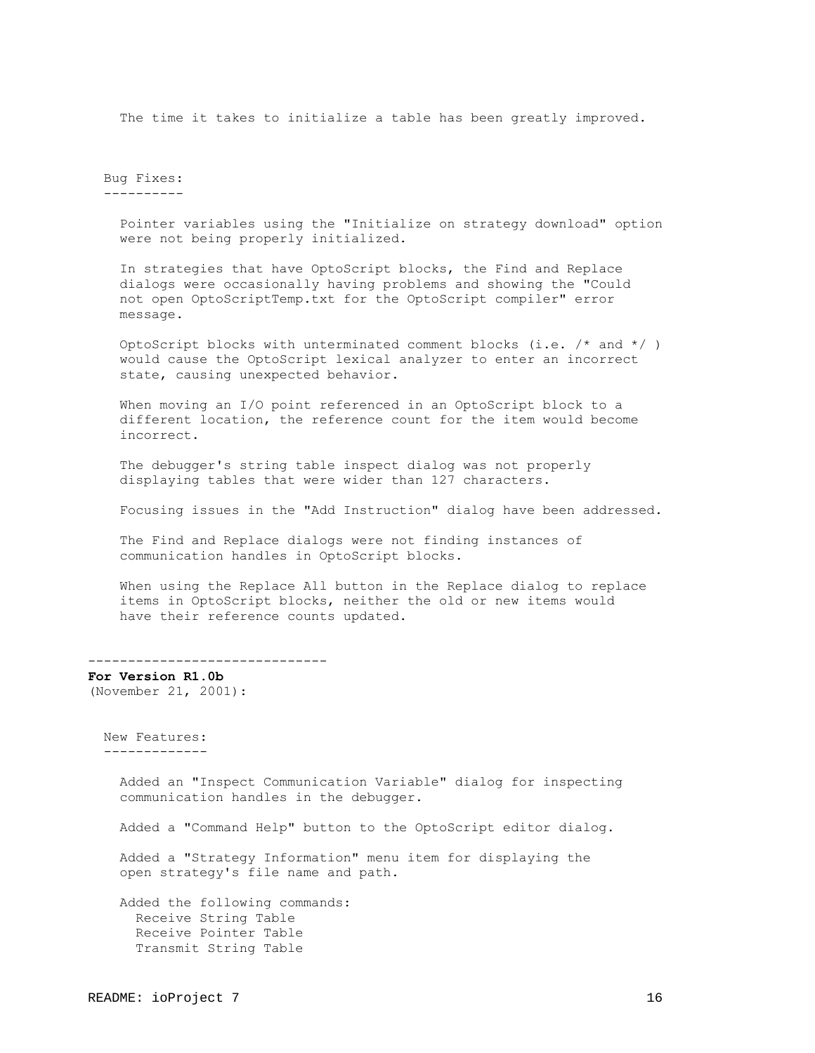The time it takes to initialize a table has been greatly improved.

 Bug Fixes: ----------

> Pointer variables using the "Initialize on strategy download" option were not being properly initialized.

 In strategies that have OptoScript blocks, the Find and Replace dialogs were occasionally having problems and showing the "Could not open OptoScriptTemp.txt for the OptoScript compiler" error message.

OptoScript blocks with unterminated comment blocks (i.e.  $/*$  and  $*/$  ) would cause the OptoScript lexical analyzer to enter an incorrect state, causing unexpected behavior.

When moving an I/O point referenced in an OptoScript block to a different location, the reference count for the item would become incorrect.

 The debugger's string table inspect dialog was not properly displaying tables that were wider than 127 characters.

Focusing issues in the "Add Instruction" dialog have been addressed.

 The Find and Replace dialogs were not finding instances of communication handles in OptoScript blocks.

 When using the Replace All button in the Replace dialog to replace items in OptoScript blocks, neither the old or new items would have their reference counts updated.

------------------------------

**For Version R1.0b** (November 21, 2001):

 New Features: -------------

> Added an "Inspect Communication Variable" dialog for inspecting communication handles in the debugger.

Added a "Command Help" button to the OptoScript editor dialog.

 Added a "Strategy Information" menu item for displaying the open strategy's file name and path.

 Added the following commands: Receive String Table Receive Pointer Table Transmit String Table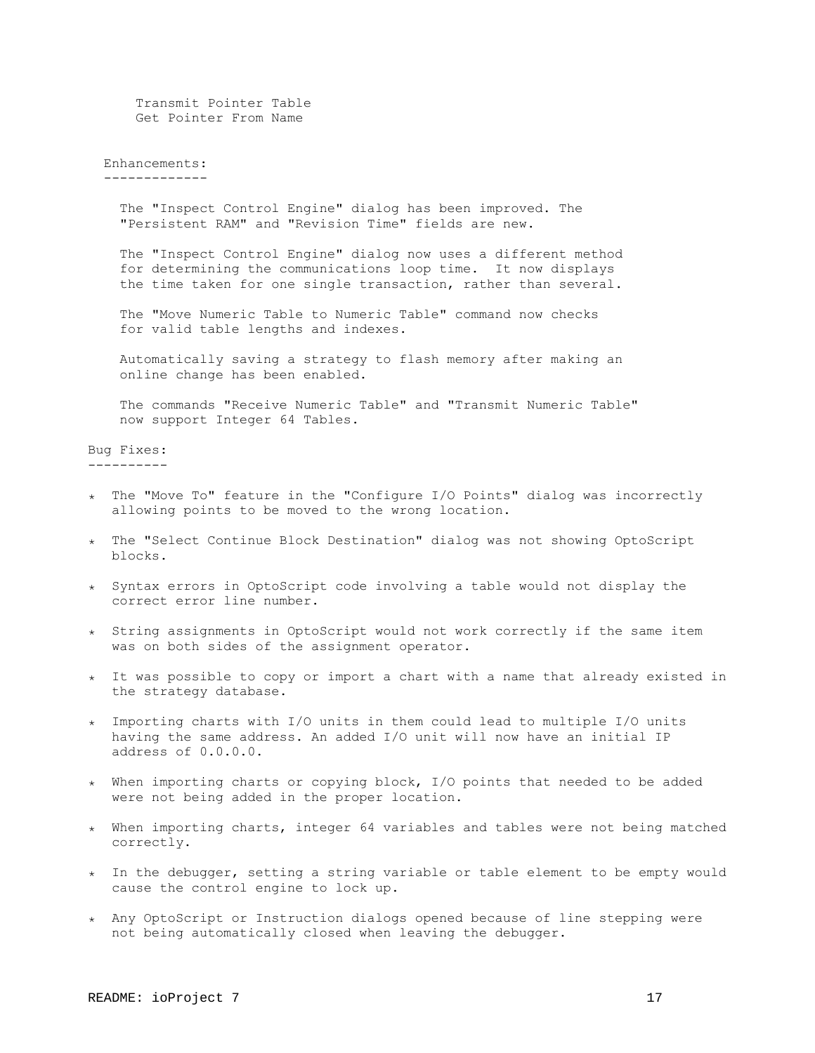Transmit Pointer Table Get Pointer From Name

#### Enhancements: -------------

 The "Inspect Control Engine" dialog has been improved. The "Persistent RAM" and "Revision Time" fields are new.

 The "Inspect Control Engine" dialog now uses a different method for determining the communications loop time. It now displays the time taken for one single transaction, rather than several.

 The "Move Numeric Table to Numeric Table" command now checks for valid table lengths and indexes.

 Automatically saving a strategy to flash memory after making an online change has been enabled.

 The commands "Receive Numeric Table" and "Transmit Numeric Table" now support Integer 64 Tables.

Bug Fixes: ----------

- ٭ The "Move To" feature in the "Configure I/O Points" dialog was incorrectly allowing points to be moved to the wrong location.
- ٭ The "Select Continue Block Destination" dialog was not showing OptoScript blocks.
- ٭ Syntax errors in OptoScript code involving a table would not display the correct error line number.
- ٭ String assignments in OptoScript would not work correctly if the same item was on both sides of the assignment operator.
- ٭ It was possible to copy or import a chart with a name that already existed in the strategy database.
- ٭ Importing charts with I/O units in them could lead to multiple I/O units having the same address. An added I/O unit will now have an initial IP address of 0.0.0.0.
- ٭ When importing charts or copying block, I/O points that needed to be added were not being added in the proper location.
- ٭ When importing charts, integer 64 variables and tables were not being matched correctly.
- ٭ In the debugger, setting a string variable or table element to be empty would cause the control engine to lock up.
- ٭ Any OptoScript or Instruction dialogs opened because of line stepping were not being automatically closed when leaving the debugger.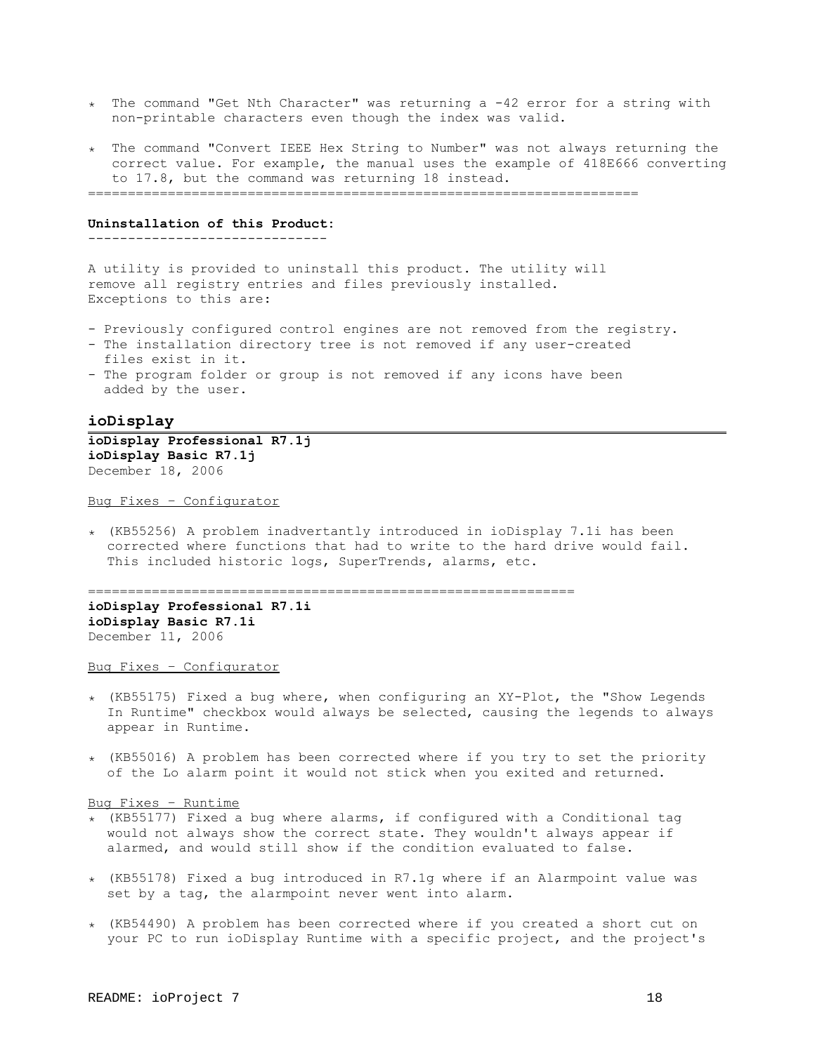- ٭ The command "Get Nth Character" was returning a -42 error for a string with non-printable characters even though the index was valid.
- ٭ The command "Convert IEEE Hex String to Number" was not always returning the correct value. For example, the manual uses the example of 418E666 converting to 17.8, but the command was returning 18 instead.

=====================================================================

## **Uninstallation of this Product:**

------------------------------

A utility is provided to uninstall this product. The utility will remove all registry entries and files previously installed. Exceptions to this are:

- Previously configured control engines are not removed from the registry.
- The installation directory tree is not removed if any user-created files exist in it.
- The program folder or group is not removed if any icons have been added by the user.

## <span id="page-17-0"></span>**ioDisplay**

**ioDisplay Professional R7.1j ioDisplay Basic R7.1j** December 18, 2006

Bug Fixes – Configurator

٭) KB55256) A problem inadvertantly introduced in ioDisplay 7.1i has been corrected where functions that had to write to the hard drive would fail. This included historic logs, SuperTrends, alarms, etc.

=============================================================

**ioDisplay Professional R7.1i ioDisplay Basic R7.1i** December 11, 2006

Bug Fixes – Configurator

- $\star$  (KB55175) Fixed a bug where, when configuring an XY-Plot, the "Show Legends In Runtime" checkbox would always be selected, causing the legends to always appear in Runtime.
- ٭) KB55016) A problem has been corrected where if you try to set the priority of the Lo alarm point it would not stick when you exited and returned.

#### Bug Fixes – Runtime

- $\star$  (KB55177) Fixed a bug where alarms, if configured with a Conditional tag would not always show the correct state. They wouldn't always appear if alarmed, and would still show if the condition evaluated to false.
- ٭) KB55178) Fixed a bug introduced in R7.1g where if an Alarmpoint value was set by a tag, the alarmpoint never went into alarm.
- ٭) KB54490) A problem has been corrected where if you created a short cut on your PC to run ioDisplay Runtime with a specific project, and the project's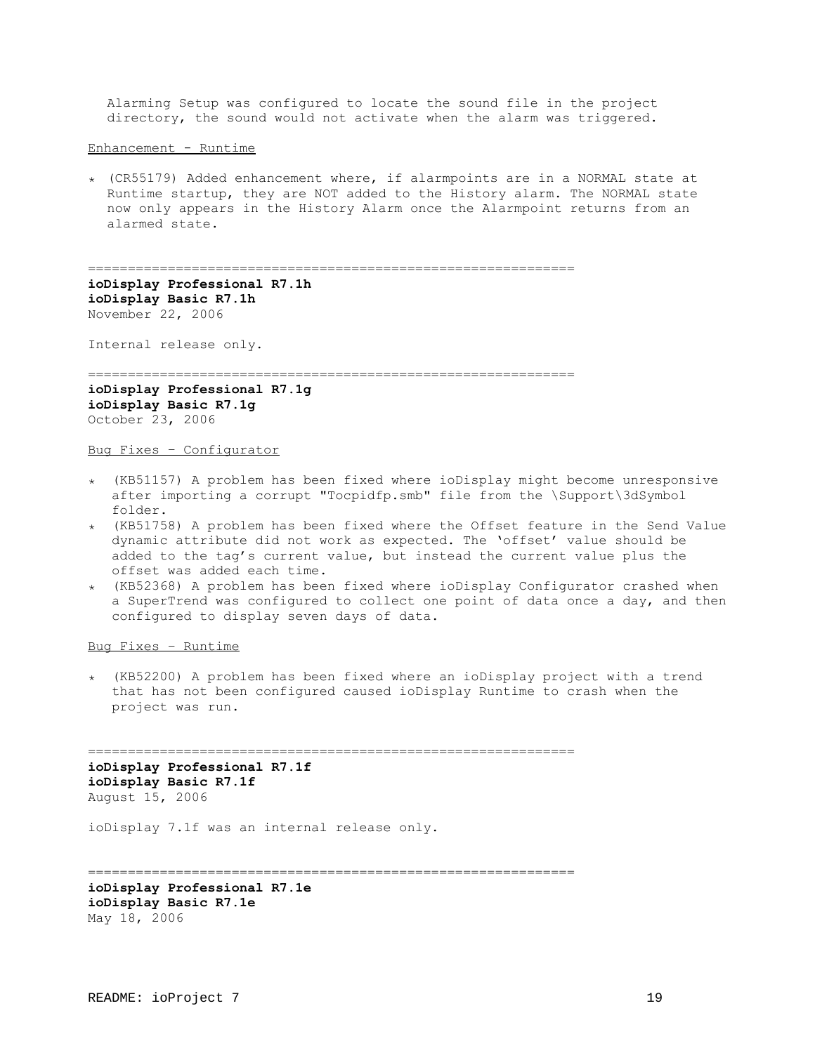Alarming Setup was configured to locate the sound file in the project directory, the sound would not activate when the alarm was triggered.

Enhancement - Runtime

٭) CR55179) Added enhancement where, if alarmpoints are in a NORMAL state at Runtime startup, they are NOT added to the History alarm. The NORMAL state now only appears in the History Alarm once the Alarmpoint returns from an alarmed state.

=============================================================

**ioDisplay Professional R7.1h ioDisplay Basic R7.1h** November 22, 2006

Internal release only.

=============================================================

**ioDisplay Professional R7.1g ioDisplay Basic R7.1g** October 23, 2006

Bug Fixes – Configurator

- ٭) KB51157) A problem has been fixed where ioDisplay might become unresponsive after importing a corrupt "Tocpidfp.smb" file from the \Support\3dSymbol folder.
- ٭) KB51758) A problem has been fixed where the Offset feature in the Send Value dynamic attribute did not work as expected. The 'offset' value should be added to the tag's current value, but instead the current value plus the offset was added each time.
- ٭) KB52368) A problem has been fixed where ioDisplay Configurator crashed when a SuperTrend was configured to collect one point of data once a day, and then configured to display seven days of data.

Bug Fixes – Runtime

٭) KB52200) A problem has been fixed where an ioDisplay project with a trend that has not been configured caused ioDisplay Runtime to crash when the project was run.

============================================================= **ioDisplay Professional R7.1f ioDisplay Basic R7.1f** August 15, 2006

ioDisplay 7.1f was an internal release only.

=============================================================

**ioDisplay Professional R7.1e ioDisplay Basic R7.1e** May 18, 2006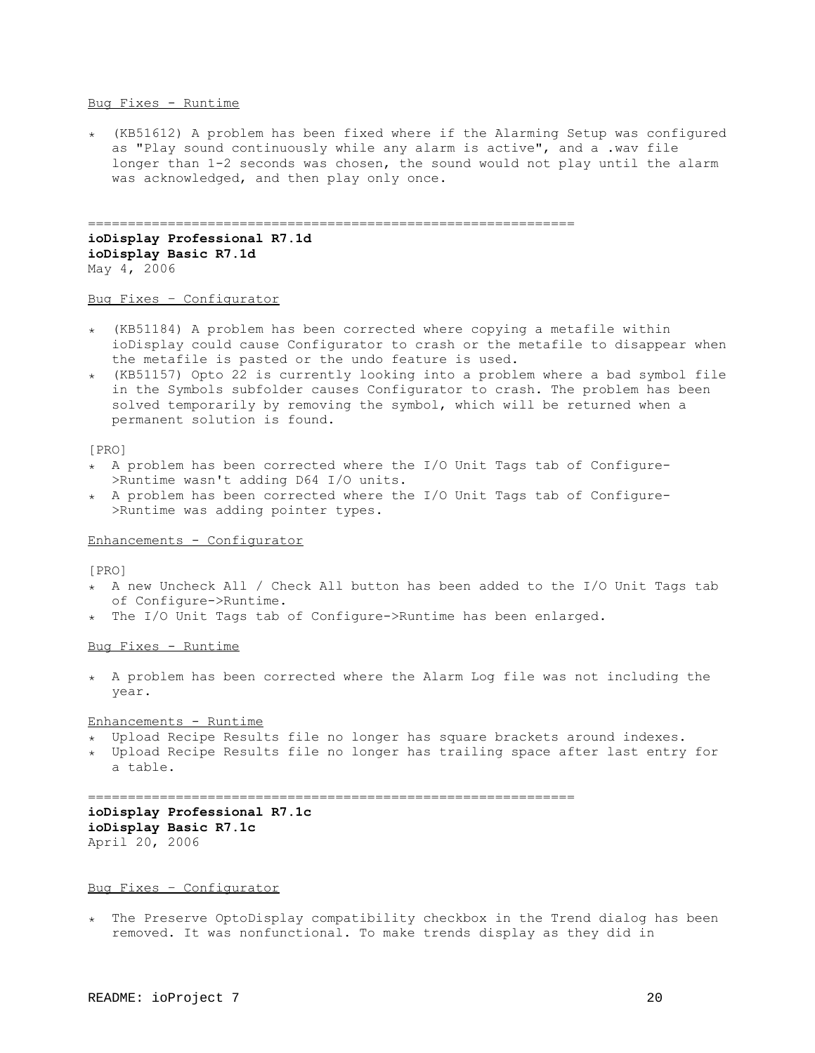## Bug Fixes - Runtime

٭) KB51612) A problem has been fixed where if the Alarming Setup was configured as "Play sound continuously while any alarm is active", and a .wav file longer than 1-2 seconds was chosen, the sound would not play until the alarm was acknowledged, and then play only once.

============================================================= **ioDisplay Professional R7.1d ioDisplay Basic R7.1d** May 4, 2006

# Bug Fixes – Configurator

- ٭) KB51184) A problem has been corrected where copying a metafile within ioDisplay could cause Configurator to crash or the metafile to disappear when the metafile is pasted or the undo feature is used.
- $\star$  (KB51157) Opto 22 is currently looking into a problem where a bad symbol file in the Symbols subfolder causes Configurator to crash. The problem has been solved temporarily by removing the symbol, which will be returned when a permanent solution is found.

#### [PRO]

- ٭ A problem has been corrected where the I/O Unit Tags tab of Configure- >Runtime wasn't adding D64 I/O units.
- ٭ A problem has been corrected where the I/O Unit Tags tab of Configure- >Runtime was adding pointer types.

# Enhancements - Configurator

## [PRO]

- ٭ A new Uncheck All / Check All button has been added to the I/O Unit Tags tab of Configure->Runtime.
- ٭ The I/O Unit Tags tab of Configure->Runtime has been enlarged.

## Bug Fixes - Runtime

٭ A problem has been corrected where the Alarm Log file was not including the year.

## Enhancements - Runtime

- ٭ Upload Recipe Results file no longer has square brackets around indexes.
- ٭ Upload Recipe Results file no longer has trailing space after last entry for a table.

=============================================================

# **ioDisplay Professional R7.1c ioDisplay Basic R7.1c** April 20, 2006

#### Bug Fixes – Configurator

٭ The Preserve OptoDisplay compatibility checkbox in the Trend dialog has been removed. It was nonfunctional. To make trends display as they did in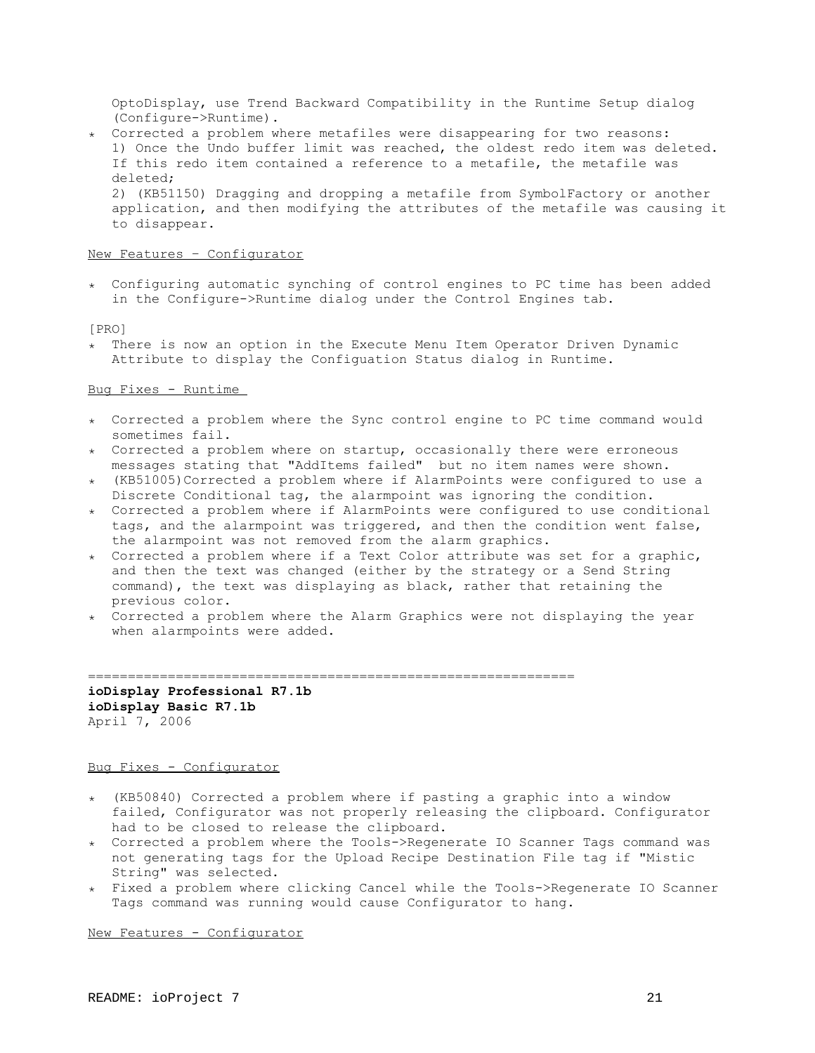OptoDisplay, use Trend Backward Compatibility in the Runtime Setup dialog (Configure->Runtime).

٭ Corrected a problem where metafiles were disappearing for two reasons: 1) Once the Undo buffer limit was reached, the oldest redo item was deleted. If this redo item contained a reference to a metafile, the metafile was deleted; 2) (KB51150) Dragging and dropping a metafile from SymbolFactory or another application, and then modifying the attributes of the metafile was causing it to disappear.

## New Features – Configurator

٭ Configuring automatic synching of control engines to PC time has been added in the Configure->Runtime dialog under the Control Engines tab.

#### [PRO]

٭ There is now an option in the Execute Menu Item Operator Driven Dynamic Attribute to display the Configuation Status dialog in Runtime.

# Bug Fixes - Runtime

- ٭ Corrected a problem where the Sync control engine to PC time command would sometimes fail.
- ٭ Corrected a problem where on startup, occasionally there were erroneous messages stating that "AddItems failed" but no item names were shown.
- $*$  (KB51005)Corrected a problem where if AlarmPoints were configured to use a Discrete Conditional tag, the alarmpoint was ignoring the condition.
- ٭ Corrected a problem where if AlarmPoints were configured to use conditional tags, and the alarmpoint was triggered, and then the condition went false, the alarmpoint was not removed from the alarm graphics.
- ٭ Corrected a problem where if a Text Color attribute was set for a graphic, and then the text was changed (either by the strategy or a Send String command), the text was displaying as black, rather that retaining the previous color.
- ٭ Corrected a problem where the Alarm Graphics were not displaying the year when alarmpoints were added.

=============================================================

**ioDisplay Professional R7.1b ioDisplay Basic R7.1b** April 7, 2006

# Bug Fixes - Configurator

- ٭) KB50840) Corrected a problem where if pasting a graphic into a window failed, Configurator was not properly releasing the clipboard. Configurator had to be closed to release the clipboard.
- ٭ Corrected a problem where the Tools->Regenerate IO Scanner Tags command was not generating tags for the Upload Recipe Destination File tag if "Mistic String" was selected.
- ٭ Fixed a problem where clicking Cancel while the Tools->Regenerate IO Scanner Tags command was running would cause Configurator to hang.

New Features - Configurator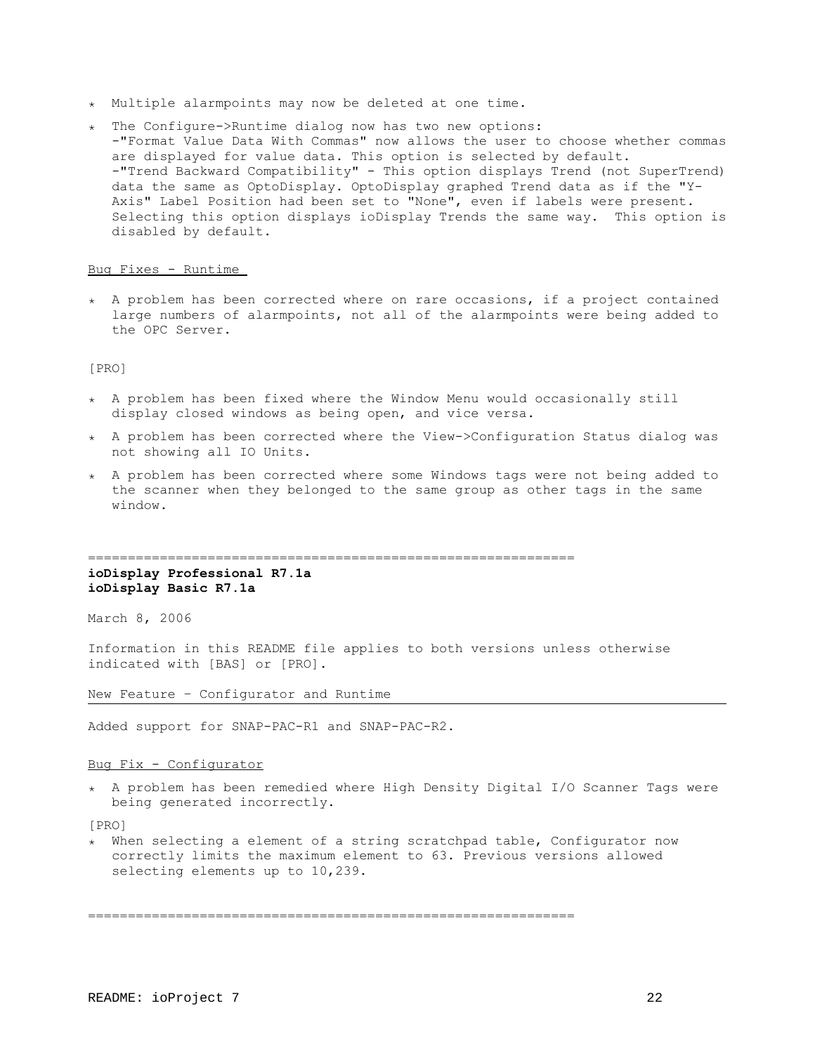- ٭ Multiple alarmpoints may now be deleted at one time.
- ٭ The Configure->Runtime dialog now has two new options: -"Format Value Data With Commas" now allows the user to choose whether commas are displayed for value data. This option is selected by default. -"Trend Backward Compatibility" - This option displays Trend (not SuperTrend) data the same as OptoDisplay. OptoDisplay graphed Trend data as if the "Y-Axis" Label Position had been set to "None", even if labels were present. Selecting this option displays ioDisplay Trends the same way. This option is disabled by default.

## Bug Fixes - Runtime

٭ A problem has been corrected where on rare occasions, if a project contained large numbers of alarmpoints, not all of the alarmpoints were being added to the OPC Server.

[PRO]

- ٭ A problem has been fixed where the Window Menu would occasionally still display closed windows as being open, and vice versa.
- ٭ A problem has been corrected where the View->Configuration Status dialog was not showing all IO Units.
- ٭ A problem has been corrected where some Windows tags were not being added to the scanner when they belonged to the same group as other tags in the same window.

=============================================================

# **ioDisplay Professional R7.1a ioDisplay Basic R7.1a**

March 8, 2006

Information in this README file applies to both versions unless otherwise indicated with [BAS] or [PRO].

New Feature – Configurator and Runtime

Added support for SNAP-PAC-R1 and SNAP-PAC-R2.

# Bug Fix - Configurator

٭ A problem has been remedied where High Density Digital I/O Scanner Tags were being generated incorrectly.

[PRO]

٭ When selecting a element of a string scratchpad table, Configurator now correctly limits the maximum element to 63. Previous versions allowed selecting elements up to 10,239.

=============================================================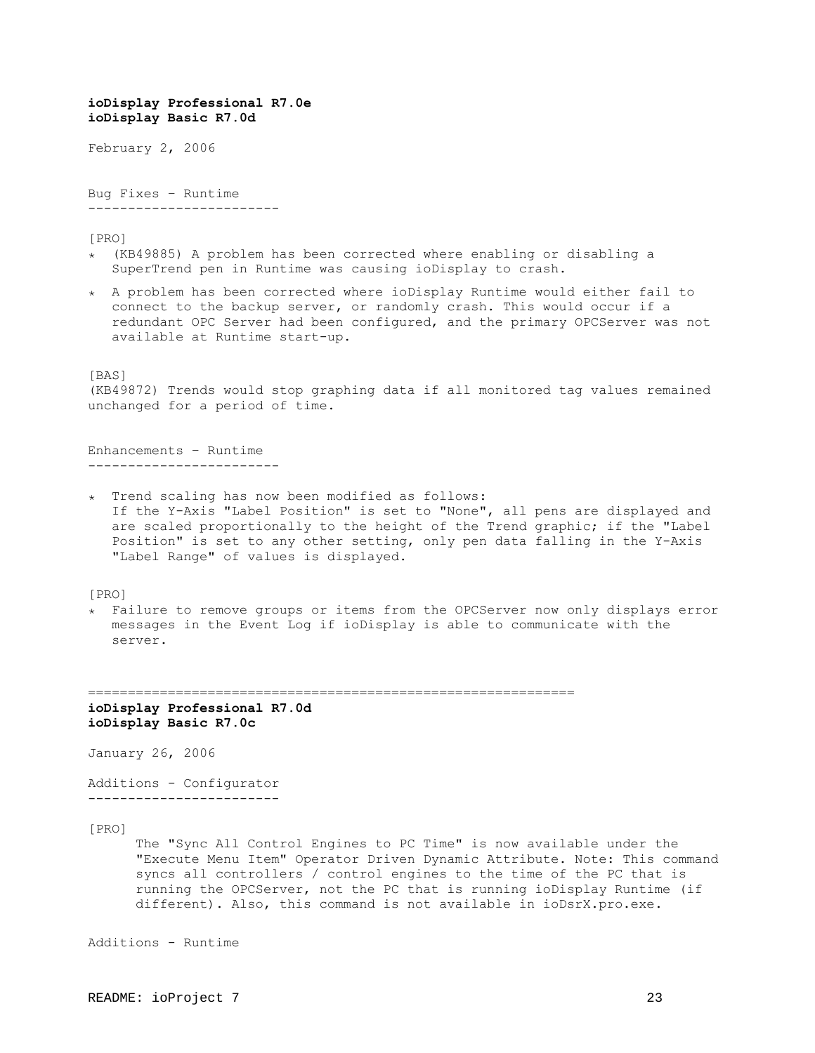**ioDisplay Basic R7.0d** February 2, 2006 Bug Fixes – Runtime ------------------------ [PRO] ٭) KB49885) A problem has been corrected where enabling or disabling a SuperTrend pen in Runtime was causing ioDisplay to crash. ٭ A problem has been corrected where ioDisplay Runtime would either fail to connect to the backup server, or randomly crash. This would occur if a redundant OPC Server had been configured, and the primary OPCServer was not available at Runtime start-up. [BAS] (KB49872) Trends would stop graphing data if all monitored tag values remained unchanged for a period of time. Enhancements – Runtime ------------------------ ٭ Trend scaling has now been modified as follows: If the Y-Axis "Label Position" is set to "None", all pens are displayed and are scaled proportionally to the height of the Trend graphic; if the "Label Position" is set to any other setting, only pen data falling in the Y-Axis "Label Range" of values is displayed. [PRO] ٭ Failure to remove groups or items from the OPCServer now only displays error messages in the Event Log if ioDisplay is able to communicate with the server. ============================================================= **ioDisplay Professional R7.0d ioDisplay Basic R7.0c** January 26, 2006 Additions - Configurator ------------------------ [PRO] The "Sync All Control Engines to PC Time" is now available under the "Execute Menu Item" Operator Driven Dynamic Attribute. Note: This command syncs all controllers / control engines to the time of the PC that is running the OPCServer, not the PC that is running ioDisplay Runtime (if different). Also, this command is not available in ioDsrX.pro.exe.

Additions - Runtime

**ioDisplay Professional R7.0e**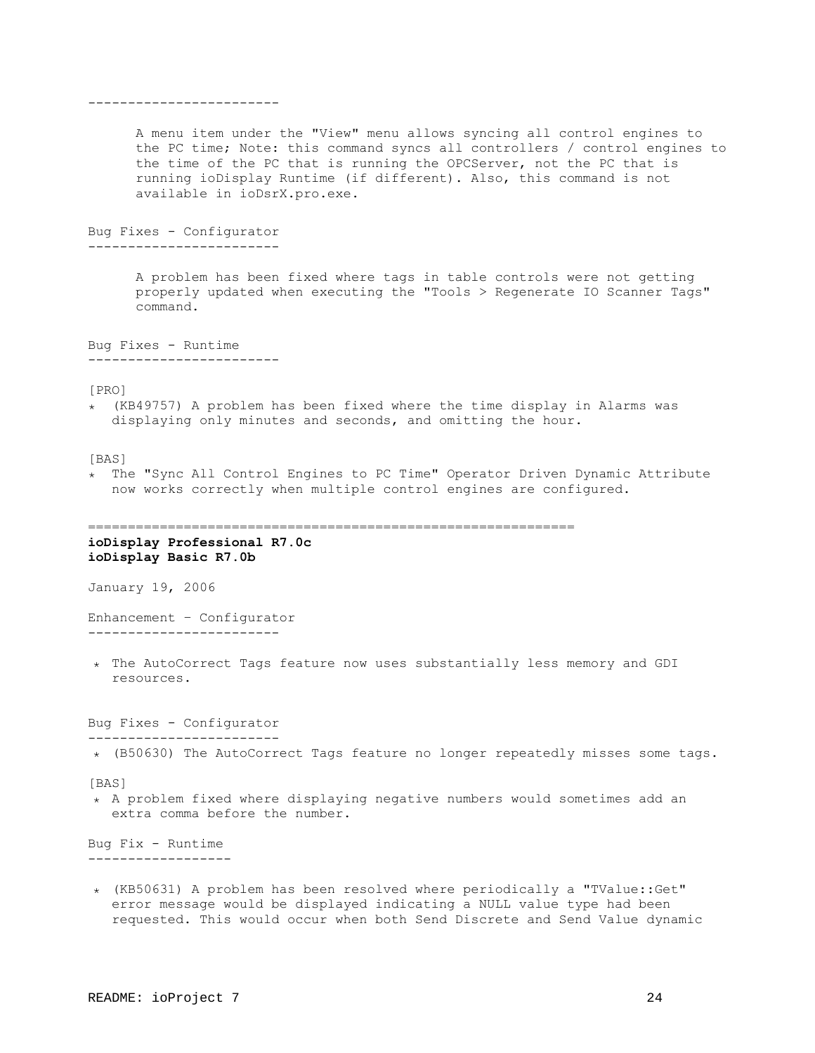A menu item under the "View" menu allows syncing all control engines to the PC time; Note: this command syncs all controllers / control engines to the time of the PC that is running the OPCServer, not the PC that is running ioDisplay Runtime (if different). Also, this command is not available in ioDsrX.pro.exe. Bug Fixes - Configurator ------------------------ A problem has been fixed where tags in table controls were not getting properly updated when executing the "Tools > Regenerate IO Scanner Tags" command. Bug Fixes - Runtime ------------------------ [PRO] ٭) KB49757) A problem has been fixed where the time display in Alarms was displaying only minutes and seconds, and omitting the hour. [BAS] ٭ The "Sync All Control Engines to PC Time" Operator Driven Dynamic Attribute now works correctly when multiple control engines are configured. ============================================================= **ioDisplay Professional R7.0c ioDisplay Basic R7.0b** January 19, 2006 Enhancement – Configurator ------------------------ ٭ The AutoCorrect Tags feature now uses substantially less memory and GDI resources. Bug Fixes - Configurator ------------------------ ٭) B50630) The AutoCorrect Tags feature no longer repeatedly misses some tags. [BAS] ٭ A problem fixed where displaying negative numbers would sometimes add an extra comma before the number. Bug Fix - Runtime ------------------ ٭) KB50631) A problem has been resolved where periodically a "TValue::Get" error message would be displayed indicating a NULL value type had been requested. This would occur when both Send Discrete and Send Value dynamic

------------------------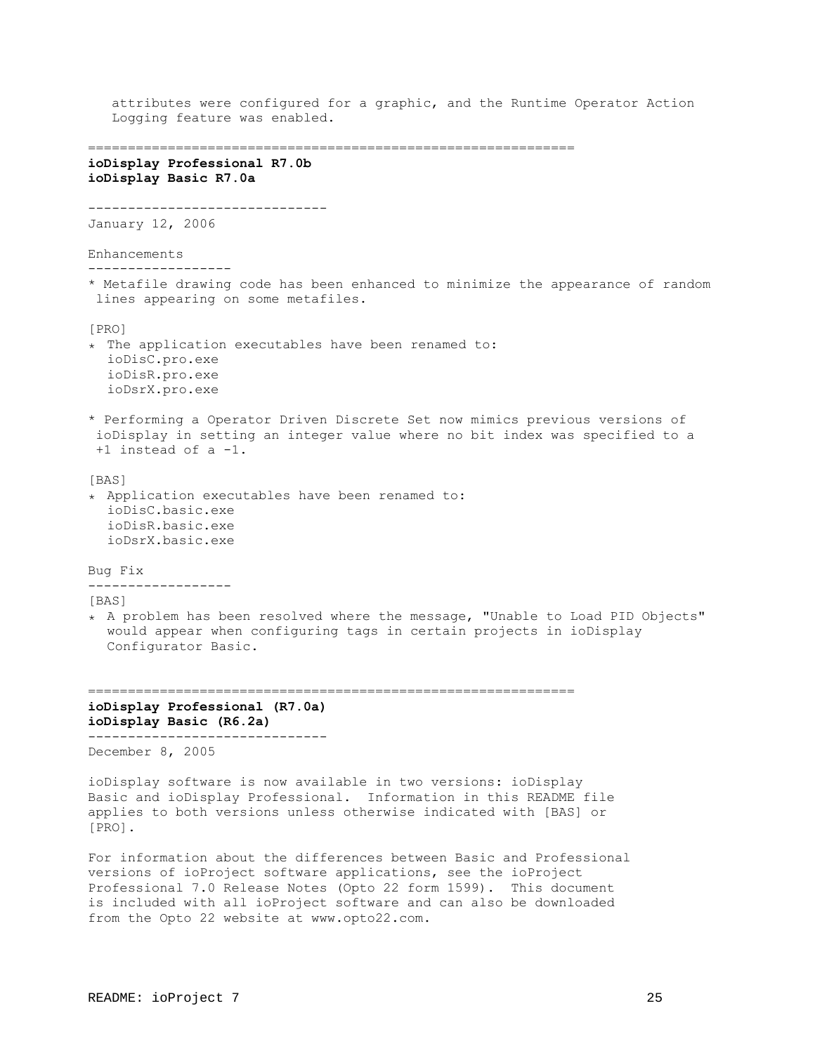```
attributes were configured for a graphic, and the Runtime Operator Action
   Logging feature was enabled. 
=============================================================
ioDisplay Professional R7.0b
ioDisplay Basic R7.0a
------------------------------
January 12, 2006
Enhancements
------------------
* Metafile drawing code has been enhanced to minimize the appearance of random
 lines appearing on some metafiles.
[PRO]
٭ The application executables have been renamed to:
  ioDisC.pro.exe
  ioDisR.pro.exe
  ioDsrX.pro.exe
* Performing a Operator Driven Discrete Set now mimics previous versions of
  ioDisplay in setting an integer value where no bit index was specified to a
  +1 instead of a -1.
[BAS]
٭ Application executables have been renamed to:
  ioDisC.basic.exe
  ioDisR.basic.exe
  ioDsrX.basic.exe
Bug Fix
------------------
[BAS]
٭ A problem has been resolved where the message, "Unable to Load PID Objects"
  would appear when configuring tags in certain projects in ioDisplay
  Configurator Basic.
=============================================================
ioDisplay Professional (R7.0a)
ioDisplay Basic (R6.2a)
------------------------------
December 8, 2005
ioDisplay software is now available in two versions: ioDisplay
Basic and ioDisplay Professional. Information in this README file
applies to both versions unless otherwise indicated with [BAS] or
[PRO].
For information about the differences between Basic and Professional
```
versions of ioProject software applications, see the ioProject Professional 7.0 Release Notes (Opto 22 form 1599). This document is included with all ioProject software and can also be downloaded from the Opto 22 website at www.opto22.com.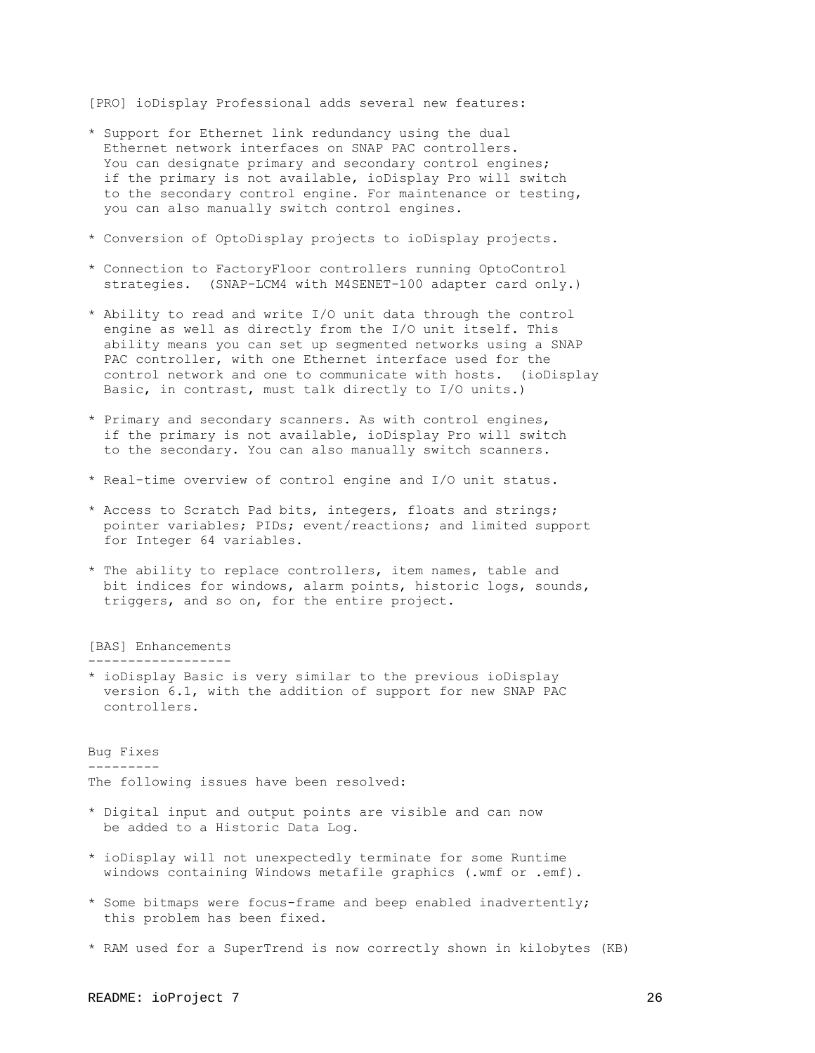[PRO] ioDisplay Professional adds several new features:

- \* Support for Ethernet link redundancy using the dual Ethernet network interfaces on SNAP PAC controllers. You can designate primary and secondary control engines; if the primary is not available, ioDisplay Pro will switch to the secondary control engine. For maintenance or testing, you can also manually switch control engines.
- \* Conversion of OptoDisplay projects to ioDisplay projects.
- \* Connection to FactoryFloor controllers running OptoControl strategies. (SNAP-LCM4 with M4SENET-100 adapter card only.)
- \* Ability to read and write I/O unit data through the control engine as well as directly from the I/O unit itself. This ability means you can set up segmented networks using a SNAP PAC controller, with one Ethernet interface used for the control network and one to communicate with hosts. (ioDisplay Basic, in contrast, must talk directly to I/O units.)
- \* Primary and secondary scanners. As with control engines, if the primary is not available, ioDisplay Pro will switch to the secondary. You can also manually switch scanners.
- \* Real-time overview of control engine and I/O unit status.
- \* Access to Scratch Pad bits, integers, floats and strings; pointer variables; PIDs; event/reactions; and limited support for Integer 64 variables.
- \* The ability to replace controllers, item names, table and bit indices for windows, alarm points, historic logs, sounds, triggers, and so on, for the entire project.

[BAS] Enhancements

------------------

\* ioDisplay Basic is very similar to the previous ioDisplay version 6.1, with the addition of support for new SNAP PAC controllers.

Bug Fixes ---------

The following issues have been resolved:

- \* Digital input and output points are visible and can now be added to a Historic Data Log.
- \* ioDisplay will not unexpectedly terminate for some Runtime windows containing Windows metafile graphics (.wmf or .emf).
- \* Some bitmaps were focus-frame and beep enabled inadvertently; this problem has been fixed.
- \* RAM used for a SuperTrend is now correctly shown in kilobytes (KB)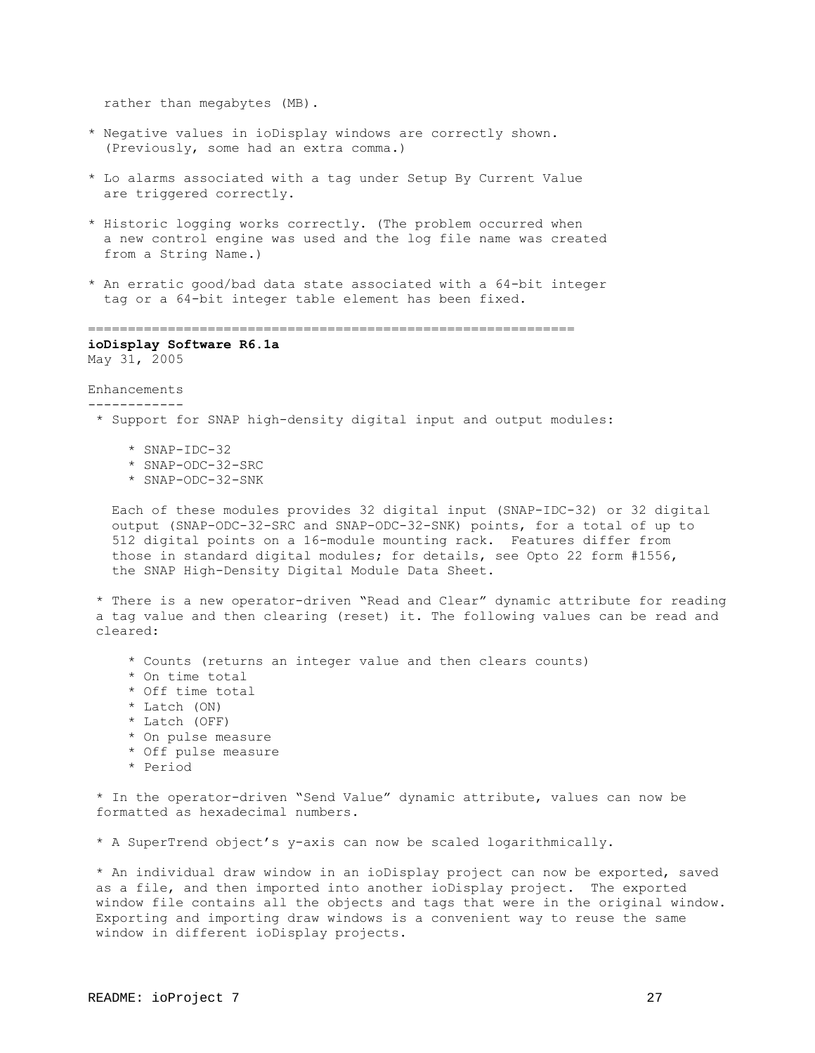rather than megabytes (MB).

- \* Negative values in ioDisplay windows are correctly shown. (Previously, some had an extra comma.)
- \* Lo alarms associated with a tag under Setup By Current Value are triggered correctly.
- \* Historic logging works correctly. (The problem occurred when a new control engine was used and the log file name was created from a String Name.)
- \* An erratic good/bad data state associated with a 64-bit integer tag or a 64-bit integer table element has been fixed.

=============================================================

**ioDisplay Software R6.1a** May 31, 2005

#### Enhancements ------------

- \* Support for SNAP high-density digital input and output modules:
	- \* SNAP-IDC-32
	- \* SNAP-ODC-32-SRC
	- \* SNAP-ODC-32-SNK

 Each of these modules provides 32 digital input (SNAP-IDC-32) or 32 digital output (SNAP-ODC-32-SRC and SNAP-ODC-32-SNK) points, for a total of up to 512 digital points on a 16-module mounting rack. Features differ from those in standard digital modules; for details, see Opto 22 form #1556, the SNAP High-Density Digital Module Data Sheet.

 \* There is a new operator-driven "Read and Clear" dynamic attribute for reading a tag value and then clearing (reset) it. The following values can be read and cleared:

- \* Counts (returns an integer value and then clears counts)
- \* On time total
- \* Off time total
- \* Latch (ON)
- \* Latch (OFF)
- \* On pulse measure
- \* Off pulse measure
- \* Period

 \* In the operator-driven "Send Value" dynamic attribute, values can now be formatted as hexadecimal numbers.

\* A SuperTrend object's y-axis can now be scaled logarithmically.

 \* An individual draw window in an ioDisplay project can now be exported, saved as a file, and then imported into another ioDisplay project. The exported window file contains all the objects and tags that were in the original window. Exporting and importing draw windows is a convenient way to reuse the same window in different ioDisplay projects.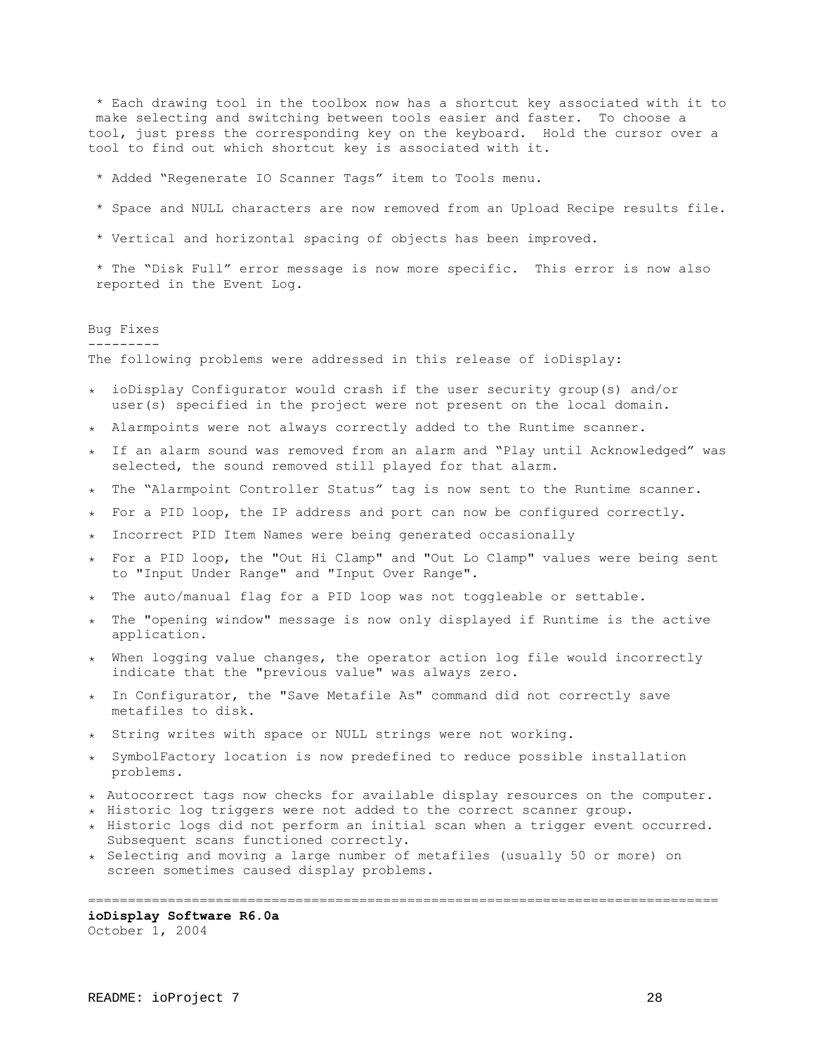\* Each drawing tool in the toolbox now has a shortcut key associated with it to make selecting and switching between tools easier and faster. To choose a tool, just press the corresponding key on the keyboard. Hold the cursor over a tool to find out which shortcut key is associated with it.

- \* Added "Regenerate IO Scanner Tags" item to Tools menu.
- \* Space and NULL characters are now removed from an Upload Recipe results file.
- \* Vertical and horizontal spacing of objects has been improved.

 \* The "Disk Full" error message is now more specific. This error is now also reported in the Event Log.

## Bug Fixes

---------

The following problems were addressed in this release of ioDisplay:

- ٭ ioDisplay Configurator would crash if the user security group(s) and/or user(s) specified in the project were not present on the local domain.
- ٭ Alarmpoints were not always correctly added to the Runtime scanner.
- ٭ If an alarm sound was removed from an alarm and "Play until Acknowledged" was selected, the sound removed still played for that alarm.
- ٭ The "Alarmpoint Controller Status" tag is now sent to the Runtime scanner.
- ٭ For a PID loop, the IP address and port can now be configured correctly.
- ٭ Incorrect PID Item Names were being generated occasionally
- ٭ For a PID loop, the "Out Hi Clamp" and "Out Lo Clamp" values were being sent to "Input Under Range" and "Input Over Range".
- ٭ The auto/manual flag for a PID loop was not toggleable or settable.
- ٭ The "opening window" message is now only displayed if Runtime is the active application.
- ٭ When logging value changes, the operator action log file would incorrectly indicate that the "previous value" was always zero.
- ٭ In Configurator, the "Save Metafile As" command did not correctly save metafiles to disk.
- ٭ String writes with space or NULL strings were not working.
- ٭ SymbolFactory location is now predefined to reduce possible installation problems.
- ٭ Autocorrect tags now checks for available display resources on the computer.
- ٭ Historic log triggers were not added to the correct scanner group.
- ٭ Historic logs did not perform an initial scan when a trigger event occurred. Subsequent scans functioned correctly.
- ٭ Selecting and moving a large number of metafiles (usually 50 or more) on screen sometimes caused display problems.

# ===============================================================================

# **ioDisplay Software R6.0a**

October 1, 2004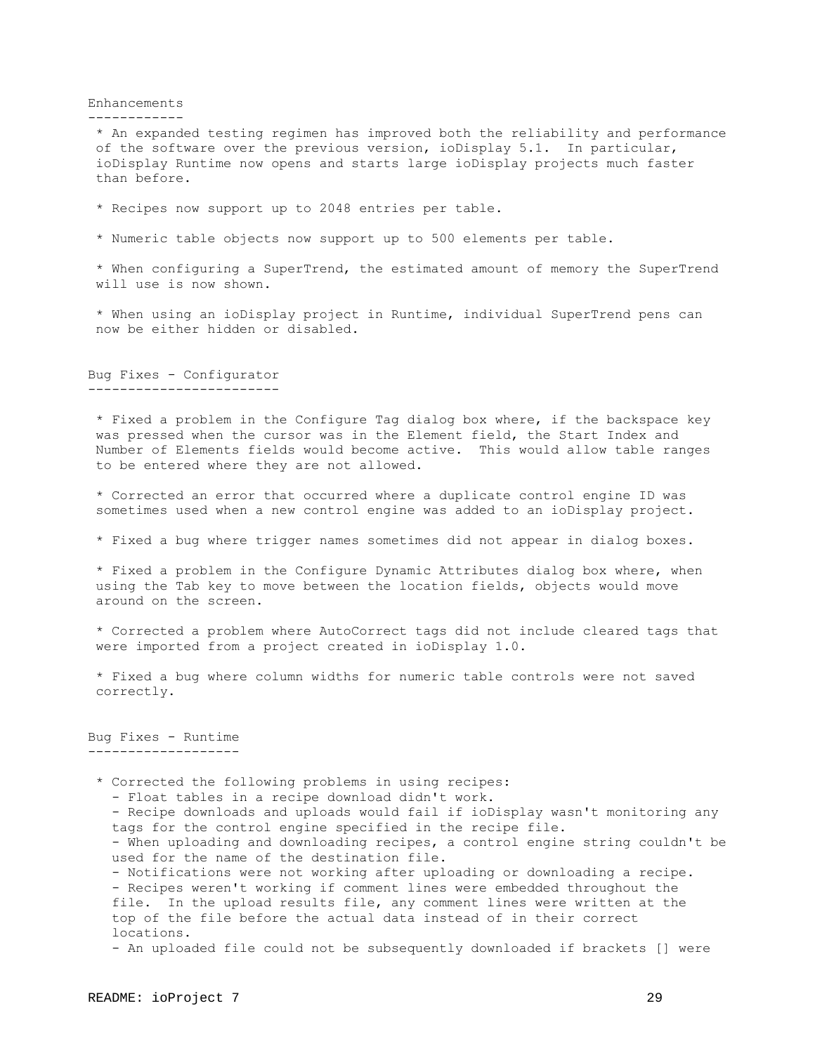Enhancements

------------

 \* An expanded testing regimen has improved both the reliability and performance of the software over the previous version, ioDisplay 5.1. In particular, ioDisplay Runtime now opens and starts large ioDisplay projects much faster than before.

\* Recipes now support up to 2048 entries per table.

\* Numeric table objects now support up to 500 elements per table.

 \* When configuring a SuperTrend, the estimated amount of memory the SuperTrend will use is now shown.

 \* When using an ioDisplay project in Runtime, individual SuperTrend pens can now be either hidden or disabled.

Bug Fixes - Configurator ------------------------

 \* Fixed a problem in the Configure Tag dialog box where, if the backspace key was pressed when the cursor was in the Element field, the Start Index and Number of Elements fields would become active. This would allow table ranges to be entered where they are not allowed.

 \* Corrected an error that occurred where a duplicate control engine ID was sometimes used when a new control engine was added to an ioDisplay project.

\* Fixed a bug where trigger names sometimes did not appear in dialog boxes.

 \* Fixed a problem in the Configure Dynamic Attributes dialog box where, when using the Tab key to move between the location fields, objects would move around on the screen.

 \* Corrected a problem where AutoCorrect tags did not include cleared tags that were imported from a project created in ioDisplay 1.0.

 \* Fixed a bug where column widths for numeric table controls were not saved correctly.

Bug Fixes - Runtime -------------------

 \* Corrected the following problems in using recipes: - Float tables in a recipe download didn't work. - Recipe downloads and uploads would fail if ioDisplay wasn't monitoring any tags for the control engine specified in the recipe file. - When uploading and downloading recipes, a control engine string couldn't be used for the name of the destination file. - Notifications were not working after uploading or downloading a recipe. - Recipes weren't working if comment lines were embedded throughout the file. In the upload results file, any comment lines were written at the top of the file before the actual data instead of in their correct locations. - An uploaded file could not be subsequently downloaded if brackets [] were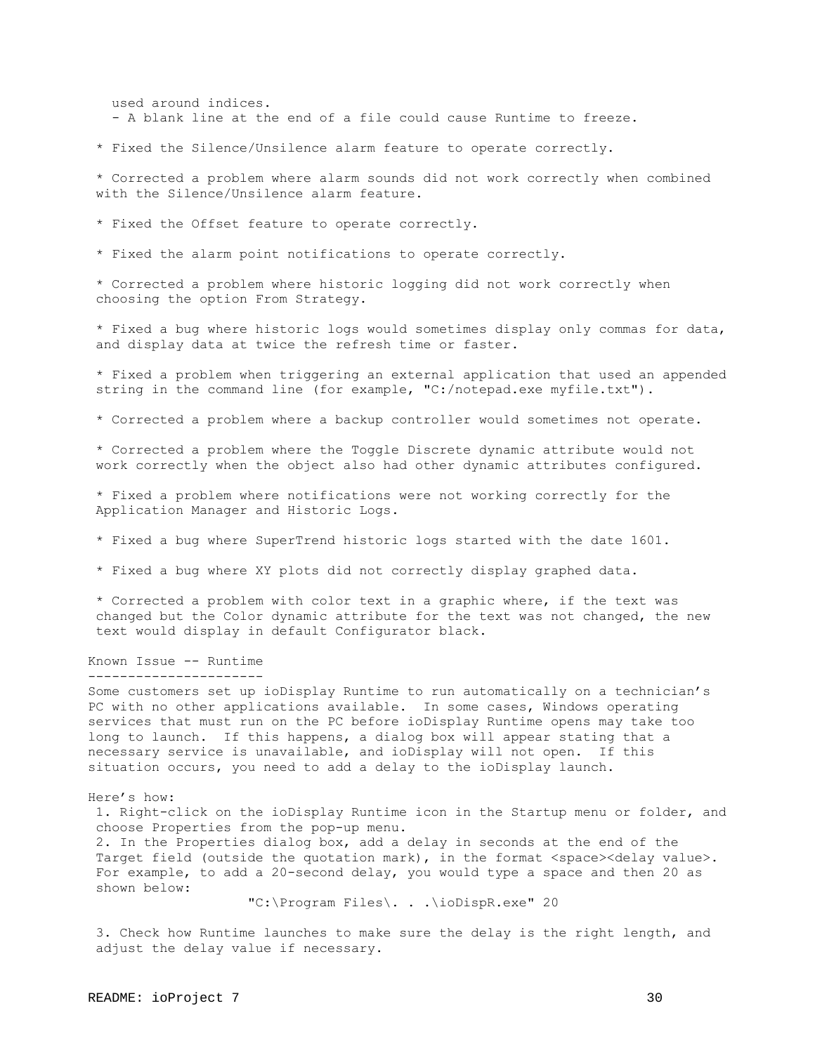used around indices. - A blank line at the end of a file could cause Runtime to freeze.

\* Fixed the Silence/Unsilence alarm feature to operate correctly.

 \* Corrected a problem where alarm sounds did not work correctly when combined with the Silence/Unsilence alarm feature.

\* Fixed the Offset feature to operate correctly.

\* Fixed the alarm point notifications to operate correctly.

 \* Corrected a problem where historic logging did not work correctly when choosing the option From Strategy.

 \* Fixed a bug where historic logs would sometimes display only commas for data, and display data at twice the refresh time or faster.

 \* Fixed a problem when triggering an external application that used an appended string in the command line (for example, "C:/notepad.exe myfile.txt").

\* Corrected a problem where a backup controller would sometimes not operate.

 \* Corrected a problem where the Toggle Discrete dynamic attribute would not work correctly when the object also had other dynamic attributes configured.

 \* Fixed a problem where notifications were not working correctly for the Application Manager and Historic Logs.

- \* Fixed a bug where SuperTrend historic logs started with the date 1601.
- \* Fixed a bug where XY plots did not correctly display graphed data.

 \* Corrected a problem with color text in a graphic where, if the text was changed but the Color dynamic attribute for the text was not changed, the new text would display in default Configurator black.

#### Known Issue -- Runtime ----------------------

Some customers set up ioDisplay Runtime to run automatically on a technician's PC with no other applications available. In some cases, Windows operating services that must run on the PC before ioDisplay Runtime opens may take too long to launch. If this happens, a dialog box will appear stating that a necessary service is unavailable, and ioDisplay will not open. If this situation occurs, you need to add a delay to the ioDisplay launch.

Here's how:

 1. Right-click on the ioDisplay Runtime icon in the Startup menu or folder, and choose Properties from the pop-up menu.

 2. In the Properties dialog box, add a delay in seconds at the end of the Target field (outside the quotation mark), in the format <space><delay value>. For example, to add a 20-second delay, you would type a space and then 20 as shown below:

"C:\Program Files\. . .\ioDispR.exe" 20

 3. Check how Runtime launches to make sure the delay is the right length, and adjust the delay value if necessary.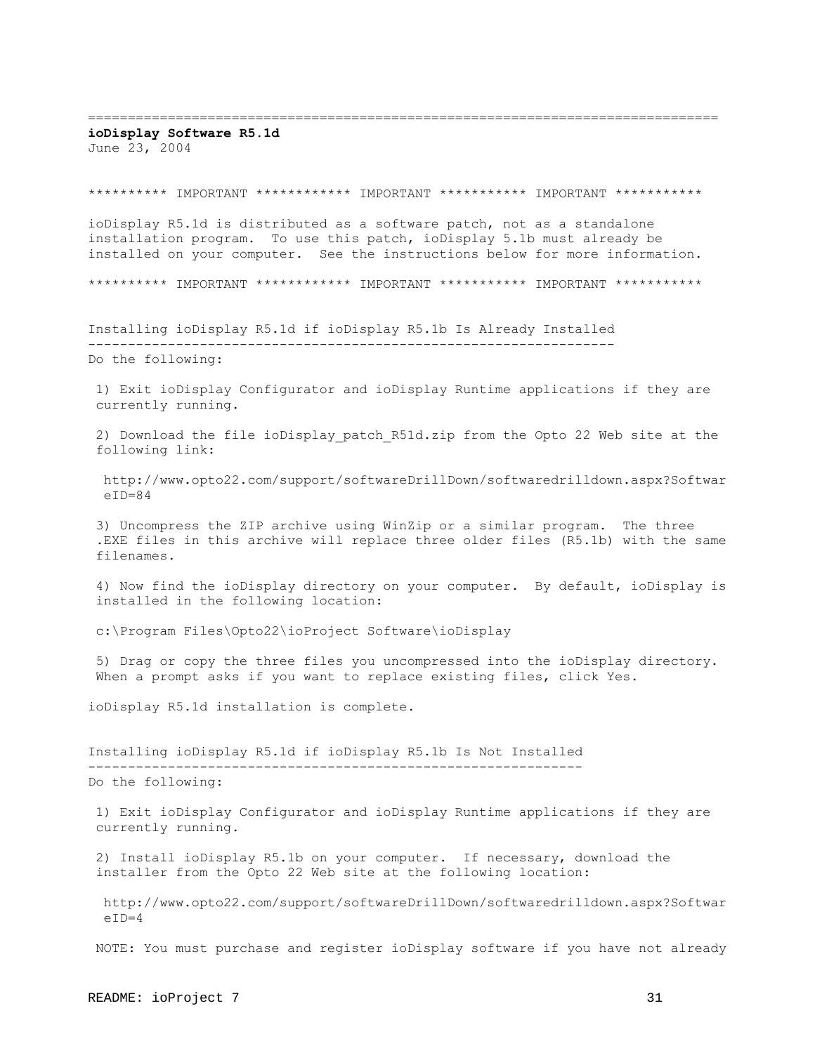===============================================================================

# **ioDisplay Software R5.1d**

June 23, 2004

## \*\*\*\*\*\*\*\*\*\* IMPORTANT \*\*\*\*\*\*\*\*\*\*\* IMPORTANT \*\*\*\*\*\*\*\*\*\* IMPORTANT \*\*\*\*\*\*\*\*\*\*\*

ioDisplay R5.1d is distributed as a software patch, not as a standalone installation program. To use this patch, ioDisplay 5.1b must already be installed on your computer. See the instructions below for more information.

\*\*\*\*\*\*\*\*\*\* IMPORTANT \*\*\*\*\*\*\*\*\*\*\* IMPORTANT \*\*\*\*\*\*\*\*\*\* IMPORTANT \*\*\*\*\*\*\*\*\*\*\*

Installing ioDisplay R5.1d if ioDisplay R5.1b Is Already Installed ------------------------------------------------------------------ Do the following:

 1) Exit ioDisplay Configurator and ioDisplay Runtime applications if they are currently running.

2) Download the file ioDisplay patch R51d.zip from the Opto 22 Web site at the following link:

 http://www.opto22.com/support/softwareDrillDown/softwaredrilldown.aspx?Softwar  $eID=84$ 

 3) Uncompress the ZIP archive using WinZip or a similar program. The three .EXE files in this archive will replace three older files (R5.1b) with the same filenames.

 4) Now find the ioDisplay directory on your computer. By default, ioDisplay is installed in the following location:

c:\Program Files\Opto22\ioProject Software\ioDisplay

 5) Drag or copy the three files you uncompressed into the ioDisplay directory. When a prompt asks if you want to replace existing files, click Yes.

ioDisplay R5.1d installation is complete.

Installing ioDisplay R5.1d if ioDisplay R5.1b Is Not Installed -------------------------------------------------------------- Do the following:

 1) Exit ioDisplay Configurator and ioDisplay Runtime applications if they are currently running.

 2) Install ioDisplay R5.1b on your computer. If necessary, download the installer from the Opto 22 Web site at the following location:

 http://www.opto22.com/support/softwareDrillDown/softwaredrilldown.aspx?Softwar  $eID=4$ 

NOTE: You must purchase and register ioDisplay software if you have not already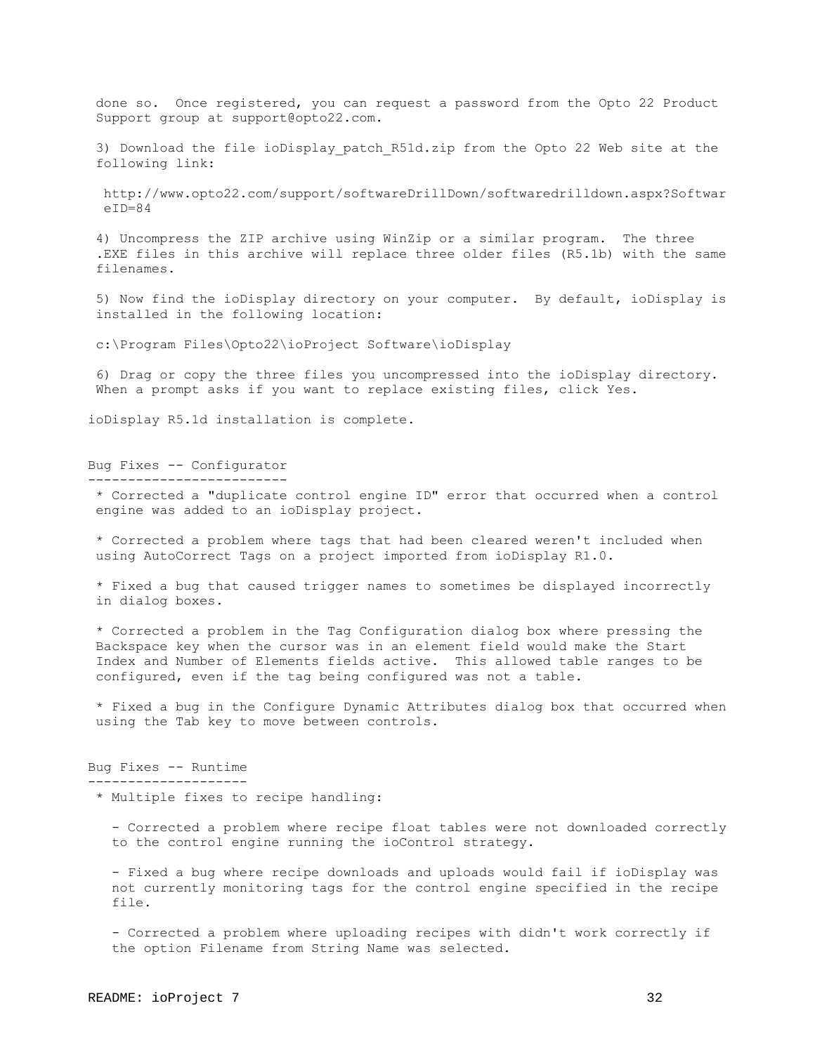done so. Once registered, you can request a password from the Opto 22 Product Support group at support@opto22.com.

3) Download the file ioDisplay patch R51d.zip from the Opto 22 Web site at the following link:

 http://www.opto22.com/support/softwareDrillDown/softwaredrilldown.aspx?Softwar  $e$ TD=84

 4) Uncompress the ZIP archive using WinZip or a similar program. The three .EXE files in this archive will replace three older files (R5.1b) with the same filenames.

 5) Now find the ioDisplay directory on your computer. By default, ioDisplay is installed in the following location:

c:\Program Files\Opto22\ioProject Software\ioDisplay

 6) Drag or copy the three files you uncompressed into the ioDisplay directory. When a prompt asks if you want to replace existing files, click Yes.

ioDisplay R5.1d installation is complete.

Bug Fixes -- Configurator

-------------------------

 \* Corrected a "duplicate control engine ID" error that occurred when a control engine was added to an ioDisplay project.

\* Corrected a problem where tags that had been cleared weren't included when using AutoCorrect Tags on a project imported from ioDisplay R1.0.

 \* Fixed a bug that caused trigger names to sometimes be displayed incorrectly in dialog boxes.

 \* Corrected a problem in the Tag Configuration dialog box where pressing the Backspace key when the cursor was in an element field would make the Start Index and Number of Elements fields active. This allowed table ranges to be configured, even if the tag being configured was not a table.

 \* Fixed a bug in the Configure Dynamic Attributes dialog box that occurred when using the Tab key to move between controls.

Bug Fixes -- Runtime -------------------- \* Multiple fixes to recipe handling:

 - Corrected a problem where recipe float tables were not downloaded correctly to the control engine running the ioControl strategy.

 - Fixed a bug where recipe downloads and uploads would fail if ioDisplay was not currently monitoring tags for the control engine specified in the recipe file.

 - Corrected a problem where uploading recipes with didn't work correctly if the option Filename from String Name was selected.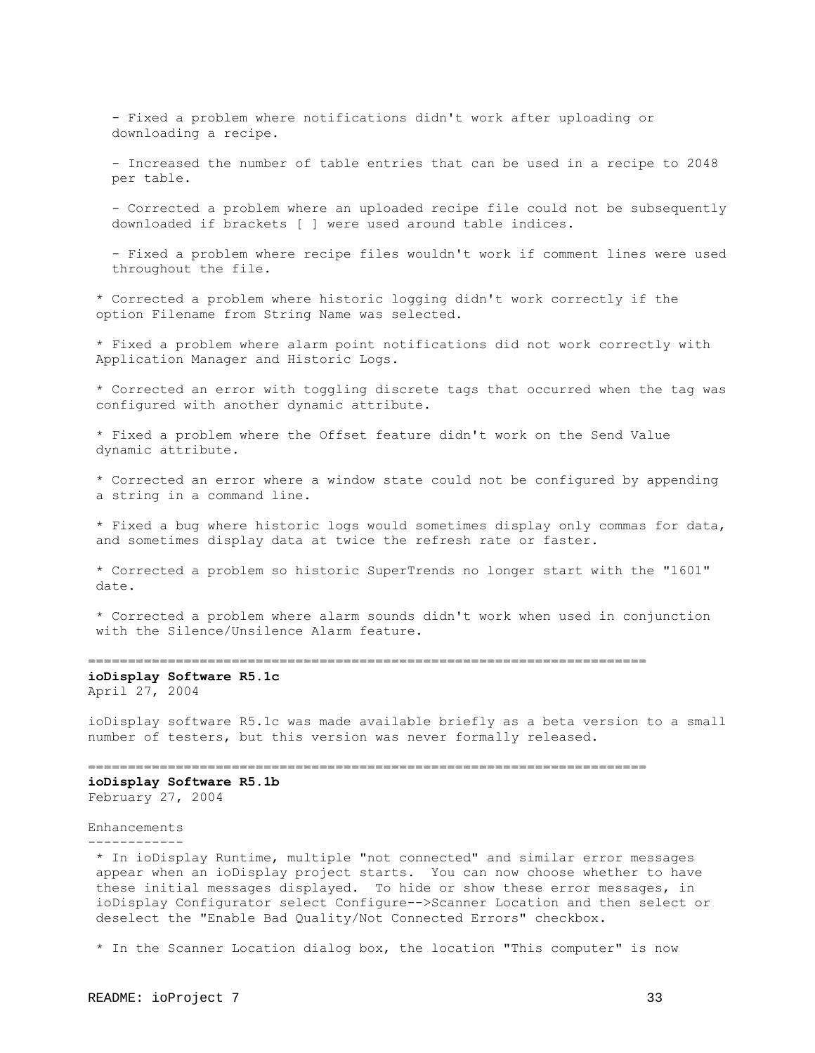- Fixed a problem where notifications didn't work after uploading or downloading a recipe.

 - Increased the number of table entries that can be used in a recipe to 2048 per table.

 - Corrected a problem where an uploaded recipe file could not be subsequently downloaded if brackets [ ] were used around table indices.

 - Fixed a problem where recipe files wouldn't work if comment lines were used throughout the file.

 \* Corrected a problem where historic logging didn't work correctly if the option Filename from String Name was selected.

 \* Fixed a problem where alarm point notifications did not work correctly with Application Manager and Historic Logs.

 \* Corrected an error with toggling discrete tags that occurred when the tag was configured with another dynamic attribute.

 \* Fixed a problem where the Offset feature didn't work on the Send Value dynamic attribute.

 \* Corrected an error where a window state could not be configured by appending a string in a command line.

 \* Fixed a bug where historic logs would sometimes display only commas for data, and sometimes display data at twice the refresh rate or faster.

 \* Corrected a problem so historic SuperTrends no longer start with the "1601" date.

 \* Corrected a problem where alarm sounds didn't work when used in conjunction with the Silence/Unsilence Alarm feature.

======================================================================

**ioDisplay Software R5.1c** April 27, 2004

ioDisplay software R5.1c was made available briefly as a beta version to a small number of testers, but this version was never formally released.

======================================================================

**ioDisplay Software R5.1b** February 27, 2004

#### Enhancements

------------

 \* In ioDisplay Runtime, multiple "not connected" and similar error messages appear when an ioDisplay project starts. You can now choose whether to have these initial messages displayed. To hide or show these error messages, in ioDisplay Configurator select Configure-->Scanner Location and then select or deselect the "Enable Bad Quality/Not Connected Errors" checkbox.

\* In the Scanner Location dialog box, the location "This computer" is now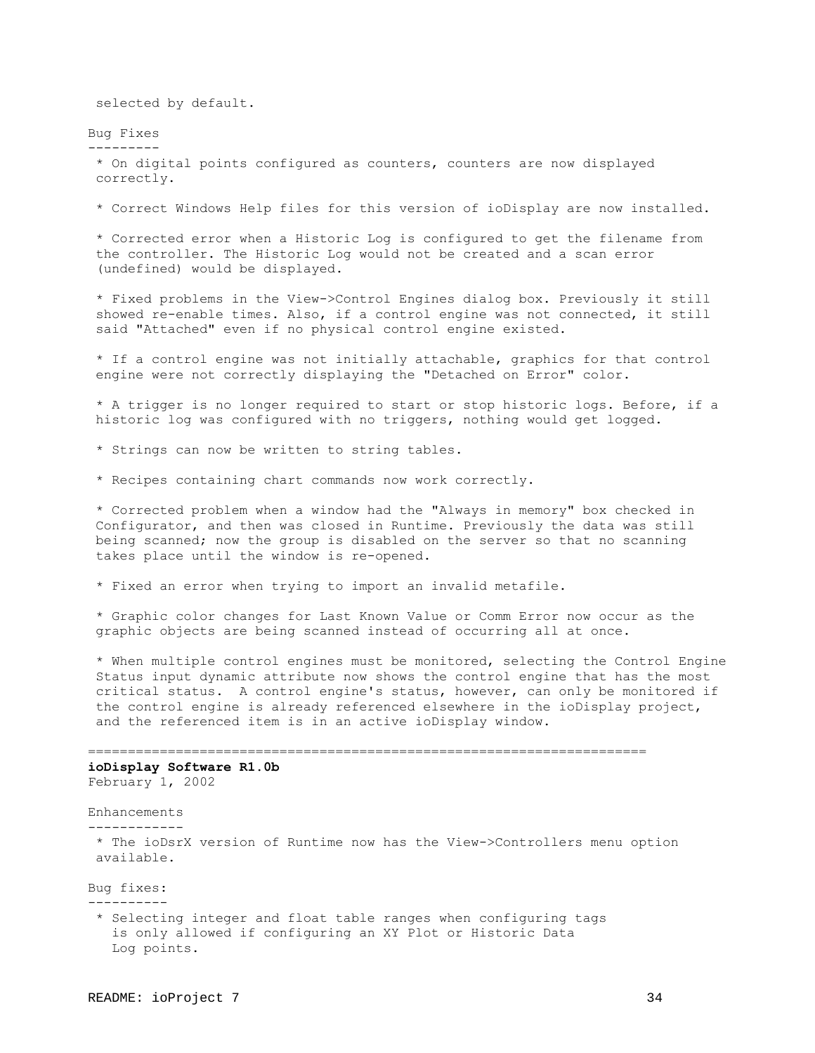selected by default.

Bug Fixes ---------

> \* On digital points configured as counters, counters are now displayed correctly.

\* Correct Windows Help files for this version of ioDisplay are now installed.

 \* Corrected error when a Historic Log is configured to get the filename from the controller. The Historic Log would not be created and a scan error (undefined) would be displayed.

 \* Fixed problems in the View->Control Engines dialog box. Previously it still showed re-enable times. Also, if a control engine was not connected, it still said "Attached" even if no physical control engine existed.

 \* If a control engine was not initially attachable, graphics for that control engine were not correctly displaying the "Detached on Error" color.

 \* A trigger is no longer required to start or stop historic logs. Before, if a historic log was configured with no triggers, nothing would get logged.

\* Strings can now be written to string tables.

\* Recipes containing chart commands now work correctly.

 \* Corrected problem when a window had the "Always in memory" box checked in Configurator, and then was closed in Runtime. Previously the data was still being scanned; now the group is disabled on the server so that no scanning takes place until the window is re-opened.

\* Fixed an error when trying to import an invalid metafile.

 \* Graphic color changes for Last Known Value or Comm Error now occur as the graphic objects are being scanned instead of occurring all at once.

 \* When multiple control engines must be monitored, selecting the Control Engine Status input dynamic attribute now shows the control engine that has the most critical status. A control engine's status, however, can only be monitored if the control engine is already referenced elsewhere in the ioDisplay project, and the referenced item is in an active ioDisplay window.

====================================================================== **ioDisplay Software R1.0b**

February 1, 2002

Enhancements

------------

 \* The ioDsrX version of Runtime now has the View->Controllers menu option available.

Bug fixes:

----------

 \* Selecting integer and float table ranges when configuring tags is only allowed if configuring an XY Plot or Historic Data Log points.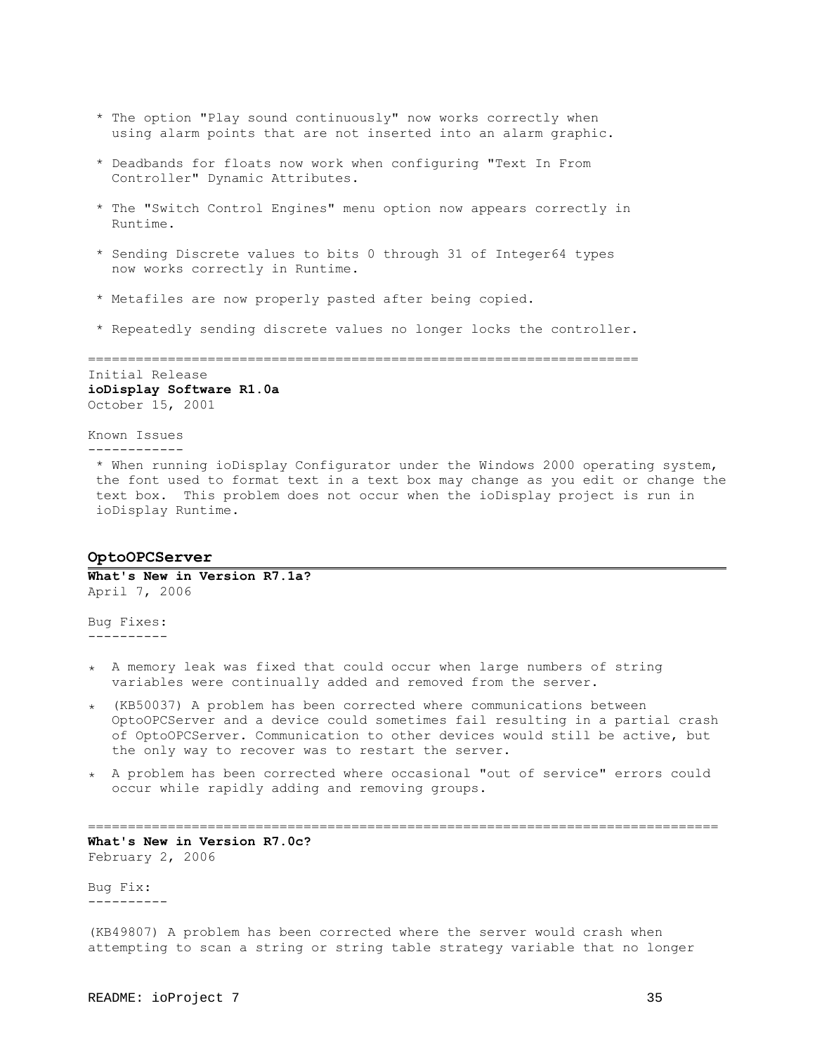- \* The option "Play sound continuously" now works correctly when using alarm points that are not inserted into an alarm graphic.
- \* Deadbands for floats now work when configuring "Text In From Controller" Dynamic Attributes.
- \* The "Switch Control Engines" menu option now appears correctly in Runtime.
- \* Sending Discrete values to bits 0 through 31 of Integer64 types now works correctly in Runtime.
- \* Metafiles are now properly pasted after being copied.
- \* Repeatedly sending discrete values no longer locks the controller.

=====================================================================

Initial Release **ioDisplay Software R1.0a** October 15, 2001

## Known Issues

------------

 \* When running ioDisplay Configurator under the Windows 2000 operating system, the font used to format text in a text box may change as you edit or change the text box. This problem does not occur when the ioDisplay project is run in ioDisplay Runtime.

## <span id="page-34-0"></span>**OptoOPCServer**

**What's New in Version R7.1a?** April 7, 2006

Bug Fixes: ----------

- ٭ A memory leak was fixed that could occur when large numbers of string variables were continually added and removed from the server.
- ٭) KB50037) A problem has been corrected where communications between OptoOPCServer and a device could sometimes fail resulting in a partial crash of OptoOPCServer. Communication to other devices would still be active, but the only way to recover was to restart the server.
- ٭ A problem has been corrected where occasional "out of service" errors could occur while rapidly adding and removing groups.

===============================================================================

**What's New in Version R7.0c?** February 2, 2006

Bug Fix: ----------

(KB49807) A problem has been corrected where the server would crash when attempting to scan a string or string table strategy variable that no longer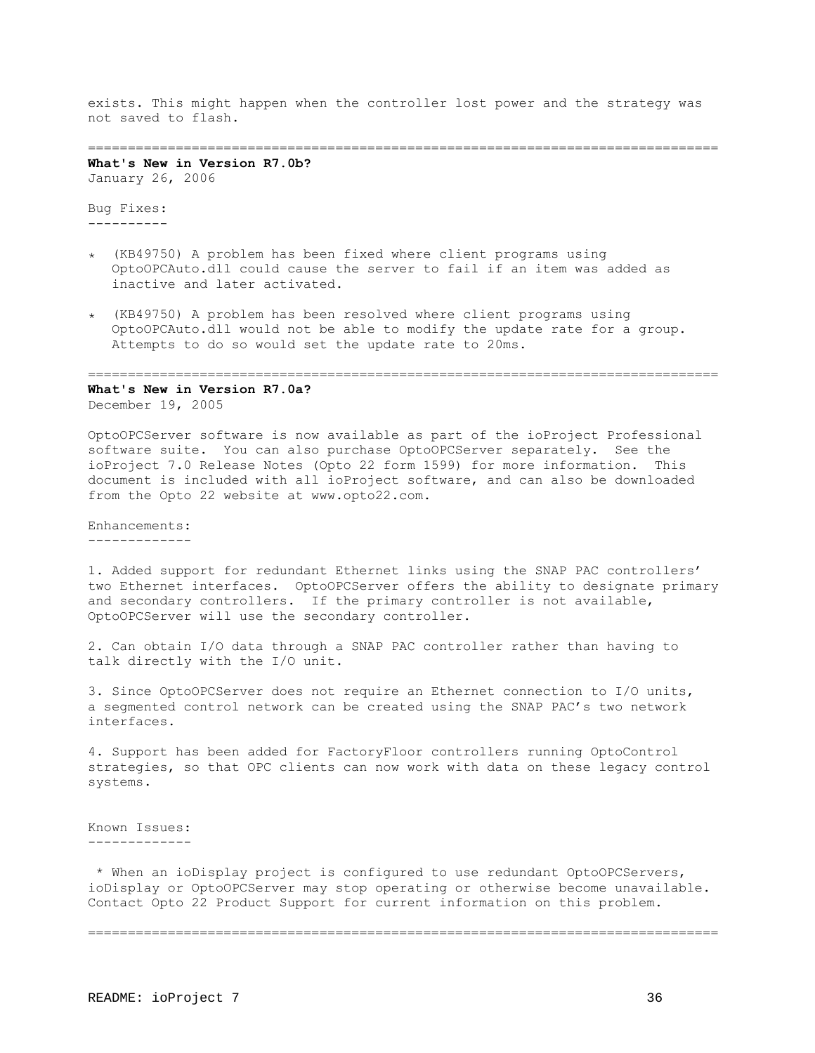exists. This might happen when the controller lost power and the strategy was not saved to flash.

## ===============================================================================

**What's New in Version R7.0b?** January 26, 2006

Bug Fixes: ----------

- ٭) KB49750) A problem has been fixed where client programs using OptoOPCAuto.dll could cause the server to fail if an item was added as inactive and later activated.
- ٭) KB49750) A problem has been resolved where client programs using OptoOPCAuto.dll would not be able to modify the update rate for a group. Attempts to do so would set the update rate to 20ms.

#### ===============================================================================

**What's New in Version R7.0a?** December 19, 2005

OptoOPCServer software is now available as part of the ioProject Professional software suite. You can also purchase OptoOPCServer separately. See the ioProject 7.0 Release Notes (Opto 22 form 1599) for more information. This document is included with all ioProject software, and can also be downloaded from the Opto 22 website at www.opto22.com.

Enhancements: -------------

1. Added support for redundant Ethernet links using the SNAP PAC controllers' two Ethernet interfaces. OptoOPCServer offers the ability to designate primary and secondary controllers. If the primary controller is not available, OptoOPCServer will use the secondary controller.

2. Can obtain I/O data through a SNAP PAC controller rather than having to talk directly with the I/O unit.

3. Since OptoOPCServer does not require an Ethernet connection to I/O units, a segmented control network can be created using the SNAP PAC's two network interfaces.

4. Support has been added for FactoryFloor controllers running OptoControl strategies, so that OPC clients can now work with data on these legacy control systems.

Known Issues: -------------

 \* When an ioDisplay project is configured to use redundant OptoOPCServers, ioDisplay or OptoOPCServer may stop operating or otherwise become unavailable. Contact Opto 22 Product Support for current information on this problem.

===============================================================================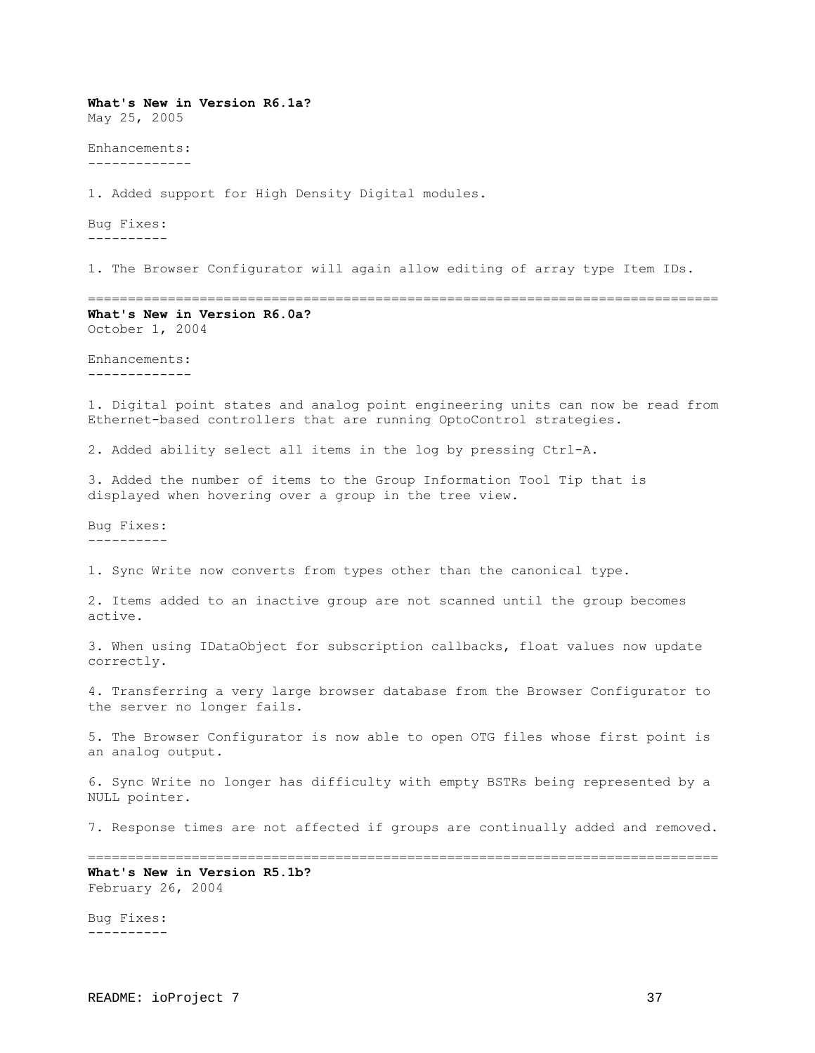**What's New in Version R6.1a?** May 25, 2005 Enhancements: ------------- 1. Added support for High Density Digital modules. Bug Fixes: ---------- 1. The Browser Configurator will again allow editing of array type Item IDs. =============================================================================== **What's New in Version R6.0a?** October 1, 2004 Enhancements: ------------- 1. Digital point states and analog point engineering units can now be read from Ethernet-based controllers that are running OptoControl strategies. 2. Added ability select all items in the log by pressing Ctrl-A. 3. Added the number of items to the Group Information Tool Tip that is displayed when hovering over a group in the tree view. Bug Fixes: ---------- 1. Sync Write now converts from types other than the canonical type. 2. Items added to an inactive group are not scanned until the group becomes active. 3. When using IDataObject for subscription callbacks, float values now update correctly. 4. Transferring a very large browser database from the Browser Configurator to the server no longer fails. 5. The Browser Configurator is now able to open OTG files whose first point is an analog output. 6. Sync Write no longer has difficulty with empty BSTRs being represented by a NULL pointer. 7. Response times are not affected if groups are continually added and removed. =============================================================================== **What's New in Version R5.1b?** February 26, 2004 Bug Fixes: ----------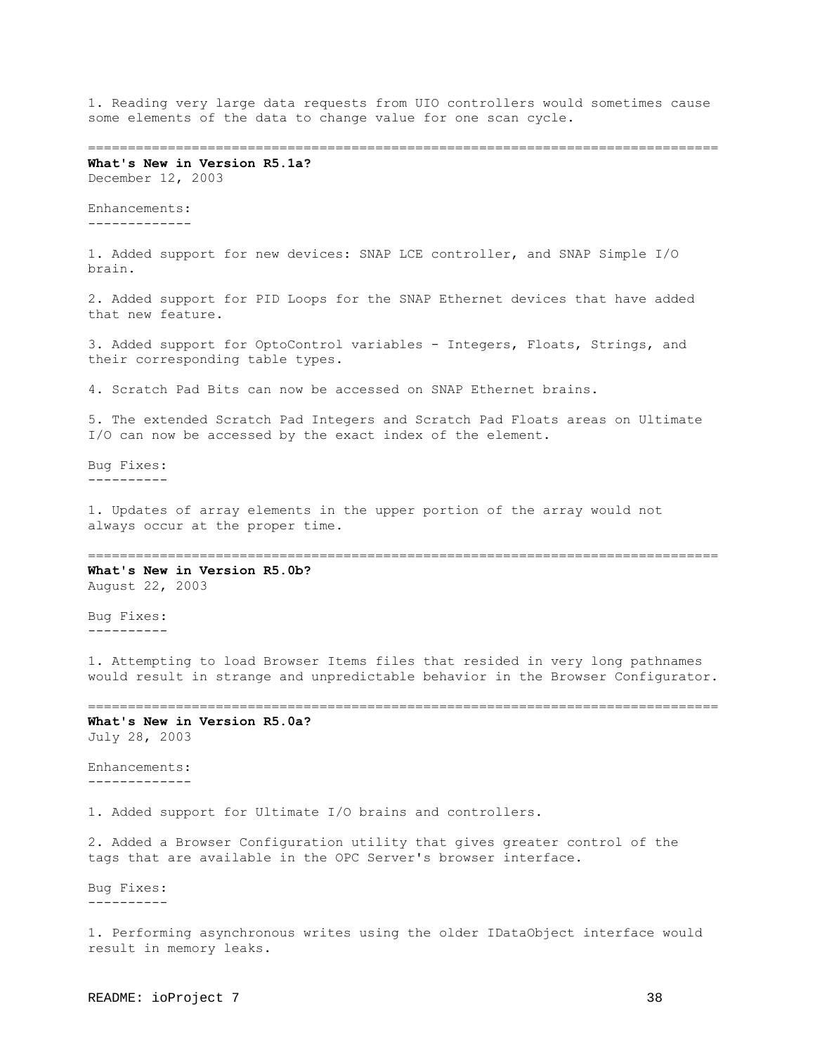1. Reading very large data requests from UIO controllers would sometimes cause some elements of the data to change value for one scan cycle.

===============================================================================

**What's New in Version R5.1a?** December 12, 2003

Enhancements: -------------

1. Added support for new devices: SNAP LCE controller, and SNAP Simple I/O brain.

2. Added support for PID Loops for the SNAP Ethernet devices that have added that new feature.

3. Added support for OptoControl variables - Integers, Floats, Strings, and their corresponding table types.

4. Scratch Pad Bits can now be accessed on SNAP Ethernet brains.

5. The extended Scratch Pad Integers and Scratch Pad Floats areas on Ultimate I/O can now be accessed by the exact index of the element.

Bug Fixes: ----------

1. Updates of array elements in the upper portion of the array would not always occur at the proper time.

===============================================================================

**What's New in Version R5.0b?** August 22, 2003

Bug Fixes: ----------

1. Attempting to load Browser Items files that resided in very long pathnames would result in strange and unpredictable behavior in the Browser Configurator.

===============================================================================

**What's New in Version R5.0a?** July 28, 2003

Enhancements: -------------

1. Added support for Ultimate I/O brains and controllers.

2. Added a Browser Configuration utility that gives greater control of the tags that are available in the OPC Server's browser interface.

Bug Fixes: ----------

1. Performing asynchronous writes using the older IDataObject interface would result in memory leaks.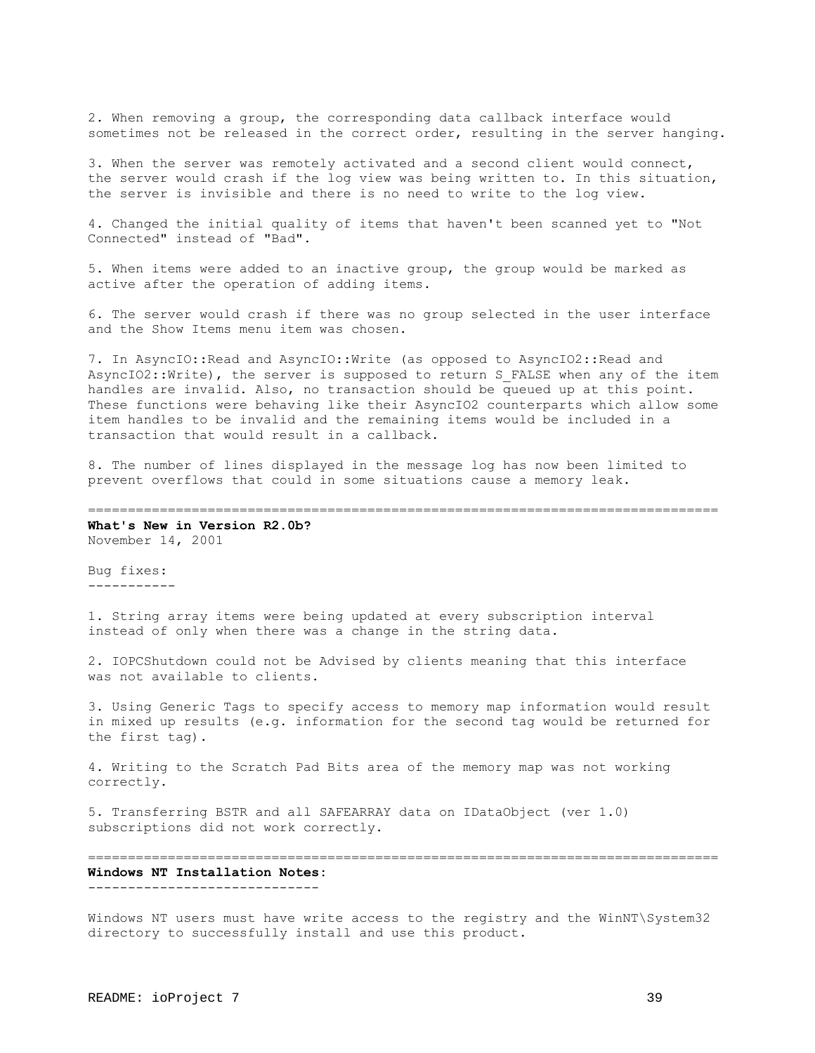2. When removing a group, the corresponding data callback interface would sometimes not be released in the correct order, resulting in the server hanging.

3. When the server was remotely activated and a second client would connect, the server would crash if the log view was being written to. In this situation, the server is invisible and there is no need to write to the log view.

4. Changed the initial quality of items that haven't been scanned yet to "Not Connected" instead of "Bad".

5. When items were added to an inactive group, the group would be marked as active after the operation of adding items.

6. The server would crash if there was no group selected in the user interface and the Show Items menu item was chosen.

7. In AsyncIO::Read and AsyncIO::Write (as opposed to AsyncIO2::Read and AsyncIO2:: Write), the server is supposed to return S FALSE when any of the item handles are invalid. Also, no transaction should be queued up at this point. These functions were behaving like their AsyncIO2 counterparts which allow some item handles to be invalid and the remaining items would be included in a transaction that would result in a callback.

8. The number of lines displayed in the message log has now been limited to prevent overflows that could in some situations cause a memory leak.

=============================================================================== **What's New in Version R2.0b?**

November 14, 2001

Bug fixes: -----------

1. String array items were being updated at every subscription interval instead of only when there was a change in the string data.

2. IOPCShutdown could not be Advised by clients meaning that this interface was not available to clients.

3. Using Generic Tags to specify access to memory map information would result in mixed up results (e.g. information for the second tag would be returned for the first tag).

4. Writing to the Scratch Pad Bits area of the memory map was not working correctly.

5. Transferring BSTR and all SAFEARRAY data on IDataObject (ver 1.0) subscriptions did not work correctly.

=============================================================================== **Windows NT Installation Notes:** -----------------------------

Windows NT users must have write access to the registry and the WinNT\System32 directory to successfully install and use this product.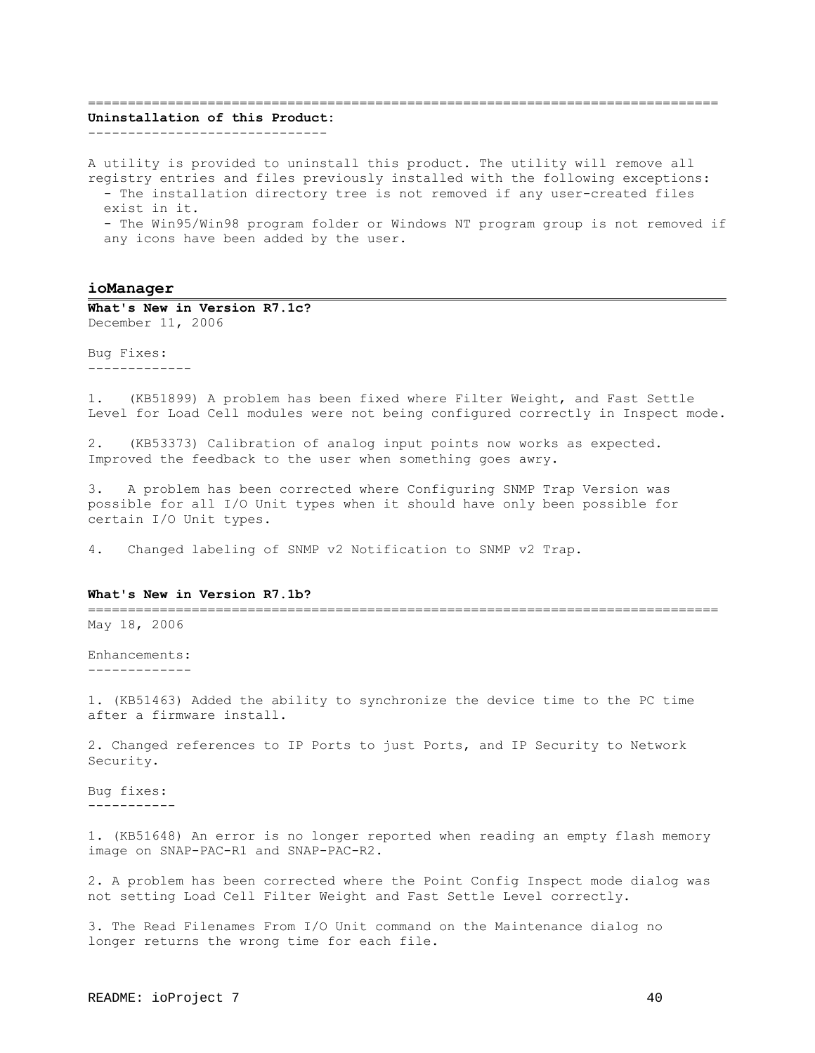#### ===============================================================================

# **Uninstallation of this Product:**

------------------------------

A utility is provided to uninstall this product. The utility will remove all registry entries and files previously installed with the following exceptions: - The installation directory tree is not removed if any user-created files exist in it. - The Win95/Win98 program folder or Windows NT program group is not removed if any icons have been added by the user.

## <span id="page-39-0"></span>**ioManager**

**What's New in Version R7.1c?** December 11, 2006

Bug Fixes: -------------

1. (KB51899) A problem has been fixed where Filter Weight, and Fast Settle Level for Load Cell modules were not being configured correctly in Inspect mode.

2. (KB53373) Calibration of analog input points now works as expected. Improved the feedback to the user when something goes awry.

3. A problem has been corrected where Configuring SNMP Trap Version was possible for all I/O Unit types when it should have only been possible for certain I/O Unit types.

4. Changed labeling of SNMP v2 Notification to SNMP v2 Trap.

#### **What's New in Version R7.1b?**

=============================================================================== May 18, 2006

Enhancements: -------------

1. (KB51463) Added the ability to synchronize the device time to the PC time after a firmware install.

2. Changed references to IP Ports to just Ports, and IP Security to Network Security.

Bug fixes: -----------

1. (KB51648) An error is no longer reported when reading an empty flash memory image on SNAP-PAC-R1 and SNAP-PAC-R2.

2. A problem has been corrected where the Point Config Inspect mode dialog was not setting Load Cell Filter Weight and Fast Settle Level correctly.

3. The Read Filenames From I/O Unit command on the Maintenance dialog no longer returns the wrong time for each file.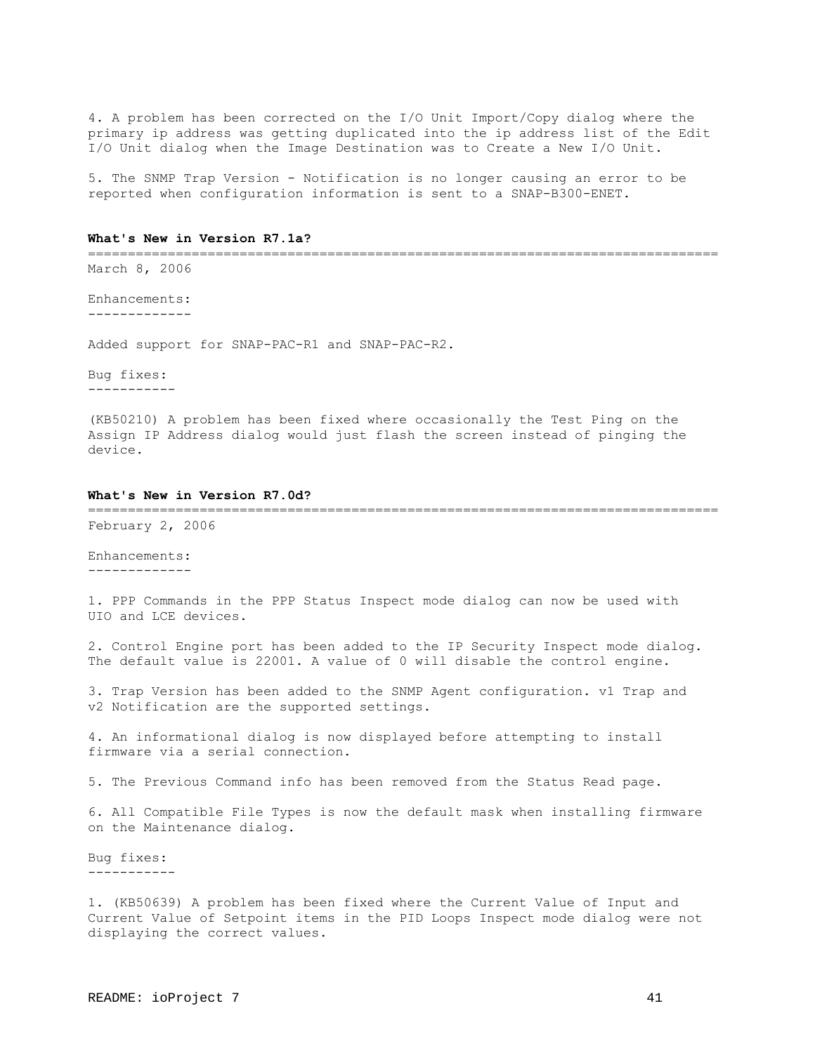4. A problem has been corrected on the I/O Unit Import/Copy dialog where the primary ip address was getting duplicated into the ip address list of the Edit I/O Unit dialog when the Image Destination was to Create a New I/O Unit.

5. The SNMP Trap Version - Notification is no longer causing an error to be reported when configuration information is sent to a SNAP-B300-ENET.

#### **What's New in Version R7.1a?**

=============================================================================== March 8, 2006

Enhancements: -------------

Added support for SNAP-PAC-R1 and SNAP-PAC-R2.

Bug fixes: -----------

(KB50210) A problem has been fixed where occasionally the Test Ping on the Assign IP Address dialog would just flash the screen instead of pinging the device.

## **What's New in Version R7.0d?**

=============================================================================== February 2, 2006

Enhancements: -------------

1. PPP Commands in the PPP Status Inspect mode dialog can now be used with UIO and LCE devices.

2. Control Engine port has been added to the IP Security Inspect mode dialog. The default value is 22001. A value of 0 will disable the control engine.

3. Trap Version has been added to the SNMP Agent configuration. v1 Trap and v2 Notification are the supported settings.

4. An informational dialog is now displayed before attempting to install firmware via a serial connection.

5. The Previous Command info has been removed from the Status Read page.

6. All Compatible File Types is now the default mask when installing firmware on the Maintenance dialog.

Bug fixes: -----------

1. (KB50639) A problem has been fixed where the Current Value of Input and Current Value of Setpoint items in the PID Loops Inspect mode dialog were not displaying the correct values.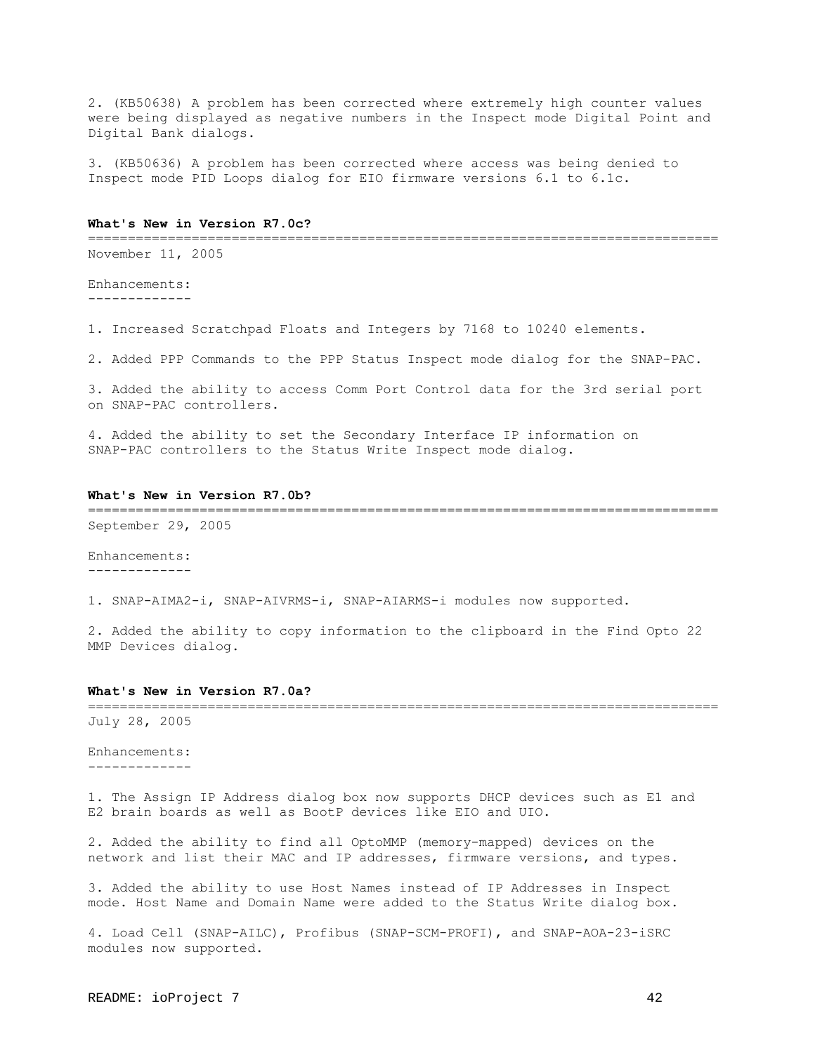2. (KB50638) A problem has been corrected where extremely high counter values were being displayed as negative numbers in the Inspect mode Digital Point and Digital Bank dialogs.

3. (KB50636) A problem has been corrected where access was being denied to Inspect mode PID Loops dialog for EIO firmware versions 6.1 to 6.1c.

#### **What's New in Version R7.0c?**

===============================================================================

November 11, 2005

Enhancements: -------------

1. Increased Scratchpad Floats and Integers by 7168 to 10240 elements.

2. Added PPP Commands to the PPP Status Inspect mode dialog for the SNAP-PAC.

3. Added the ability to access Comm Port Control data for the 3rd serial port on SNAP-PAC controllers.

4. Added the ability to set the Secondary Interface IP information on SNAP-PAC controllers to the Status Write Inspect mode dialog.

#### **What's New in Version R7.0b?**

=============================================================================== September 29, 2005

Enhancements: -------------

1. SNAP-AIMA2-i, SNAP-AIVRMS-i, SNAP-AIARMS-i modules now supported.

2. Added the ability to copy information to the clipboard in the Find Opto 22 MMP Devices dialog.

#### **What's New in Version R7.0a?**

=============================================================================== July 28, 2005

Enhancements: -------------

1. The Assign IP Address dialog box now supports DHCP devices such as E1 and E2 brain boards as well as BootP devices like EIO and UIO.

2. Added the ability to find all OptoMMP (memory-mapped) devices on the network and list their MAC and IP addresses, firmware versions, and types.

3. Added the ability to use Host Names instead of IP Addresses in Inspect mode. Host Name and Domain Name were added to the Status Write dialog box.

4. Load Cell (SNAP-AILC), Profibus (SNAP-SCM-PROFI), and SNAP-AOA-23-iSRC modules now supported.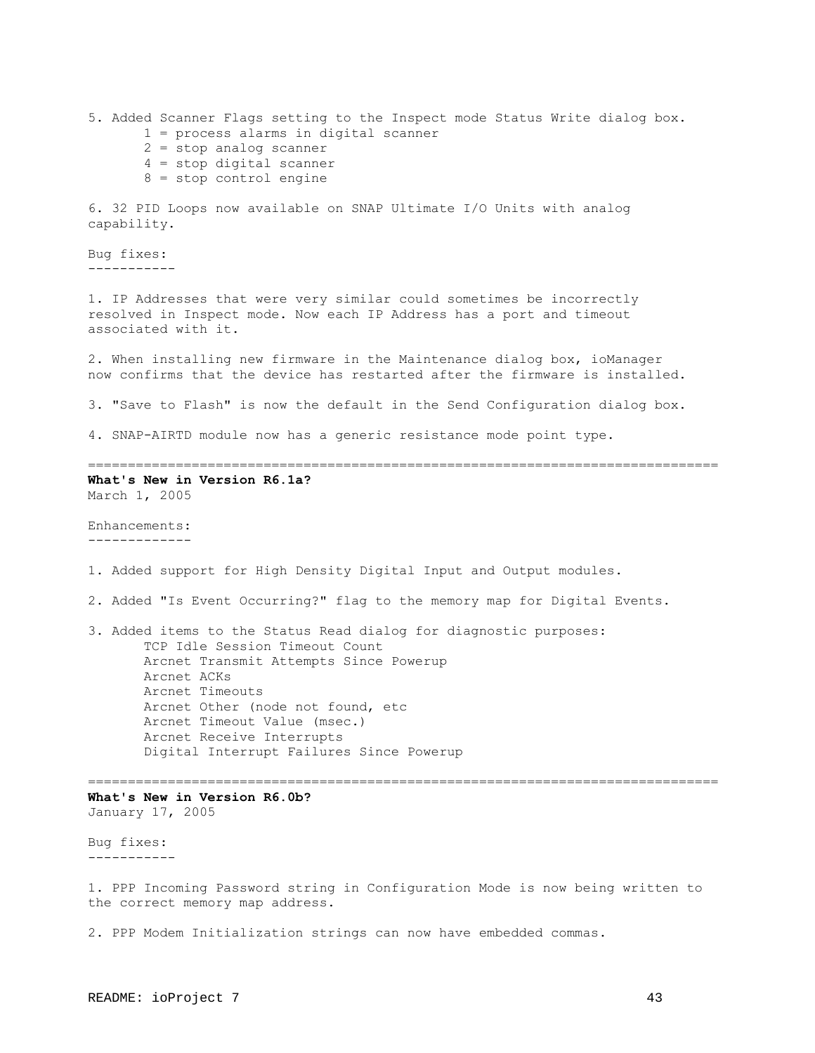5. Added Scanner Flags setting to the Inspect mode Status Write dialog box. 1 = process alarms in digital scanner 2 = stop analog scanner 4 = stop digital scanner 8 = stop control engine 6. 32 PID Loops now available on SNAP Ultimate I/O Units with analog capability. Bug fixes: ----------- 1. IP Addresses that were very similar could sometimes be incorrectly resolved in Inspect mode. Now each IP Address has a port and timeout associated with it. 2. When installing new firmware in the Maintenance dialog box, ioManager now confirms that the device has restarted after the firmware is installed. 3. "Save to Flash" is now the default in the Send Configuration dialog box. 4. SNAP-AIRTD module now has a generic resistance mode point type. =============================================================================== **What's New in Version R6.1a?** March 1, 2005 Enhancements: ------------- 1. Added support for High Density Digital Input and Output modules. 2. Added "Is Event Occurring?" flag to the memory map for Digital Events. 3. Added items to the Status Read dialog for diagnostic purposes: TCP Idle Session Timeout Count Arcnet Transmit Attempts Since Powerup Arcnet ACKs Arcnet Timeouts Arcnet Other (node not found, etc Arcnet Timeout Value (msec.) Arcnet Receive Interrupts Digital Interrupt Failures Since Powerup =============================================================================== **What's New in Version R6.0b?** January 17, 2005 Bug fixes: ----------- 1. PPP Incoming Password string in Configuration Mode is now being written to the correct memory map address. 2. PPP Modem Initialization strings can now have embedded commas.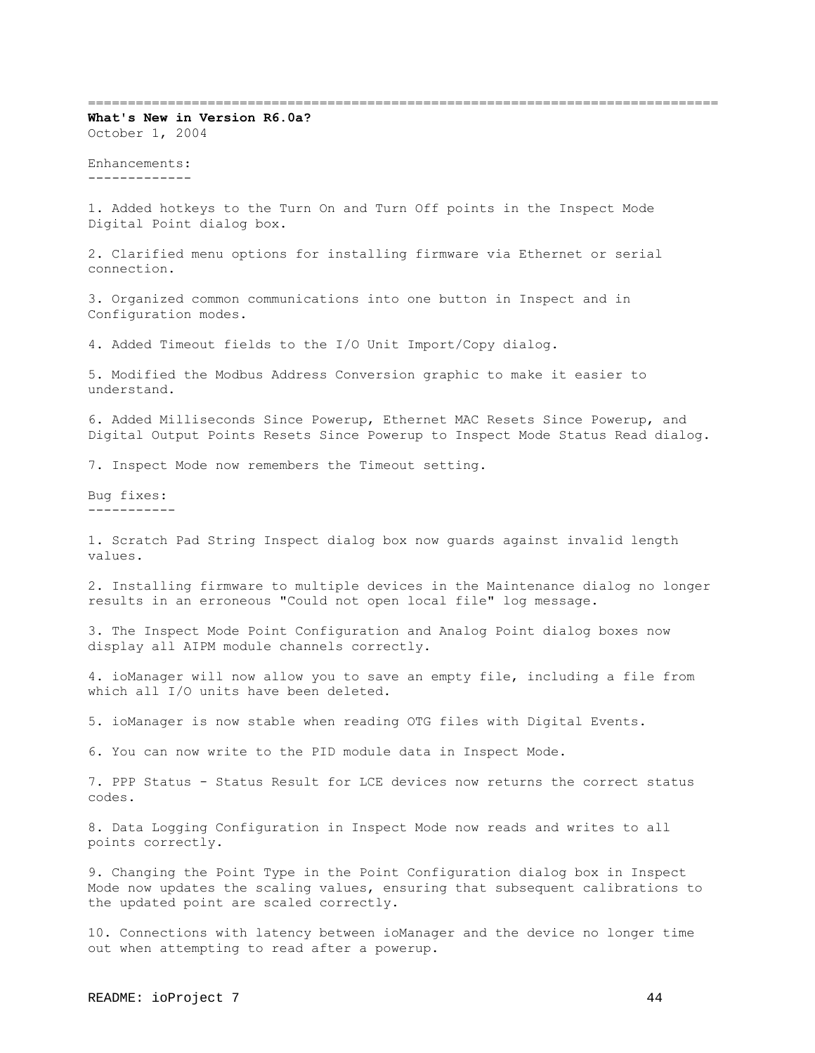===============================================================================

**What's New in Version R6.0a?** October 1, 2004

Enhancements: -------------

1. Added hotkeys to the Turn On and Turn Off points in the Inspect Mode Digital Point dialog box.

2. Clarified menu options for installing firmware via Ethernet or serial connection.

3. Organized common communications into one button in Inspect and in Configuration modes.

4. Added Timeout fields to the I/O Unit Import/Copy dialog.

5. Modified the Modbus Address Conversion graphic to make it easier to understand.

6. Added Milliseconds Since Powerup, Ethernet MAC Resets Since Powerup, and Digital Output Points Resets Since Powerup to Inspect Mode Status Read dialog.

7. Inspect Mode now remembers the Timeout setting.

Bug fixes: -----------

1. Scratch Pad String Inspect dialog box now guards against invalid length values.

2. Installing firmware to multiple devices in the Maintenance dialog no longer results in an erroneous "Could not open local file" log message.

3. The Inspect Mode Point Configuration and Analog Point dialog boxes now display all AIPM module channels correctly.

4. ioManager will now allow you to save an empty file, including a file from which all I/O units have been deleted.

5. ioManager is now stable when reading OTG files with Digital Events.

6. You can now write to the PID module data in Inspect Mode.

7. PPP Status - Status Result for LCE devices now returns the correct status codes.

8. Data Logging Configuration in Inspect Mode now reads and writes to all points correctly.

9. Changing the Point Type in the Point Configuration dialog box in Inspect Mode now updates the scaling values, ensuring that subsequent calibrations to the updated point are scaled correctly.

10. Connections with latency between ioManager and the device no longer time out when attempting to read after a powerup.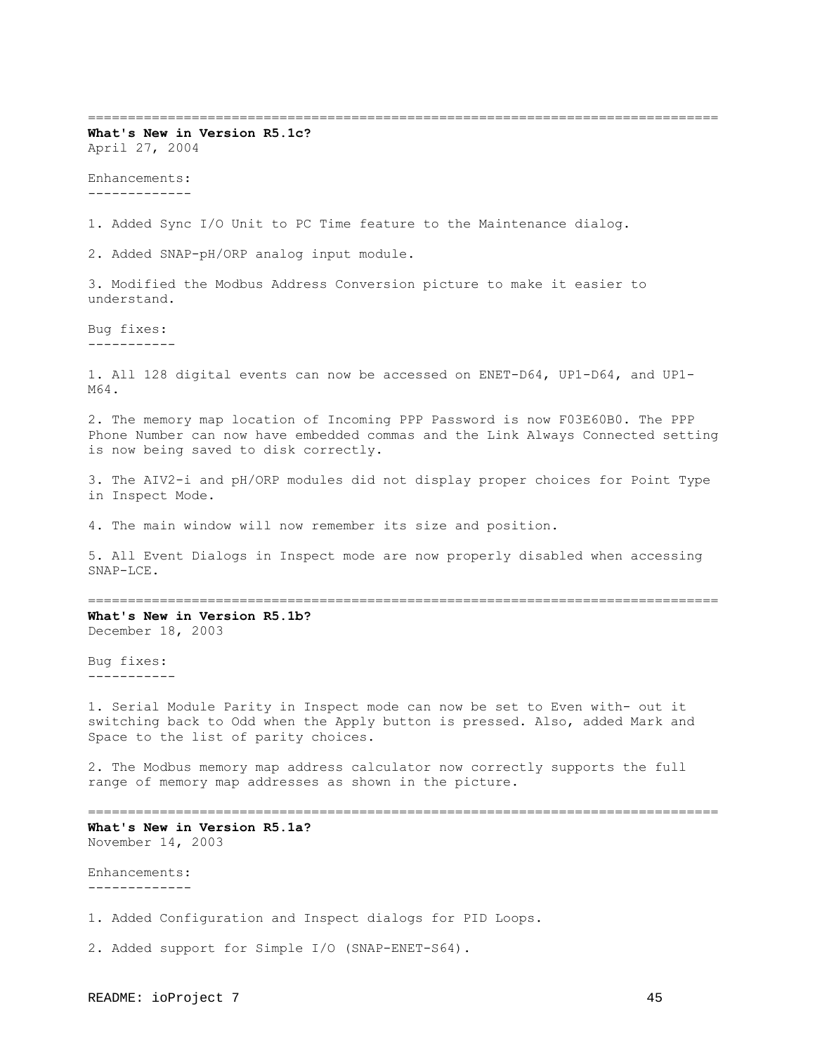=============================================================================== **What's New in Version R5.1c?**  April 27, 2004 Enhancements: ------------- 1. Added Sync I/O Unit to PC Time feature to the Maintenance dialog. 2. Added SNAP-pH/ORP analog input module. 3. Modified the Modbus Address Conversion picture to make it easier to understand. Bug fixes: ----------- 1. All 128 digital events can now be accessed on ENET-D64, UP1-D64, and UP1- M64. 2. The memory map location of Incoming PPP Password is now F03E60B0. The PPP Phone Number can now have embedded commas and the Link Always Connected setting is now being saved to disk correctly. 3. The AIV2-i and pH/ORP modules did not display proper choices for Point Type in Inspect Mode. 4. The main window will now remember its size and position. 5. All Event Dialogs in Inspect mode are now properly disabled when accessing SNAP-LCE. =============================================================================== **What's New in Version R5.1b?** December 18, 2003 Bug fixes: ----------- 1. Serial Module Parity in Inspect mode can now be set to Even with- out it switching back to Odd when the Apply button is pressed. Also, added Mark and Space to the list of parity choices. 2. The Modbus memory map address calculator now correctly supports the full range of memory map addresses as shown in the picture. =============================================================================== **What's New in Version R5.1a?** November 14, 2003 Enhancements: ------------- 1. Added Configuration and Inspect dialogs for PID Loops. 2. Added support for Simple I/O (SNAP-ENET-S64).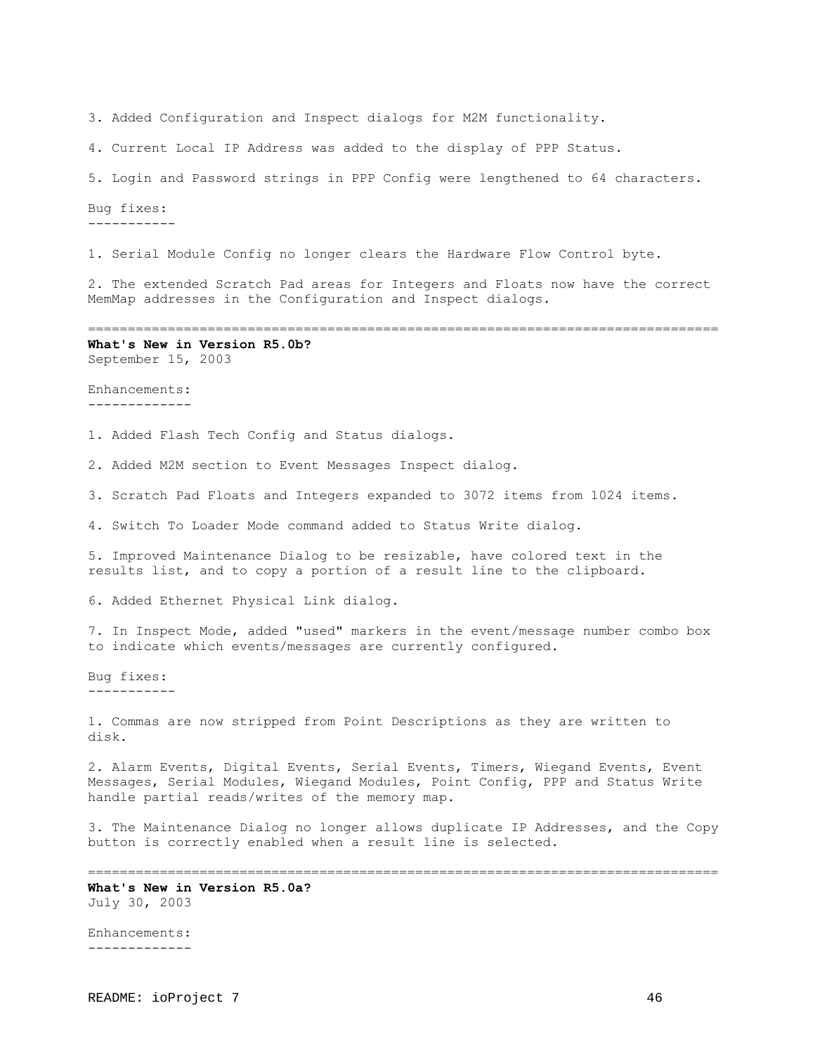3. Added Configuration and Inspect dialogs for M2M functionality.

4. Current Local IP Address was added to the display of PPP Status.

5. Login and Password strings in PPP Config were lengthened to 64 characters.

Bug fixes: -----------

1. Serial Module Config no longer clears the Hardware Flow Control byte.

2. The extended Scratch Pad areas for Integers and Floats now have the correct MemMap addresses in the Configuration and Inspect dialogs.

=============================================================================== **What's New in Version R5.0b?**

September 15, 2003

Enhancements: -------------

1. Added Flash Tech Config and Status dialogs.

2. Added M2M section to Event Messages Inspect dialog.

3. Scratch Pad Floats and Integers expanded to 3072 items from 1024 items.

4. Switch To Loader Mode command added to Status Write dialog.

5. Improved Maintenance Dialog to be resizable, have colored text in the results list, and to copy a portion of a result line to the clipboard.

6. Added Ethernet Physical Link dialog.

7. In Inspect Mode, added "used" markers in the event/message number combo box to indicate which events/messages are currently configured.

Bug fixes: -----------

1. Commas are now stripped from Point Descriptions as they are written to disk.

2. Alarm Events, Digital Events, Serial Events, Timers, Wiegand Events, Event Messages, Serial Modules, Wiegand Modules, Point Config, PPP and Status Write handle partial reads/writes of the memory map.

3. The Maintenance Dialog no longer allows duplicate IP Addresses, and the Copy button is correctly enabled when a result line is selected.

===============================================================================

**What's New in Version R5.0a?** July 30, 2003

Enhancements: -------------

README: ioProject 7 46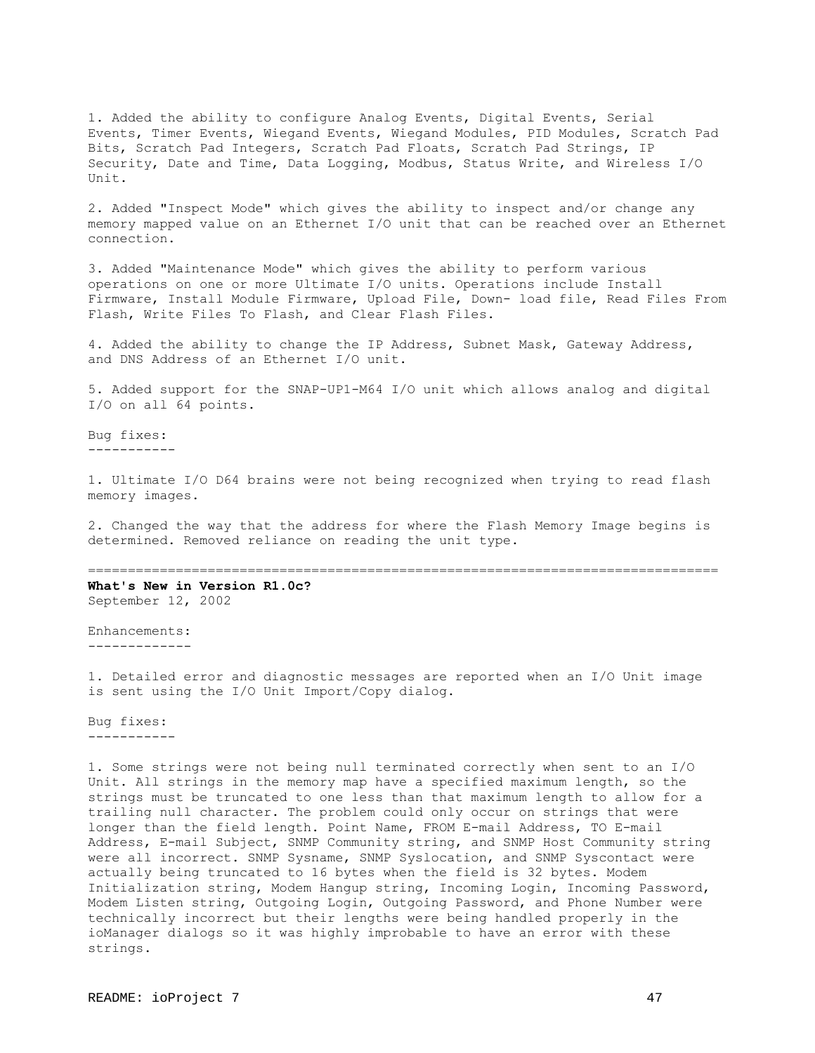1. Added the ability to configure Analog Events, Digital Events, Serial Events, Timer Events, Wiegand Events, Wiegand Modules, PID Modules, Scratch Pad Bits, Scratch Pad Integers, Scratch Pad Floats, Scratch Pad Strings, IP Security, Date and Time, Data Logging, Modbus, Status Write, and Wireless I/O Unit.

2. Added "Inspect Mode" which gives the ability to inspect and/or change any memory mapped value on an Ethernet I/O unit that can be reached over an Ethernet connection.

3. Added "Maintenance Mode" which gives the ability to perform various operations on one or more Ultimate I/O units. Operations include Install Firmware, Install Module Firmware, Upload File, Down- load file, Read Files From Flash, Write Files To Flash, and Clear Flash Files.

4. Added the ability to change the IP Address, Subnet Mask, Gateway Address, and DNS Address of an Ethernet I/O unit.

5. Added support for the SNAP-UP1-M64 I/O unit which allows analog and digital I/O on all 64 points.

Bug fixes: -----------

1. Ultimate I/O D64 brains were not being recognized when trying to read flash memory images.

2. Changed the way that the address for where the Flash Memory Image begins is determined. Removed reliance on reading the unit type.

===============================================================================

**What's New in Version R1.0c?** September 12, 2002

Enhancements: -------------

1. Detailed error and diagnostic messages are reported when an I/O Unit image is sent using the I/O Unit Import/Copy dialog.

Bug fixes: -----------

1. Some strings were not being null terminated correctly when sent to an I/O Unit. All strings in the memory map have a specified maximum length, so the strings must be truncated to one less than that maximum length to allow for a trailing null character. The problem could only occur on strings that were longer than the field length. Point Name, FROM E-mail Address, TO E-mail Address, E-mail Subject, SNMP Community string, and SNMP Host Community string were all incorrect. SNMP Sysname, SNMP Syslocation, and SNMP Syscontact were actually being truncated to 16 bytes when the field is 32 bytes. Modem Initialization string, Modem Hangup string, Incoming Login, Incoming Password, Modem Listen string, Outgoing Login, Outgoing Password, and Phone Number were technically incorrect but their lengths were being handled properly in the ioManager dialogs so it was highly improbable to have an error with these strings.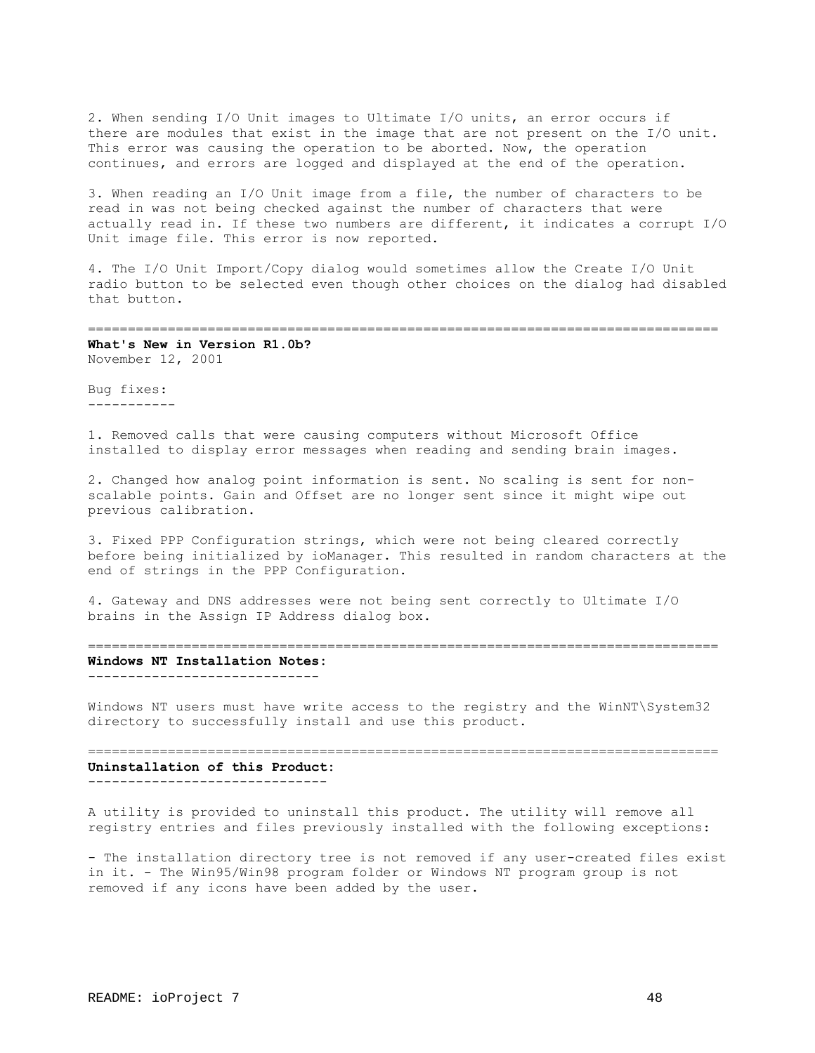2. When sending I/O Unit images to Ultimate I/O units, an error occurs if there are modules that exist in the image that are not present on the I/O unit. This error was causing the operation to be aborted. Now, the operation continues, and errors are logged and displayed at the end of the operation.

3. When reading an I/O Unit image from a file, the number of characters to be read in was not being checked against the number of characters that were actually read in. If these two numbers are different, it indicates a corrupt I/O Unit image file. This error is now reported.

4. The I/O Unit Import/Copy dialog would sometimes allow the Create I/O Unit radio button to be selected even though other choices on the dialog had disabled that button.

===============================================================================

**What's New in Version R1.0b?** November 12, 2001

Bug fixes: -----------

1. Removed calls that were causing computers without Microsoft Office installed to display error messages when reading and sending brain images.

2. Changed how analog point information is sent. No scaling is sent for nonscalable points. Gain and Offset are no longer sent since it might wipe out previous calibration.

3. Fixed PPP Configuration strings, which were not being cleared correctly before being initialized by ioManager. This resulted in random characters at the end of strings in the PPP Configuration.

4. Gateway and DNS addresses were not being sent correctly to Ultimate I/O brains in the Assign IP Address dialog box.

===============================================================================

# **Windows NT Installation Notes:**

-----------------------------

Windows NT users must have write access to the registry and the WinNT\System32 directory to successfully install and use this product.

=============================================================================== **Uninstallation of this Product:** ------------------------------

A utility is provided to uninstall this product. The utility will remove all registry entries and files previously installed with the following exceptions:

- The installation directory tree is not removed if any user-created files exist in it. - The Win95/Win98 program folder or Windows NT program group is not removed if any icons have been added by the user.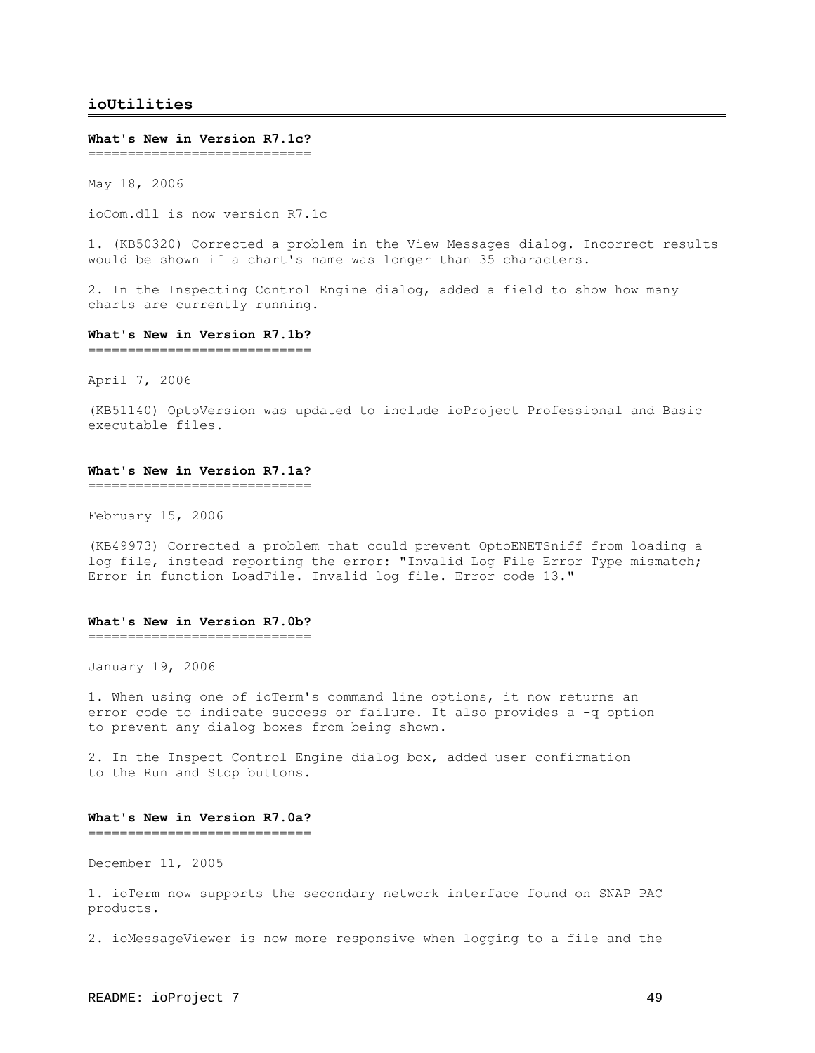# <span id="page-48-0"></span>**ioUtilities**

#### **What's New in Version R7.1c?**

===============================

May 18, 2006

ioCom.dll is now version R7.1c

1. (KB50320) Corrected a problem in the View Messages dialog. Incorrect results would be shown if a chart's name was longer than 35 characters.

2. In the Inspecting Control Engine dialog, added a field to show how many charts are currently running.

#### **What's New in Version R7.1b?**

============================

April 7, 2006

(KB51140) OptoVersion was updated to include ioProject Professional and Basic executable files.

## **What's New in Version R7.1a?**

============================

February 15, 2006

(KB49973) Corrected a problem that could prevent OptoENETSniff from loading a log file, instead reporting the error: "Invalid Log File Error Type mismatch; Error in function LoadFile. Invalid log file. Error code 13."

## **What's New in Version R7.0b?**

============================

January 19, 2006

1. When using one of ioTerm's command line options, it now returns an error code to indicate success or failure. It also provides a -q option to prevent any dialog boxes from being shown.

2. In the Inspect Control Engine dialog box, added user confirmation to the Run and Stop buttons.

## **What's New in Version R7.0a?**

============================

December 11, 2005

1. ioTerm now supports the secondary network interface found on SNAP PAC products.

2. ioMessageViewer is now more responsive when logging to a file and the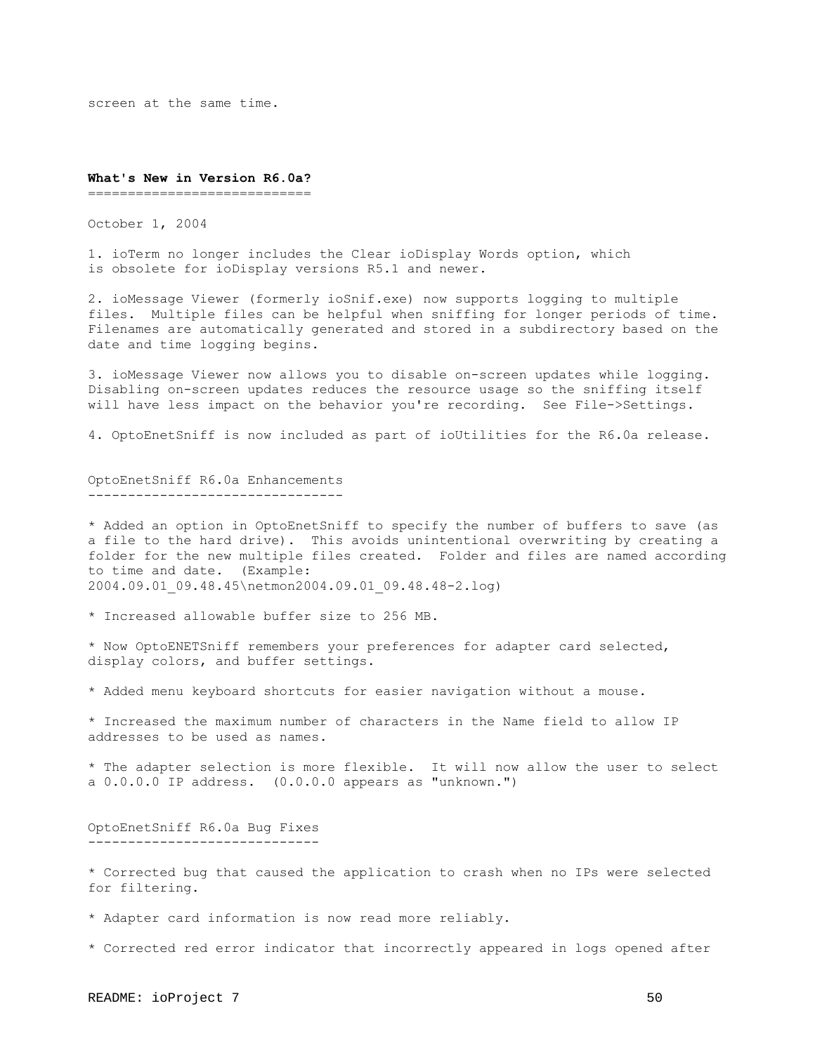screen at the same time.

#### **What's New in Version R6.0a?**

================================

October 1, 2004

1. ioTerm no longer includes the Clear ioDisplay Words option, which is obsolete for ioDisplay versions R5.1 and newer.

2. ioMessage Viewer (formerly ioSnif.exe) now supports logging to multiple files. Multiple files can be helpful when sniffing for longer periods of time. Filenames are automatically generated and stored in a subdirectory based on the date and time logging begins.

3. ioMessage Viewer now allows you to disable on-screen updates while logging. Disabling on-screen updates reduces the resource usage so the sniffing itself will have less impact on the behavior you're recording. See File->Settings.

4. OptoEnetSniff is now included as part of ioUtilities for the R6.0a release.

OptoEnetSniff R6.0a Enhancements --------------------------------

\* Added an option in OptoEnetSniff to specify the number of buffers to save (as a file to the hard drive). This avoids unintentional overwriting by creating a folder for the new multiple files created. Folder and files are named according to time and date. (Example: 2004.09.01\_09.48.45\netmon2004.09.01\_09.48.48-2.log)

\* Increased allowable buffer size to 256 MB.

\* Now OptoENETSniff remembers your preferences for adapter card selected, display colors, and buffer settings.

\* Added menu keyboard shortcuts for easier navigation without a mouse.

\* Increased the maximum number of characters in the Name field to allow IP addresses to be used as names.

\* The adapter selection is more flexible. It will now allow the user to select a 0.0.0.0 IP address. (0.0.0.0 appears as "unknown.")

## OptoEnetSniff R6.0a Bug Fixes -----------------------------

\* Corrected bug that caused the application to crash when no IPs were selected for filtering.

\* Adapter card information is now read more reliably.

\* Corrected red error indicator that incorrectly appeared in logs opened after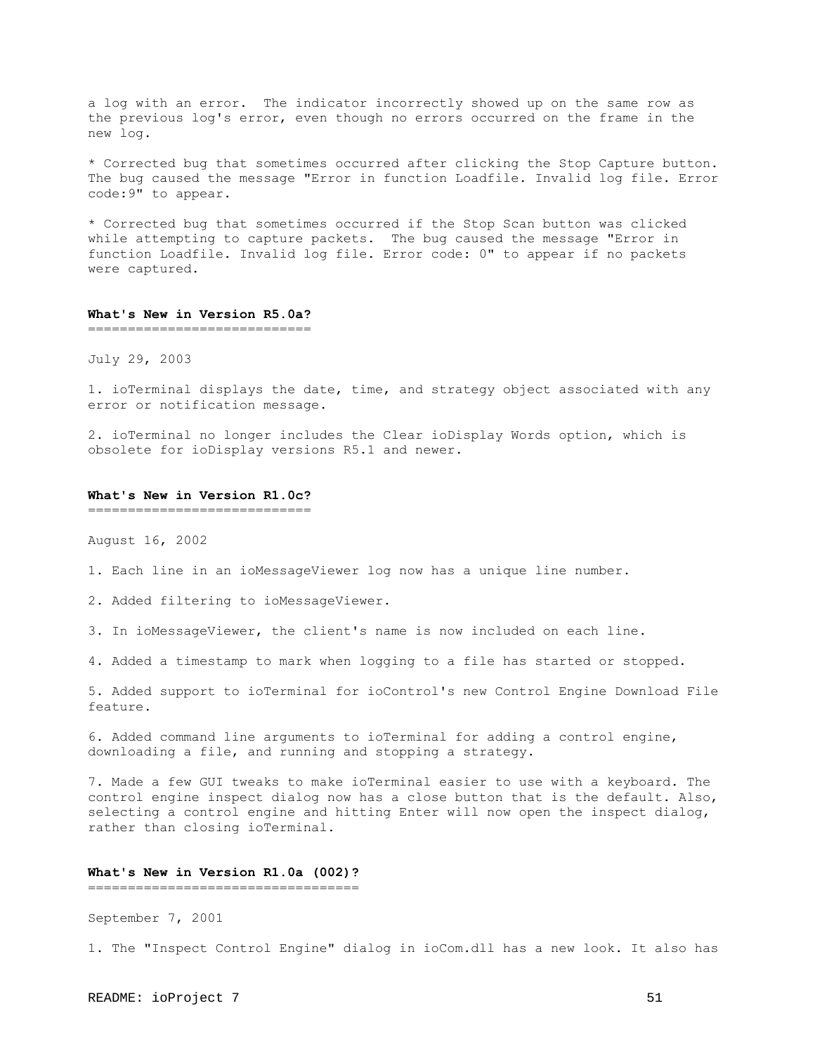a log with an error. The indicator incorrectly showed up on the same row as the previous log's error, even though no errors occurred on the frame in the new log.

\* Corrected bug that sometimes occurred after clicking the Stop Capture button. The bug caused the message "Error in function Loadfile. Invalid log file. Error code:9" to appear.

\* Corrected bug that sometimes occurred if the Stop Scan button was clicked while attempting to capture packets. The bug caused the message "Error in function Loadfile. Invalid log file. Error code: 0" to appear if no packets were captured.

## **What's New in Version R5.0a?**

============================

July 29, 2003

1. ioTerminal displays the date, time, and strategy object associated with any error or notification message.

2. ioTerminal no longer includes the Clear ioDisplay Words option, which is obsolete for ioDisplay versions R5.1 and newer.

#### **What's New in Version R1.0c?**

============================

August 16, 2002

1. Each line in an ioMessageViewer log now has a unique line number.

2. Added filtering to ioMessageViewer.

3. In ioMessageViewer, the client's name is now included on each line.

4. Added a timestamp to mark when logging to a file has started or stopped.

5. Added support to ioTerminal for ioControl's new Control Engine Download File feature.

6. Added command line arguments to ioTerminal for adding a control engine, downloading a file, and running and stopping a strategy.

7. Made a few GUI tweaks to make ioTerminal easier to use with a keyboard. The control engine inspect dialog now has a close button that is the default. Also, selecting a control engine and hitting Enter will now open the inspect dialog, rather than closing ioTerminal.

#### **What's New in Version R1.0a (002)?** ==================================

September 7, 2001

1. The "Inspect Control Engine" dialog in ioCom.dll has a new look. It also has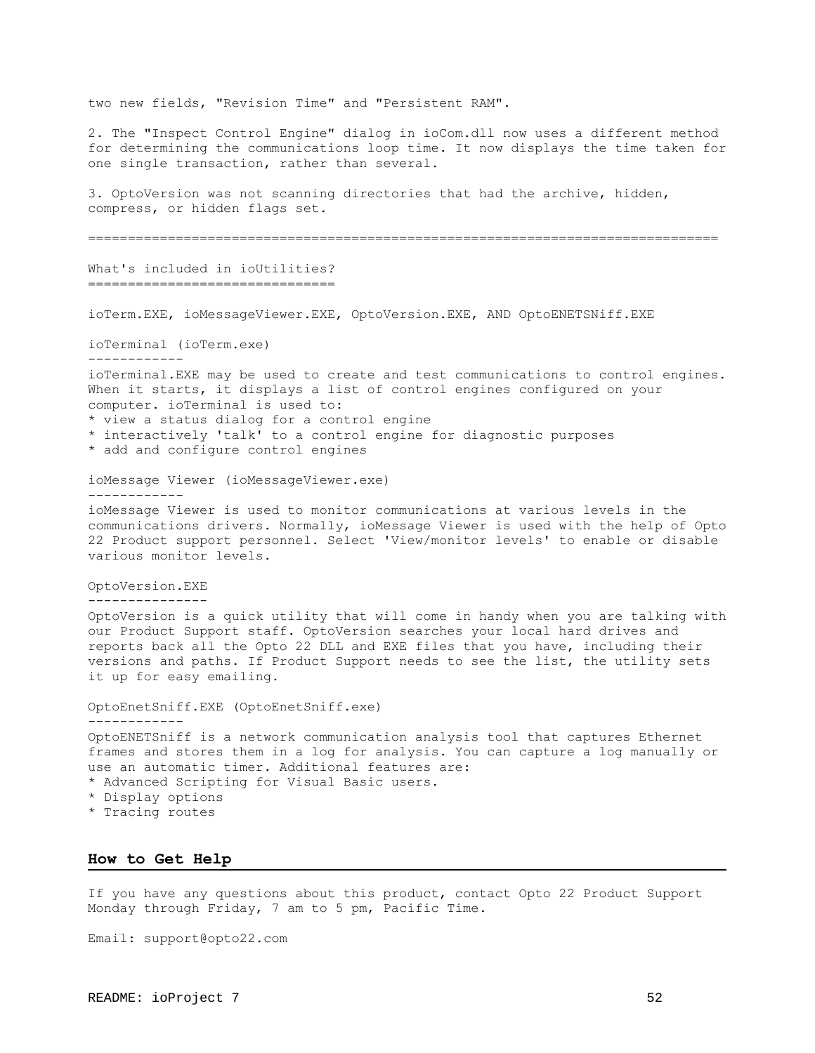two new fields, "Revision Time" and "Persistent RAM".

2. The "Inspect Control Engine" dialog in ioCom.dll now uses a different method for determining the communications loop time. It now displays the time taken for one single transaction, rather than several.

3. OptoVersion was not scanning directories that had the archive, hidden, compress, or hidden flags set.

===============================================================================

What's included in ioUtilities? ===============================

ioTerm.EXE, ioMessageViewer.EXE, OptoVersion.EXE, AND OptoENETSNiff.EXE

ioTerminal (ioTerm.exe)

ioTerminal.EXE may be used to create and test communications to control engines. When it starts, it displays a list of control engines configured on your computer. ioTerminal is used to:

\* view a status dialog for a control engine

\* interactively 'talk' to a control engine for diagnostic purposes

\* add and configure control engines

ioMessage Viewer (ioMessageViewer.exe)

------------

------------

ioMessage Viewer is used to monitor communications at various levels in the communications drivers. Normally, ioMessage Viewer is used with the help of Opto 22 Product support personnel. Select 'View/monitor levels' to enable or disable various monitor levels.

OptoVersion.EXE

---------------

OptoVersion is a quick utility that will come in handy when you are talking with our Product Support staff. OptoVersion searches your local hard drives and reports back all the Opto 22 DLL and EXE files that you have, including their versions and paths. If Product Support needs to see the list, the utility sets it up for easy emailing.

OptoEnetSniff.EXE (OptoEnetSniff.exe) ------------ OptoENETSniff is a network communication analysis tool that captures Ethernet frames and stores them in a log for analysis. You can capture a log manually or use an automatic timer. Additional features are: \* Advanced Scripting for Visual Basic users. \* Display options

\* Tracing routes

## <span id="page-51-0"></span>**How to Get Help**

If you have any questions about this product, contact Opto 22 Product Support Monday through Friday, 7 am to 5 pm, Pacific Time.

Email: support@opto22.com